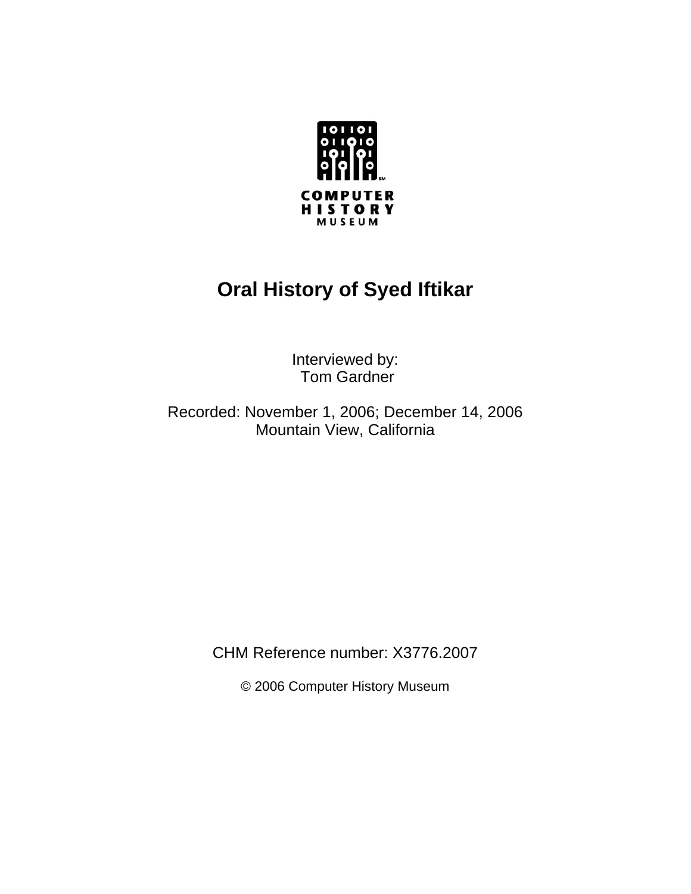

# **Oral History of Syed Iftikar**

Interviewed by: Tom Gardner

Recorded: November 1, 2006; December 14, 2006 Mountain View, California

CHM Reference number: X3776.2007

© 2006 Computer History Museum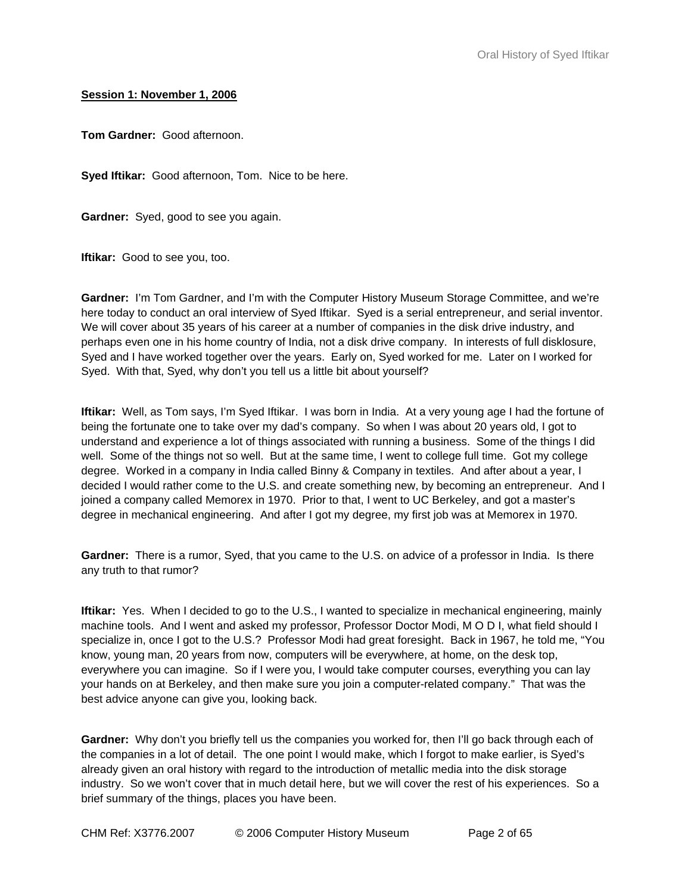### **Session 1: November 1, 2006**

**Tom Gardner:** Good afternoon.

**Syed Iftikar:** Good afternoon, Tom. Nice to be here.

**Gardner:** Syed, good to see you again.

**Iftikar:** Good to see you, too.

**Gardner:** I'm Tom Gardner, and I'm with the Computer History Museum Storage Committee, and we're here today to conduct an oral interview of Syed Iftikar. Syed is a serial entrepreneur, and serial inventor. We will cover about 35 years of his career at a number of companies in the disk drive industry, and perhaps even one in his home country of India, not a disk drive company. In interests of full disklosure, Syed and I have worked together over the years. Early on, Syed worked for me. Later on I worked for Syed. With that, Syed, why don't you tell us a little bit about yourself?

**Iftikar:** Well, as Tom says, I'm Syed Iftikar. I was born in India. At a very young age I had the fortune of being the fortunate one to take over my dad's company. So when I was about 20 years old, I got to understand and experience a lot of things associated with running a business. Some of the things I did well. Some of the things not so well. But at the same time, I went to college full time. Got my college degree. Worked in a company in India called Binny & Company in textiles. And after about a year, I decided I would rather come to the U.S. and create something new, by becoming an entrepreneur. And I joined a company called Memorex in 1970. Prior to that, I went to UC Berkeley, and got a master's degree in mechanical engineering. And after I got my degree, my first job was at Memorex in 1970.

**Gardner:** There is a rumor, Syed, that you came to the U.S. on advice of a professor in India. Is there any truth to that rumor?

**Iftikar:** Yes. When I decided to go to the U.S., I wanted to specialize in mechanical engineering, mainly machine tools. And I went and asked my professor, Professor Doctor Modi, M O D I, what field should I specialize in, once I got to the U.S.? Professor Modi had great foresight. Back in 1967, he told me, "You know, young man, 20 years from now, computers will be everywhere, at home, on the desk top, everywhere you can imagine. So if I were you, I would take computer courses, everything you can lay your hands on at Berkeley, and then make sure you join a computer-related company." That was the best advice anyone can give you, looking back.

**Gardner:** Why don't you briefly tell us the companies you worked for, then I'll go back through each of the companies in a lot of detail. The one point I would make, which I forgot to make earlier, is Syed's already given an oral history with regard to the introduction of metallic media into the disk storage industry. So we won't cover that in much detail here, but we will cover the rest of his experiences. So a brief summary of the things, places you have been.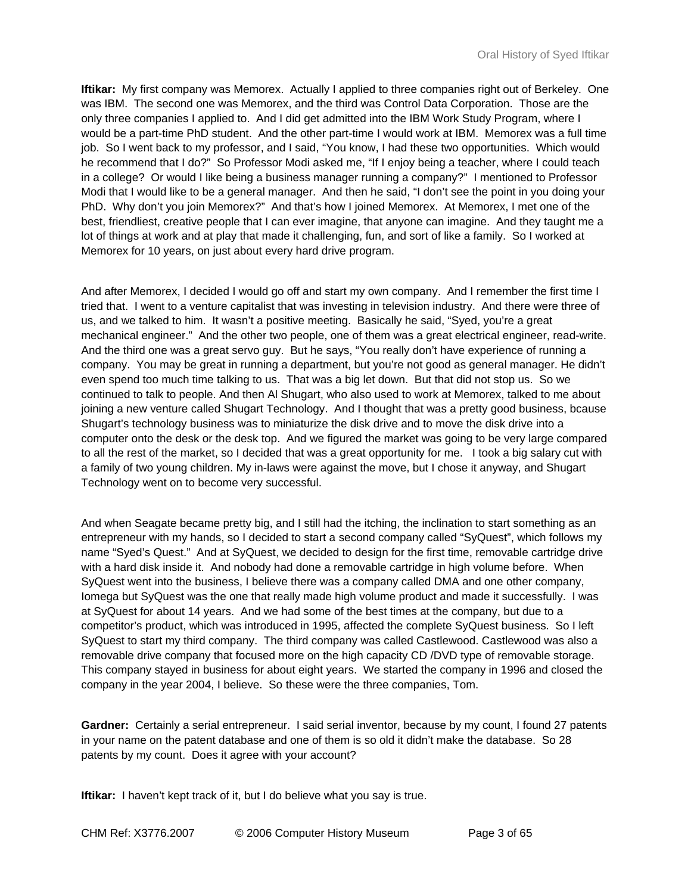**Iftikar:** My first company was Memorex. Actually I applied to three companies right out of Berkeley. One was IBM. The second one was Memorex, and the third was Control Data Corporation. Those are the only three companies I applied to. And I did get admitted into the IBM Work Study Program, where I would be a part-time PhD student. And the other part-time I would work at IBM. Memorex was a full time job. So I went back to my professor, and I said, "You know, I had these two opportunities. Which would he recommend that I do?" So Professor Modi asked me, "If I enjoy being a teacher, where I could teach in a college? Or would I like being a business manager running a company?" I mentioned to Professor Modi that I would like to be a general manager. And then he said, "I don't see the point in you doing your PhD. Why don't you join Memorex?" And that's how I joined Memorex. At Memorex, I met one of the best, friendliest, creative people that I can ever imagine, that anyone can imagine. And they taught me a lot of things at work and at play that made it challenging, fun, and sort of like a family. So I worked at Memorex for 10 years, on just about every hard drive program.

And after Memorex, I decided I would go off and start my own company. And I remember the first time I tried that. I went to a venture capitalist that was investing in television industry. And there were three of us, and we talked to him. It wasn't a positive meeting. Basically he said, "Syed, you're a great mechanical engineer." And the other two people, one of them was a great electrical engineer, read-write. And the third one was a great servo guy. But he says, "You really don't have experience of running a company. You may be great in running a department, but you're not good as general manager. He didn't even spend too much time talking to us. That was a big let down. But that did not stop us. So we continued to talk to people. And then Al Shugart, who also used to work at Memorex, talked to me about joining a new venture called Shugart Technology. And I thought that was a pretty good business, bcause Shugart's technology business was to miniaturize the disk drive and to move the disk drive into a computer onto the desk or the desk top. And we figured the market was going to be very large compared to all the rest of the market, so I decided that was a great opportunity for me. I took a big salary cut with a family of two young children. My in-laws were against the move, but I chose it anyway, and Shugart Technology went on to become very successful.

And when Seagate became pretty big, and I still had the itching, the inclination to start something as an entrepreneur with my hands, so I decided to start a second company called "SyQuest", which follows my name "Syed's Quest." And at SyQuest, we decided to design for the first time, removable cartridge drive with a hard disk inside it. And nobody had done a removable cartridge in high volume before. When SyQuest went into the business, I believe there was a company called DMA and one other company, Iomega but SyQuest was the one that really made high volume product and made it successfully. I was at SyQuest for about 14 years. And we had some of the best times at the company, but due to a competitor's product, which was introduced in 1995, affected the complete SyQuest business. So I left SyQuest to start my third company. The third company was called Castlewood. Castlewood was also a removable drive company that focused more on the high capacity CD /DVD type of removable storage. This company stayed in business for about eight years. We started the company in 1996 and closed the company in the year 2004, I believe. So these were the three companies, Tom.

**Gardner:** Certainly a serial entrepreneur. I said serial inventor, because by my count, I found 27 patents in your name on the patent database and one of them is so old it didn't make the database. So 28 patents by my count. Does it agree with your account?

**Iftikar:** I haven't kept track of it, but I do believe what you say is true.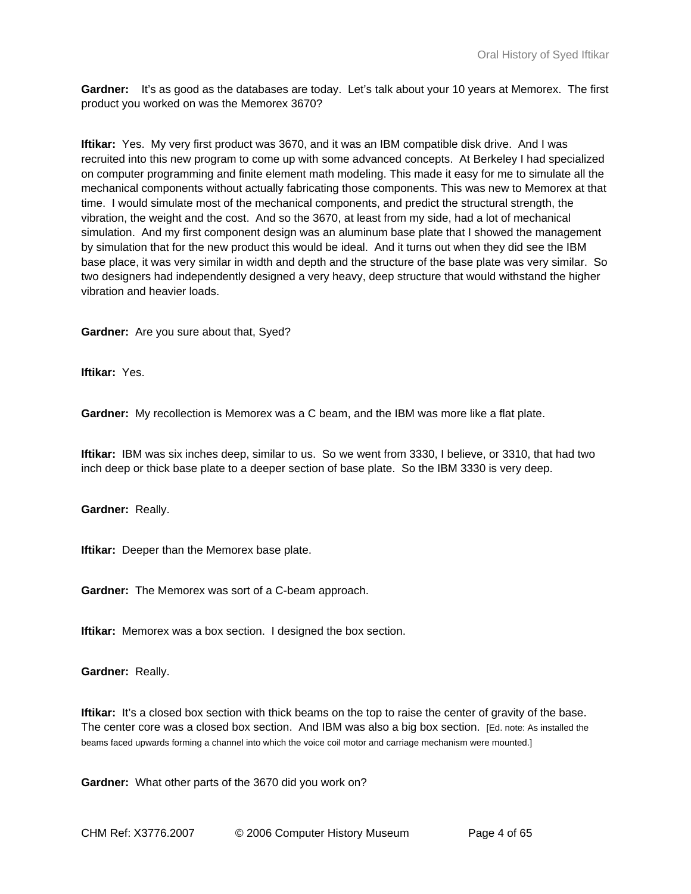**Gardner:** It's as good as the databases are today. Let's talk about your 10 years at Memorex. The first product you worked on was the Memorex 3670?

**Iftikar:** Yes. My very first product was 3670, and it was an IBM compatible disk drive. And I was recruited into this new program to come up with some advanced concepts. At Berkeley I had specialized on computer programming and finite element math modeling. This made it easy for me to simulate all the mechanical components without actually fabricating those components. This was new to Memorex at that time. I would simulate most of the mechanical components, and predict the structural strength, the vibration, the weight and the cost. And so the 3670, at least from my side, had a lot of mechanical simulation. And my first component design was an aluminum base plate that I showed the management by simulation that for the new product this would be ideal. And it turns out when they did see the IBM base place, it was very similar in width and depth and the structure of the base plate was very similar. So two designers had independently designed a very heavy, deep structure that would withstand the higher vibration and heavier loads.

**Gardner:** Are you sure about that, Syed?

**Iftikar:** Yes.

**Gardner:** My recollection is Memorex was a C beam, and the IBM was more like a flat plate.

**Iftikar:** IBM was six inches deep, similar to us. So we went from 3330, I believe, or 3310, that had two inch deep or thick base plate to a deeper section of base plate. So the IBM 3330 is very deep.

**Gardner:** Really.

**Iftikar:** Deeper than the Memorex base plate.

**Gardner:** The Memorex was sort of a C-beam approach.

**Iftikar:** Memorex was a box section. I designed the box section.

**Gardner:** Really.

**Iftikar:** It's a closed box section with thick beams on the top to raise the center of gravity of the base. The center core was a closed box section. And IBM was also a big box section. [Ed. note: As installed the beams faced upwards forming a channel into which the voice coil motor and carriage mechanism were mounted.]

**Gardner:** What other parts of the 3670 did you work on?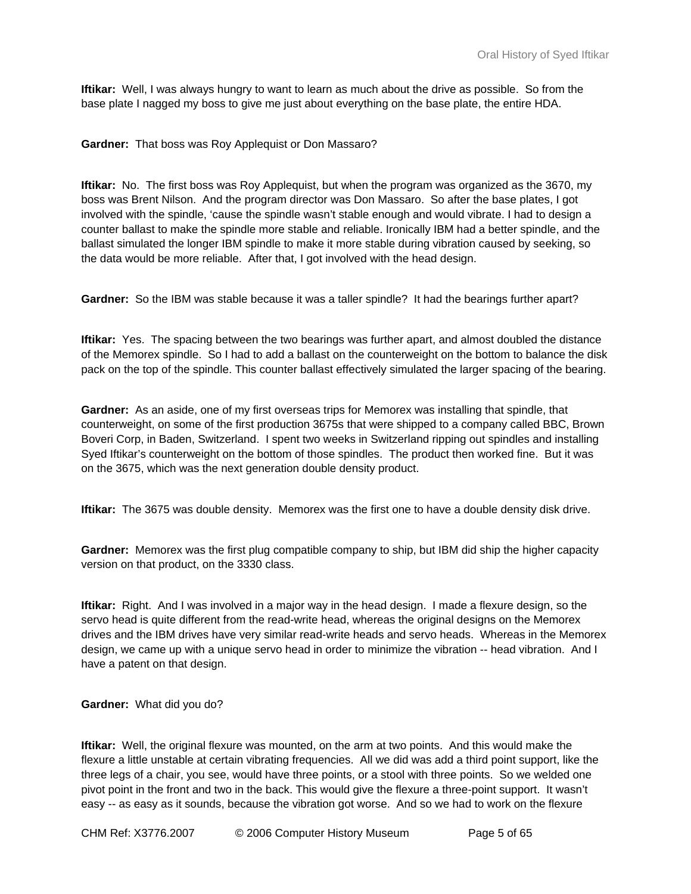**Iftikar:** Well, I was always hungry to want to learn as much about the drive as possible. So from the base plate I nagged my boss to give me just about everything on the base plate, the entire HDA.

**Gardner:** That boss was Roy Applequist or Don Massaro?

**Iftikar:** No. The first boss was Roy Applequist, but when the program was organized as the 3670, my boss was Brent Nilson. And the program director was Don Massaro. So after the base plates, I got involved with the spindle, 'cause the spindle wasn't stable enough and would vibrate. I had to design a counter ballast to make the spindle more stable and reliable. Ironically IBM had a better spindle, and the ballast simulated the longer IBM spindle to make it more stable during vibration caused by seeking, so the data would be more reliable. After that, I got involved with the head design.

**Gardner:** So the IBM was stable because it was a taller spindle? It had the bearings further apart?

**Iftikar:** Yes. The spacing between the two bearings was further apart, and almost doubled the distance of the Memorex spindle. So I had to add a ballast on the counterweight on the bottom to balance the disk pack on the top of the spindle. This counter ballast effectively simulated the larger spacing of the bearing.

**Gardner:** As an aside, one of my first overseas trips for Memorex was installing that spindle, that counterweight, on some of the first production 3675s that were shipped to a company called BBC, Brown Boveri Corp, in Baden, Switzerland. I spent two weeks in Switzerland ripping out spindles and installing Syed Iftikar's counterweight on the bottom of those spindles. The product then worked fine. But it was on the 3675, which was the next generation double density product.

**Iftikar:** The 3675 was double density. Memorex was the first one to have a double density disk drive.

**Gardner:** Memorex was the first plug compatible company to ship, but IBM did ship the higher capacity version on that product, on the 3330 class.

**Iftikar:** Right. And I was involved in a major way in the head design. I made a flexure design, so the servo head is quite different from the read-write head, whereas the original designs on the Memorex drives and the IBM drives have very similar read-write heads and servo heads. Whereas in the Memorex design, we came up with a unique servo head in order to minimize the vibration -- head vibration. And I have a patent on that design.

**Gardner:** What did you do?

**Iftikar:** Well, the original flexure was mounted, on the arm at two points. And this would make the flexure a little unstable at certain vibrating frequencies. All we did was add a third point support, like the three legs of a chair, you see, would have three points, or a stool with three points. So we welded one pivot point in the front and two in the back. This would give the flexure a three-point support. It wasn't easy -- as easy as it sounds, because the vibration got worse. And so we had to work on the flexure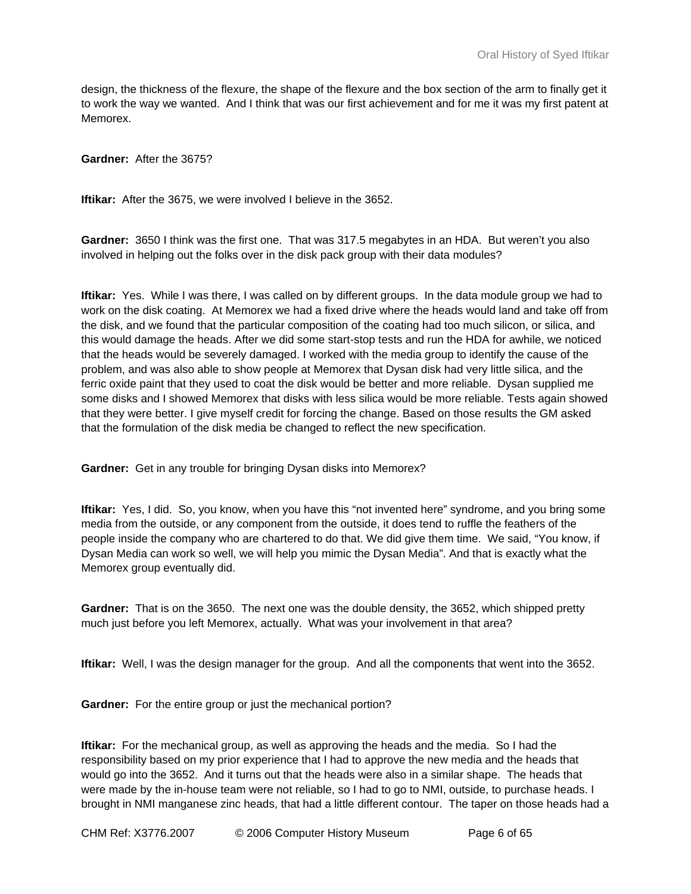design, the thickness of the flexure, the shape of the flexure and the box section of the arm to finally get it to work the way we wanted. And I think that was our first achievement and for me it was my first patent at Memorex.

**Gardner:** After the 3675?

**Iftikar:** After the 3675, we were involved I believe in the 3652.

**Gardner:** 3650 I think was the first one. That was 317.5 megabytes in an HDA. But weren't you also involved in helping out the folks over in the disk pack group with their data modules?

**Iftikar:** Yes. While I was there, I was called on by different groups. In the data module group we had to work on the disk coating. At Memorex we had a fixed drive where the heads would land and take off from the disk, and we found that the particular composition of the coating had too much silicon, or silica, and this would damage the heads. After we did some start-stop tests and run the HDA for awhile, we noticed that the heads would be severely damaged. I worked with the media group to identify the cause of the problem, and was also able to show people at Memorex that Dysan disk had very little silica, and the ferric oxide paint that they used to coat the disk would be better and more reliable. Dysan supplied me some disks and I showed Memorex that disks with less silica would be more reliable. Tests again showed that they were better. I give myself credit for forcing the change. Based on those results the GM asked that the formulation of the disk media be changed to reflect the new specification.

**Gardner:** Get in any trouble for bringing Dysan disks into Memorex?

**Iftikar:** Yes, I did. So, you know, when you have this "not invented here" syndrome, and you bring some media from the outside, or any component from the outside, it does tend to ruffle the feathers of the people inside the company who are chartered to do that. We did give them time. We said, "You know, if Dysan Media can work so well, we will help you mimic the Dysan Media". And that is exactly what the Memorex group eventually did.

**Gardner:** That is on the 3650. The next one was the double density, the 3652, which shipped pretty much just before you left Memorex, actually. What was your involvement in that area?

**Iftikar:** Well, I was the design manager for the group. And all the components that went into the 3652.

**Gardner:** For the entire group or just the mechanical portion?

**Iftikar:** For the mechanical group, as well as approving the heads and the media. So I had the responsibility based on my prior experience that I had to approve the new media and the heads that would go into the 3652. And it turns out that the heads were also in a similar shape. The heads that were made by the in-house team were not reliable, so I had to go to NMI, outside, to purchase heads. I brought in NMI manganese zinc heads, that had a little different contour. The taper on those heads had a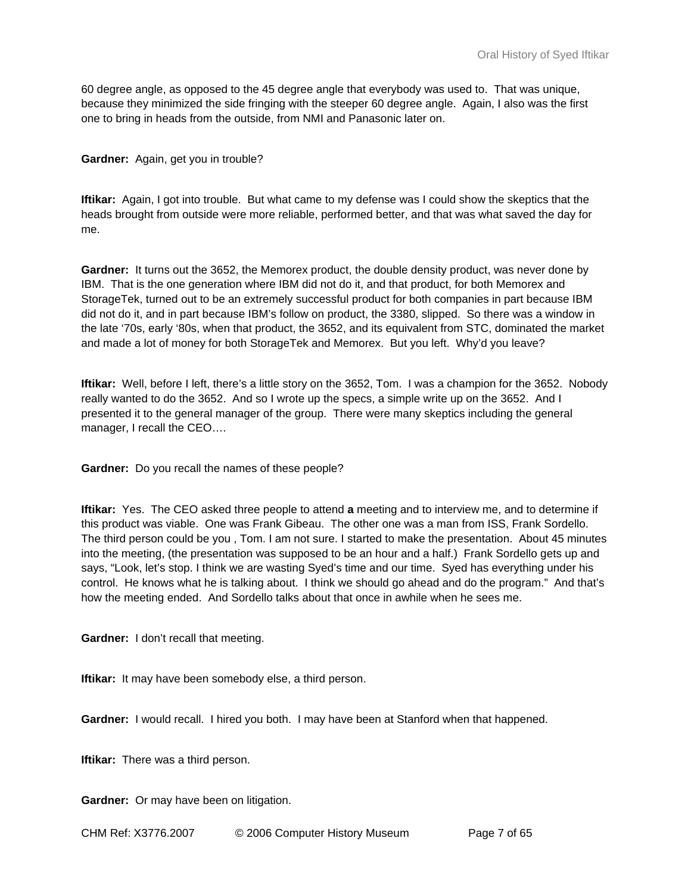60 degree angle, as opposed to the 45 degree angle that everybody was used to. That was unique, because they minimized the side fringing with the steeper 60 degree angle. Again, I also was the first one to bring in heads from the outside, from NMI and Panasonic later on.

#### **Gardner:** Again, get you in trouble?

**Iftikar:** Again, I got into trouble. But what came to my defense was I could show the skeptics that the heads brought from outside were more reliable, performed better, and that was what saved the day for me.

**Gardner:** It turns out the 3652, the Memorex product, the double density product, was never done by IBM. That is the one generation where IBM did not do it, and that product, for both Memorex and StorageTek, turned out to be an extremely successful product for both companies in part because IBM did not do it, and in part because IBM's follow on product, the 3380, slipped. So there was a window in the late '70s, early '80s, when that product, the 3652, and its equivalent from STC, dominated the market and made a lot of money for both StorageTek and Memorex. But you left. Why'd you leave?

**Iftikar:** Well, before I left, there's a little story on the 3652, Tom. I was a champion for the 3652. Nobody really wanted to do the 3652. And so I wrote up the specs, a simple write up on the 3652. And I presented it to the general manager of the group. There were many skeptics including the general manager, I recall the CEO….

**Gardner:** Do you recall the names of these people?

**Iftikar:** Yes. The CEO asked three people to attend **a** meeting and to interview me, and to determine if this product was viable. One was Frank Gibeau. The other one was a man from ISS, Frank Sordello. The third person could be you , Tom. I am not sure. I started to make the presentation. About 45 minutes into the meeting, (the presentation was supposed to be an hour and a half.) Frank Sordello gets up and says, "Look, let's stop. I think we are wasting Syed's time and our time. Syed has everything under his control. He knows what he is talking about. I think we should go ahead and do the program." And that's how the meeting ended. And Sordello talks about that once in awhile when he sees me.

**Gardner:** I don't recall that meeting.

**Iftikar:** It may have been somebody else, a third person.

**Gardner:** I would recall. I hired you both. I may have been at Stanford when that happened.

**Iftikar:** There was a third person.

**Gardner:** Or may have been on litigation.

CHM Ref: X3776.2007 © 2006 Computer History Museum Page 7 of 65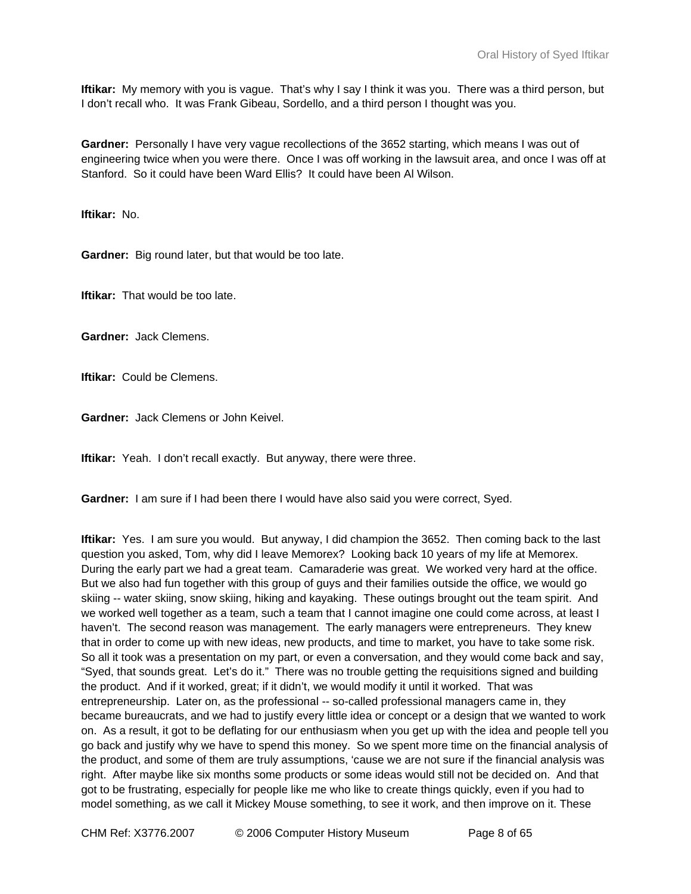**Iftikar:** My memory with you is vague. That's why I say I think it was you. There was a third person, but I don't recall who. It was Frank Gibeau, Sordello, and a third person I thought was you.

**Gardner:** Personally I have very vague recollections of the 3652 starting, which means I was out of engineering twice when you were there. Once I was off working in the lawsuit area, and once I was off at Stanford. So it could have been Ward Ellis? It could have been Al Wilson.

**Iftikar:** No.

**Gardner:** Big round later, but that would be too late.

**Iftikar:** That would be too late.

**Gardner:** Jack Clemens.

**Iftikar:** Could be Clemens.

**Gardner:** Jack Clemens or John Keivel.

**Iftikar:** Yeah. I don't recall exactly. But anyway, there were three.

**Gardner:** I am sure if I had been there I would have also said you were correct, Syed.

**Iftikar:** Yes. I am sure you would. But anyway, I did champion the 3652. Then coming back to the last question you asked, Tom, why did I leave Memorex? Looking back 10 years of my life at Memorex. During the early part we had a great team. Camaraderie was great. We worked very hard at the office. But we also had fun together with this group of guys and their families outside the office, we would go skiing -- water skiing, snow skiing, hiking and kayaking. These outings brought out the team spirit. And we worked well together as a team, such a team that I cannot imagine one could come across, at least I haven't. The second reason was management. The early managers were entrepreneurs. They knew that in order to come up with new ideas, new products, and time to market, you have to take some risk. So all it took was a presentation on my part, or even a conversation, and they would come back and say, "Syed, that sounds great. Let's do it." There was no trouble getting the requisitions signed and building the product. And if it worked, great; if it didn't, we would modify it until it worked. That was entrepreneurship. Later on, as the professional -- so-called professional managers came in, they became bureaucrats, and we had to justify every little idea or concept or a design that we wanted to work on. As a result, it got to be deflating for our enthusiasm when you get up with the idea and people tell you go back and justify why we have to spend this money. So we spent more time on the financial analysis of the product, and some of them are truly assumptions, 'cause we are not sure if the financial analysis was right. After maybe like six months some products or some ideas would still not be decided on. And that got to be frustrating, especially for people like me who like to create things quickly, even if you had to model something, as we call it Mickey Mouse something, to see it work, and then improve on it. These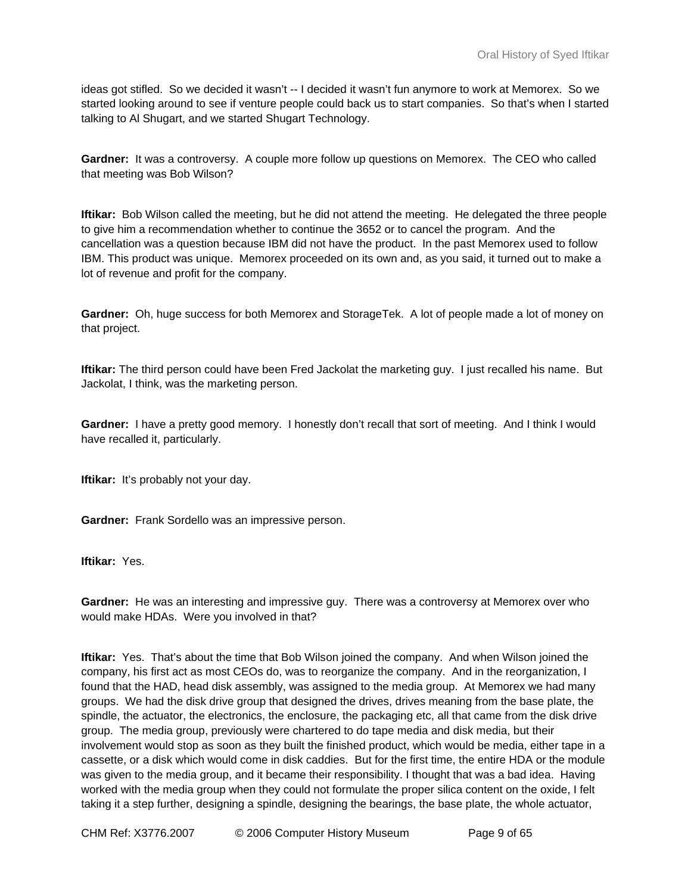ideas got stifled. So we decided it wasn't -- I decided it wasn't fun anymore to work at Memorex. So we started looking around to see if venture people could back us to start companies. So that's when I started talking to Al Shugart, and we started Shugart Technology.

**Gardner:** It was a controversy. A couple more follow up questions on Memorex. The CEO who called that meeting was Bob Wilson?

**Iftikar:** Bob Wilson called the meeting, but he did not attend the meeting. He delegated the three people to give him a recommendation whether to continue the 3652 or to cancel the program. And the cancellation was a question because IBM did not have the product. In the past Memorex used to follow IBM. This product was unique. Memorex proceeded on its own and, as you said, it turned out to make a lot of revenue and profit for the company.

**Gardner:** Oh, huge success for both Memorex and StorageTek. A lot of people made a lot of money on that project.

**Iftikar:** The third person could have been Fred Jackolat the marketing guy. I just recalled his name. But Jackolat, I think, was the marketing person.

**Gardner:** I have a pretty good memory. I honestly don't recall that sort of meeting. And I think I would have recalled it, particularly.

**Iftikar:** It's probably not your day.

**Gardner:** Frank Sordello was an impressive person.

**Iftikar:** Yes.

**Gardner:** He was an interesting and impressive guy. There was a controversy at Memorex over who would make HDAs. Were you involved in that?

**Iftikar:** Yes. That's about the time that Bob Wilson joined the company. And when Wilson joined the company, his first act as most CEOs do, was to reorganize the company. And in the reorganization, I found that the HAD, head disk assembly, was assigned to the media group. At Memorex we had many groups. We had the disk drive group that designed the drives, drives meaning from the base plate, the spindle, the actuator, the electronics, the enclosure, the packaging etc, all that came from the disk drive group. The media group, previously were chartered to do tape media and disk media, but their involvement would stop as soon as they built the finished product, which would be media, either tape in a cassette, or a disk which would come in disk caddies. But for the first time, the entire HDA or the module was given to the media group, and it became their responsibility. I thought that was a bad idea. Having worked with the media group when they could not formulate the proper silica content on the oxide, I felt taking it a step further, designing a spindle, designing the bearings, the base plate, the whole actuator,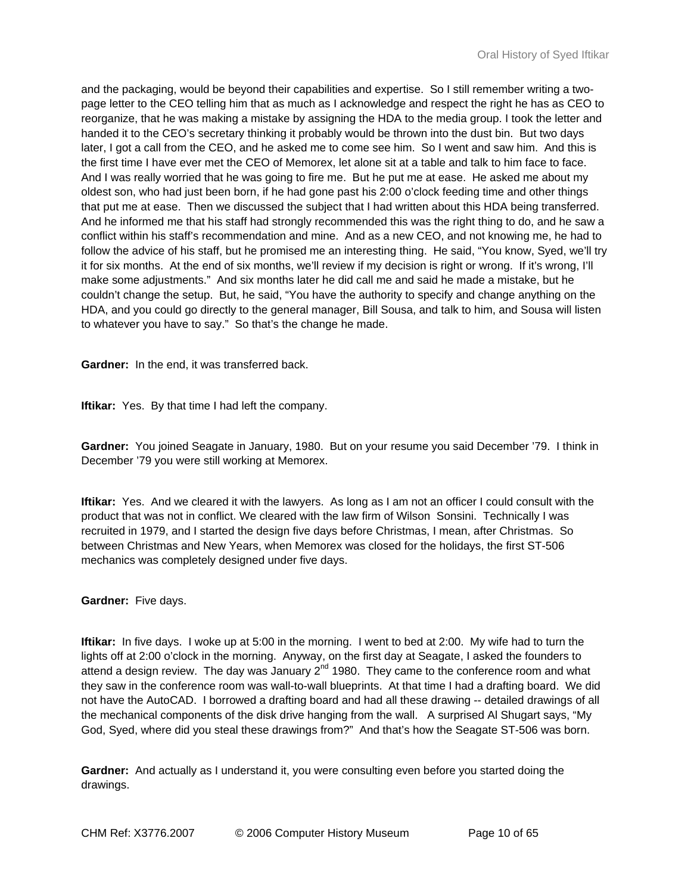and the packaging, would be beyond their capabilities and expertise. So I still remember writing a twopage letter to the CEO telling him that as much as I acknowledge and respect the right he has as CEO to reorganize, that he was making a mistake by assigning the HDA to the media group. I took the letter and handed it to the CEO's secretary thinking it probably would be thrown into the dust bin. But two days later, I got a call from the CEO, and he asked me to come see him. So I went and saw him. And this is the first time I have ever met the CEO of Memorex, let alone sit at a table and talk to him face to face. And I was really worried that he was going to fire me. But he put me at ease. He asked me about my oldest son, who had just been born, if he had gone past his 2:00 o'clock feeding time and other things that put me at ease. Then we discussed the subject that I had written about this HDA being transferred. And he informed me that his staff had strongly recommended this was the right thing to do, and he saw a conflict within his staff's recommendation and mine. And as a new CEO, and not knowing me, he had to follow the advice of his staff, but he promised me an interesting thing. He said, "You know, Syed, we'll try it for six months. At the end of six months, we'll review if my decision is right or wrong. If it's wrong, I'll make some adjustments." And six months later he did call me and said he made a mistake, but he couldn't change the setup. But, he said, "You have the authority to specify and change anything on the HDA, and you could go directly to the general manager, Bill Sousa, and talk to him, and Sousa will listen to whatever you have to say." So that's the change he made.

**Gardner:** In the end, it was transferred back.

**Iftikar:** Yes. By that time I had left the company.

**Gardner:** You joined Seagate in January, 1980. But on your resume you said December '79. I think in December '79 you were still working at Memorex.

**Iftikar:** Yes. And we cleared it with the lawyers. As long as I am not an officer I could consult with the product that was not in conflict. We cleared with the law firm of Wilson Sonsini. Technically I was recruited in 1979, and I started the design five days before Christmas, I mean, after Christmas. So between Christmas and New Years, when Memorex was closed for the holidays, the first ST-506 mechanics was completely designed under five days.

**Gardner:** Five days.

**Iftikar:** In five days. I woke up at 5:00 in the morning. I went to bed at 2:00. My wife had to turn the lights off at 2:00 o'clock in the morning. Anyway, on the first day at Seagate, I asked the founders to attend a design review. The day was January  $2^{nd}$  1980. They came to the conference room and what they saw in the conference room was wall-to-wall blueprints. At that time I had a drafting board. We did not have the AutoCAD. I borrowed a drafting board and had all these drawing -- detailed drawings of all the mechanical components of the disk drive hanging from the wall. A surprised Al Shugart says, "My God, Syed, where did you steal these drawings from?" And that's how the Seagate ST-506 was born.

**Gardner:** And actually as I understand it, you were consulting even before you started doing the drawings.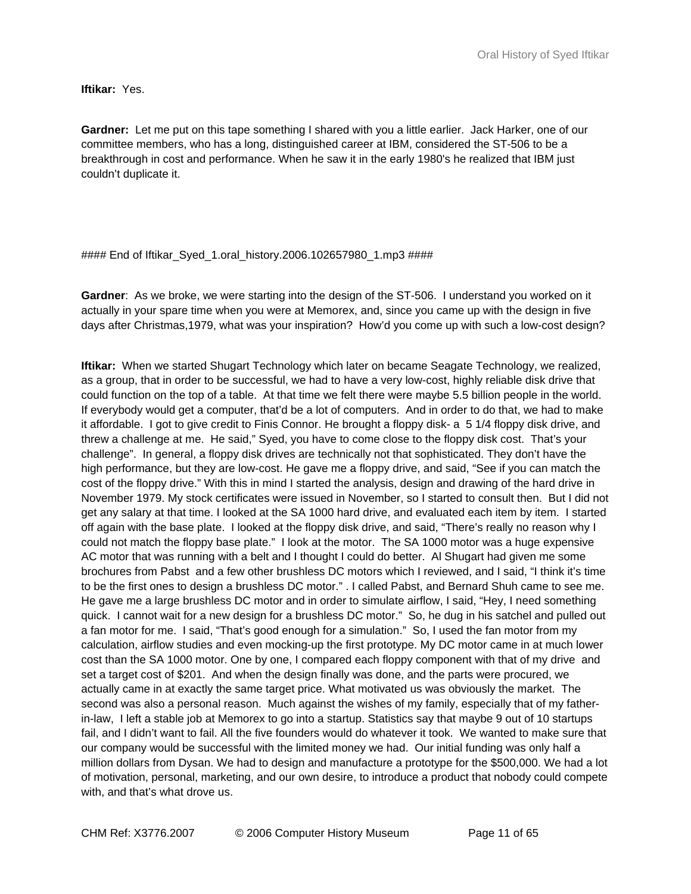**Iftikar:** Yes.

**Gardner:** Let me put on this tape something I shared with you a little earlier. Jack Harker, one of our committee members, who has a long, distinguished career at IBM, considered the ST-506 to be a breakthrough in cost and performance. When he saw it in the early 1980's he realized that IBM just couldn't duplicate it.

# #### End of Iftikar\_Syed\_1.oral\_history.2006.102657980\_1.mp3 ####

**Gardner**: As we broke, we were starting into the design of the ST-506. I understand you worked on it actually in your spare time when you were at Memorex, and, since you came up with the design in five days after Christmas,1979, what was your inspiration? How'd you come up with such a low-cost design?

**Iftikar:** When we started Shugart Technology which later on became Seagate Technology, we realized, as a group, that in order to be successful, we had to have a very low-cost, highly reliable disk drive that could function on the top of a table. At that time we felt there were maybe 5.5 billion people in the world. If everybody would get a computer, that'd be a lot of computers. And in order to do that, we had to make it affordable. I got to give credit to Finis Connor. He brought a floppy disk- a 5 1/4 floppy disk drive, and threw a challenge at me. He said," Syed, you have to come close to the floppy disk cost. That's your challenge". In general, a floppy disk drives are technically not that sophisticated. They don't have the high performance, but they are low-cost. He gave me a floppy drive, and said, "See if you can match the cost of the floppy drive." With this in mind I started the analysis, design and drawing of the hard drive in November 1979. My stock certificates were issued in November, so I started to consult then. But I did not get any salary at that time. I looked at the SA 1000 hard drive, and evaluated each item by item. I started off again with the base plate. I looked at the floppy disk drive, and said, "There's really no reason why I could not match the floppy base plate." I look at the motor. The SA 1000 motor was a huge expensive AC motor that was running with a belt and I thought I could do better. Al Shugart had given me some brochures from Pabst and a few other brushless DC motors which I reviewed, and I said, "I think it's time to be the first ones to design a brushless DC motor." . I called Pabst, and Bernard Shuh came to see me. He gave me a large brushless DC motor and in order to simulate airflow, I said, "Hey, I need something quick. I cannot wait for a new design for a brushless DC motor." So, he dug in his satchel and pulled out a fan motor for me. I said, "That's good enough for a simulation." So, I used the fan motor from my calculation, airflow studies and even mocking-up the first prototype. My DC motor came in at much lower cost than the SA 1000 motor. One by one, I compared each floppy component with that of my drive and set a target cost of \$201. And when the design finally was done, and the parts were procured, we actually came in at exactly the same target price. What motivated us was obviously the market. The second was also a personal reason. Much against the wishes of my family, especially that of my fatherin-law, I left a stable job at Memorex to go into a startup. Statistics say that maybe 9 out of 10 startups fail, and I didn't want to fail. All the five founders would do whatever it took. We wanted to make sure that our company would be successful with the limited money we had. Our initial funding was only half a million dollars from Dysan. We had to design and manufacture a prototype for the \$500,000. We had a lot of motivation, personal, marketing, and our own desire, to introduce a product that nobody could compete with, and that's what drove us.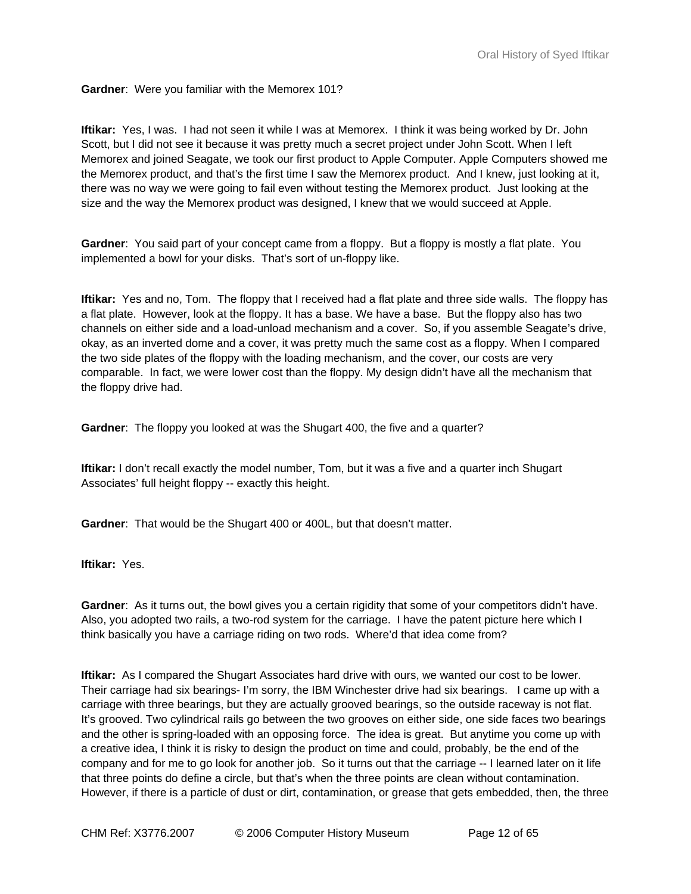### **Gardner**: Were you familiar with the Memorex 101?

**Iftikar:** Yes, I was. I had not seen it while I was at Memorex. I think it was being worked by Dr. John Scott, but I did not see it because it was pretty much a secret project under John Scott. When I left Memorex and joined Seagate, we took our first product to Apple Computer. Apple Computers showed me the Memorex product, and that's the first time I saw the Memorex product. And I knew, just looking at it, there was no way we were going to fail even without testing the Memorex product. Just looking at the size and the way the Memorex product was designed, I knew that we would succeed at Apple.

**Gardner**: You said part of your concept came from a floppy. But a floppy is mostly a flat plate. You implemented a bowl for your disks. That's sort of un-floppy like.

**Iftikar:** Yes and no, Tom. The floppy that I received had a flat plate and three side walls. The floppy has a flat plate. However, look at the floppy. It has a base. We have a base. But the floppy also has two channels on either side and a load-unload mechanism and a cover. So, if you assemble Seagate's drive, okay, as an inverted dome and a cover, it was pretty much the same cost as a floppy. When I compared the two side plates of the floppy with the loading mechanism, and the cover, our costs are very comparable. In fact, we were lower cost than the floppy. My design didn't have all the mechanism that the floppy drive had.

**Gardner**: The floppy you looked at was the Shugart 400, the five and a quarter?

**Iftikar:** I don't recall exactly the model number, Tom, but it was a five and a quarter inch Shugart Associates' full height floppy -- exactly this height.

**Gardner**: That would be the Shugart 400 or 400L, but that doesn't matter.

**Iftikar:** Yes.

**Gardner**: As it turns out, the bowl gives you a certain rigidity that some of your competitors didn't have. Also, you adopted two rails, a two-rod system for the carriage. I have the patent picture here which I think basically you have a carriage riding on two rods. Where'd that idea come from?

**Iftikar:** As I compared the Shugart Associates hard drive with ours, we wanted our cost to be lower. Their carriage had six bearings- I'm sorry, the IBM Winchester drive had six bearings. I came up with a carriage with three bearings, but they are actually grooved bearings, so the outside raceway is not flat. It's grooved. Two cylindrical rails go between the two grooves on either side, one side faces two bearings and the other is spring-loaded with an opposing force. The idea is great. But anytime you come up with a creative idea, I think it is risky to design the product on time and could, probably, be the end of the company and for me to go look for another job. So it turns out that the carriage -- I learned later on it life that three points do define a circle, but that's when the three points are clean without contamination. However, if there is a particle of dust or dirt, contamination, or grease that gets embedded, then, the three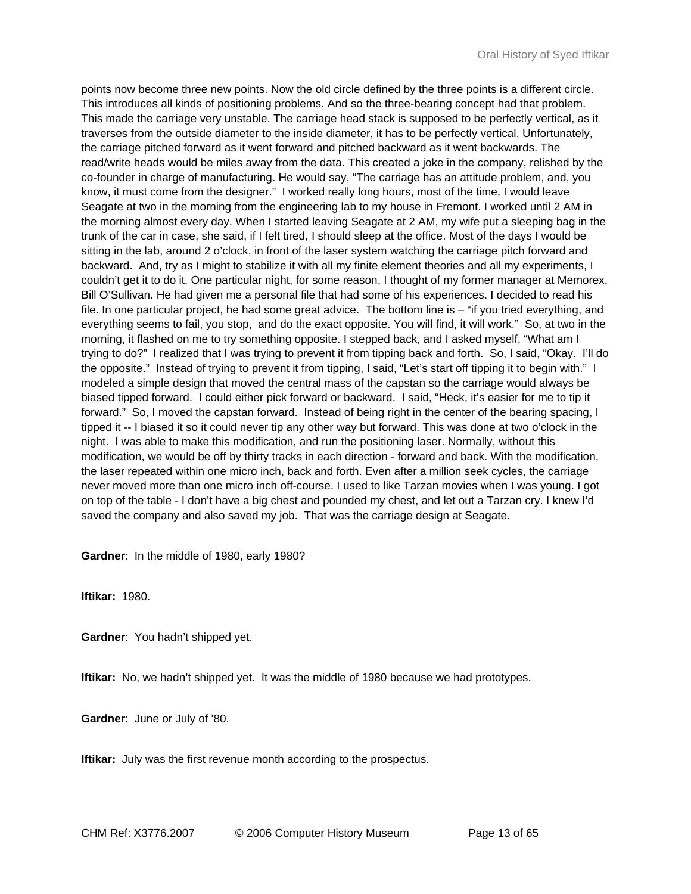points now become three new points. Now the old circle defined by the three points is a different circle. This introduces all kinds of positioning problems. And so the three-bearing concept had that problem. This made the carriage very unstable. The carriage head stack is supposed to be perfectly vertical, as it traverses from the outside diameter to the inside diameter, it has to be perfectly vertical. Unfortunately, the carriage pitched forward as it went forward and pitched backward as it went backwards. The read/write heads would be miles away from the data. This created a joke in the company, relished by the co-founder in charge of manufacturing. He would say, "The carriage has an attitude problem, and, you know, it must come from the designer." I worked really long hours, most of the time, I would leave Seagate at two in the morning from the engineering lab to my house in Fremont. I worked until 2 AM in the morning almost every day. When I started leaving Seagate at 2 AM, my wife put a sleeping bag in the trunk of the car in case, she said, if I felt tired, I should sleep at the office. Most of the days I would be sitting in the lab, around 2 o'clock, in front of the laser system watching the carriage pitch forward and backward. And, try as I might to stabilize it with all my finite element theories and all my experiments, I couldn't get it to do it. One particular night, for some reason, I thought of my former manager at Memorex, Bill O'Sullivan. He had given me a personal file that had some of his experiences. I decided to read his file. In one particular project, he had some great advice. The bottom line is – "if you tried everything, and everything seems to fail, you stop, and do the exact opposite. You will find, it will work." So, at two in the morning, it flashed on me to try something opposite. I stepped back, and I asked myself, "What am I trying to do?" I realized that I was trying to prevent it from tipping back and forth. So, I said, "Okay. I'll do the opposite." Instead of trying to prevent it from tipping, I said, "Let's start off tipping it to begin with." I modeled a simple design that moved the central mass of the capstan so the carriage would always be biased tipped forward. I could either pick forward or backward. I said, "Heck, it's easier for me to tip it forward." So, I moved the capstan forward. Instead of being right in the center of the bearing spacing, I tipped it -- I biased it so it could never tip any other way but forward. This was done at two o'clock in the night. I was able to make this modification, and run the positioning laser. Normally, without this modification, we would be off by thirty tracks in each direction - forward and back. With the modification, the laser repeated within one micro inch, back and forth. Even after a million seek cycles, the carriage never moved more than one micro inch off-course. I used to like Tarzan movies when I was young. I got on top of the table - I don't have a big chest and pounded my chest, and let out a Tarzan cry. I knew I'd saved the company and also saved my job. That was the carriage design at Seagate.

**Gardner**: In the middle of 1980, early 1980?

**Iftikar:** 1980.

**Gardner**: You hadn't shipped yet.

**Iftikar:** No, we hadn't shipped yet. It was the middle of 1980 because we had prototypes.

**Gardner**: June or July of '80.

**Iftikar:** July was the first revenue month according to the prospectus.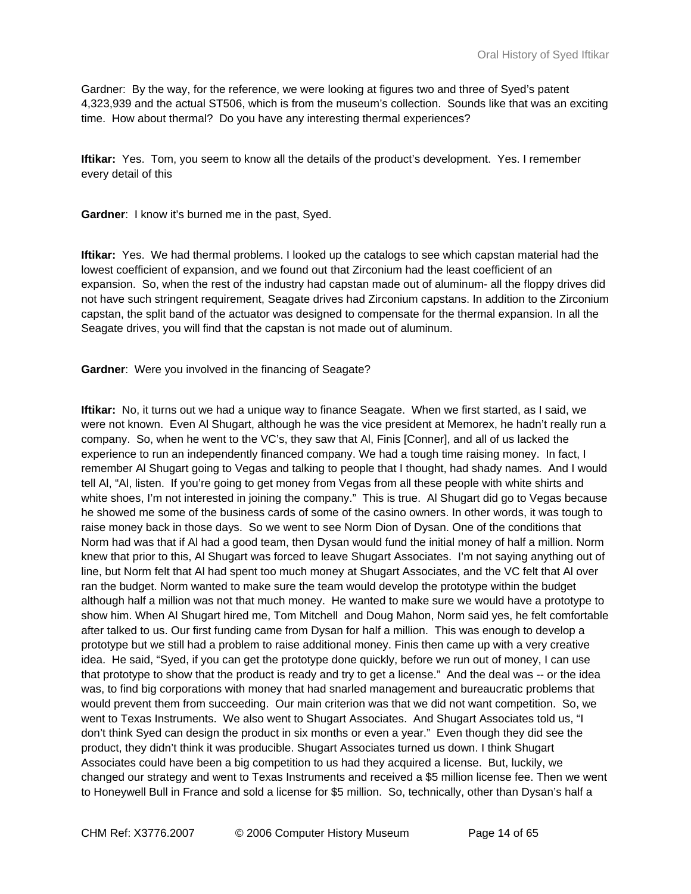Gardner: By the way, for the reference, we were looking at figures two and three of Syed's patent 4,323,939 and the actual ST506, which is from the museum's collection. Sounds like that was an exciting time. How about thermal? Do you have any interesting thermal experiences?

**Iftikar:** Yes. Tom, you seem to know all the details of the product's development. Yes. I remember every detail of this

**Gardner**: I know it's burned me in the past, Syed.

**Iftikar:** Yes. We had thermal problems. I looked up the catalogs to see which capstan material had the lowest coefficient of expansion, and we found out that Zirconium had the least coefficient of an expansion. So, when the rest of the industry had capstan made out of aluminum- all the floppy drives did not have such stringent requirement, Seagate drives had Zirconium capstans. In addition to the Zirconium capstan, the split band of the actuator was designed to compensate for the thermal expansion. In all the Seagate drives, you will find that the capstan is not made out of aluminum.

**Gardner**: Were you involved in the financing of Seagate?

**Iftikar:** No, it turns out we had a unique way to finance Seagate. When we first started, as I said, we were not known. Even Al Shugart, although he was the vice president at Memorex, he hadn't really run a company. So, when he went to the VC's, they saw that Al, Finis [Conner], and all of us lacked the experience to run an independently financed company. We had a tough time raising money. In fact, I remember Al Shugart going to Vegas and talking to people that I thought, had shady names. And I would tell Al, "Al, listen. If you're going to get money from Vegas from all these people with white shirts and white shoes, I'm not interested in joining the company." This is true. Al Shugart did go to Vegas because he showed me some of the business cards of some of the casino owners. In other words, it was tough to raise money back in those days. So we went to see Norm Dion of Dysan. One of the conditions that Norm had was that if Al had a good team, then Dysan would fund the initial money of half a million. Norm knew that prior to this, Al Shugart was forced to leave Shugart Associates. I'm not saying anything out of line, but Norm felt that Al had spent too much money at Shugart Associates, and the VC felt that Al over ran the budget. Norm wanted to make sure the team would develop the prototype within the budget although half a million was not that much money. He wanted to make sure we would have a prototype to show him. When Al Shugart hired me, Tom Mitchell and Doug Mahon, Norm said yes, he felt comfortable after talked to us. Our first funding came from Dysan for half a million. This was enough to develop a prototype but we still had a problem to raise additional money. Finis then came up with a very creative idea. He said, "Syed, if you can get the prototype done quickly, before we run out of money, I can use that prototype to show that the product is ready and try to get a license." And the deal was -- or the idea was, to find big corporations with money that had snarled management and bureaucratic problems that would prevent them from succeeding. Our main criterion was that we did not want competition. So, we went to Texas Instruments. We also went to Shugart Associates. And Shugart Associates told us, "I don't think Syed can design the product in six months or even a year." Even though they did see the product, they didn't think it was producible. Shugart Associates turned us down. I think Shugart Associates could have been a big competition to us had they acquired a license. But, luckily, we changed our strategy and went to Texas Instruments and received a \$5 million license fee. Then we went to Honeywell Bull in France and sold a license for \$5 million. So, technically, other than Dysan's half a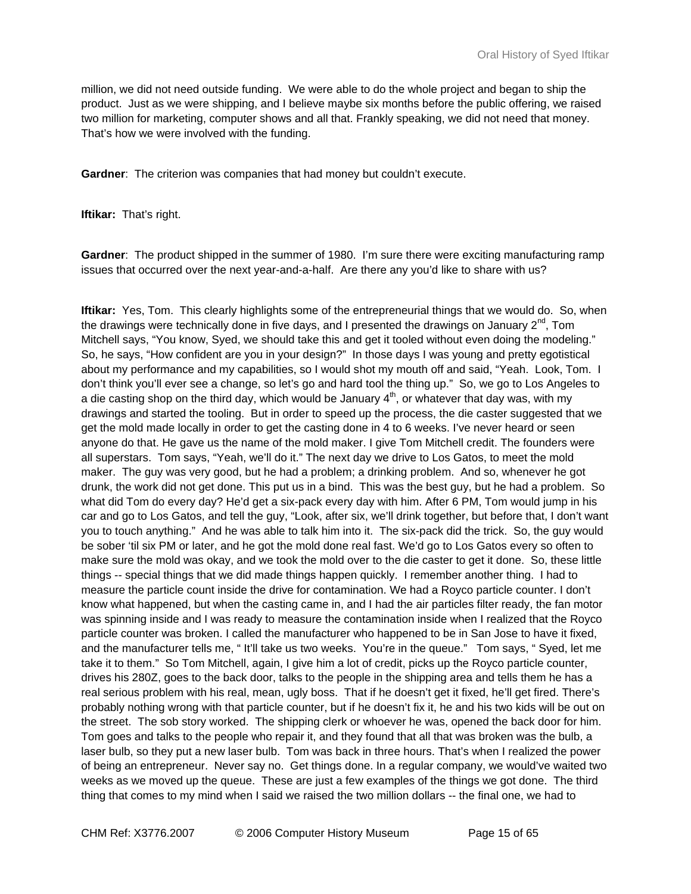million, we did not need outside funding. We were able to do the whole project and began to ship the product. Just as we were shipping, and I believe maybe six months before the public offering, we raised two million for marketing, computer shows and all that. Frankly speaking, we did not need that money. That's how we were involved with the funding.

**Gardner**: The criterion was companies that had money but couldn't execute.

**Iftikar:** That's right.

**Gardner**: The product shipped in the summer of 1980. I'm sure there were exciting manufacturing ramp issues that occurred over the next year-and-a-half. Are there any you'd like to share with us?

**Iftikar:** Yes, Tom. This clearly highlights some of the entrepreneurial things that we would do. So, when the drawings were technically done in five days, and I presented the drawings on January  $2^{nd}$ , Tom Mitchell says, "You know, Syed, we should take this and get it tooled without even doing the modeling." So, he says, "How confident are you in your design?" In those days I was young and pretty egotistical about my performance and my capabilities, so I would shot my mouth off and said, "Yeah. Look, Tom. I don't think you'll ever see a change, so let's go and hard tool the thing up." So, we go to Los Angeles to a die casting shop on the third day, which would be January  $4<sup>th</sup>$ , or whatever that day was, with my drawings and started the tooling. But in order to speed up the process, the die caster suggested that we get the mold made locally in order to get the casting done in 4 to 6 weeks. I've never heard or seen anyone do that. He gave us the name of the mold maker. I give Tom Mitchell credit. The founders were all superstars. Tom says, "Yeah, we'll do it." The next day we drive to Los Gatos, to meet the mold maker. The guy was very good, but he had a problem; a drinking problem. And so, whenever he got drunk, the work did not get done. This put us in a bind. This was the best guy, but he had a problem. So what did Tom do every day? He'd get a six-pack every day with him. After 6 PM, Tom would jump in his car and go to Los Gatos, and tell the guy, "Look, after six, we'll drink together, but before that, I don't want you to touch anything." And he was able to talk him into it. The six-pack did the trick. So, the guy would be sober 'til six PM or later, and he got the mold done real fast. We'd go to Los Gatos every so often to make sure the mold was okay, and we took the mold over to the die caster to get it done. So, these little things -- special things that we did made things happen quickly. I remember another thing. I had to measure the particle count inside the drive for contamination. We had a Royco particle counter. I don't know what happened, but when the casting came in, and I had the air particles filter ready, the fan motor was spinning inside and I was ready to measure the contamination inside when I realized that the Royco particle counter was broken. I called the manufacturer who happened to be in San Jose to have it fixed, and the manufacturer tells me, " It'll take us two weeks. You're in the queue." Tom says, " Syed, let me take it to them." So Tom Mitchell, again, I give him a lot of credit, picks up the Royco particle counter, drives his 280Z, goes to the back door, talks to the people in the shipping area and tells them he has a real serious problem with his real, mean, ugly boss. That if he doesn't get it fixed, he'll get fired. There's probably nothing wrong with that particle counter, but if he doesn't fix it, he and his two kids will be out on the street. The sob story worked. The shipping clerk or whoever he was, opened the back door for him. Tom goes and talks to the people who repair it, and they found that all that was broken was the bulb, a laser bulb, so they put a new laser bulb. Tom was back in three hours. That's when I realized the power of being an entrepreneur. Never say no. Get things done. In a regular company, we would've waited two weeks as we moved up the queue. These are just a few examples of the things we got done. The third thing that comes to my mind when I said we raised the two million dollars -- the final one, we had to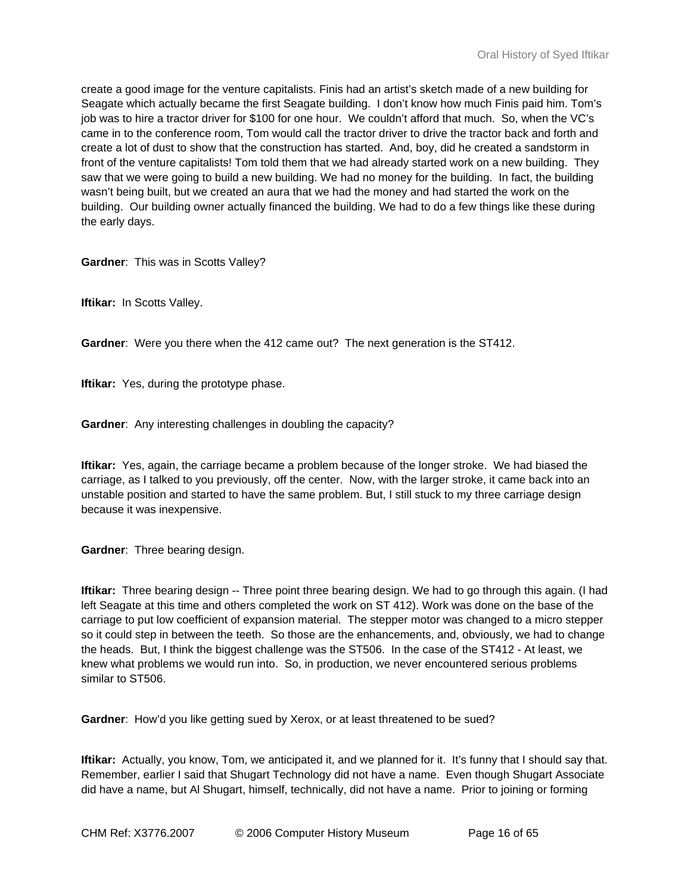create a good image for the venture capitalists. Finis had an artist's sketch made of a new building for Seagate which actually became the first Seagate building. I don't know how much Finis paid him. Tom's job was to hire a tractor driver for \$100 for one hour. We couldn't afford that much. So, when the VC's came in to the conference room, Tom would call the tractor driver to drive the tractor back and forth and create a lot of dust to show that the construction has started. And, boy, did he created a sandstorm in front of the venture capitalists! Tom told them that we had already started work on a new building. They saw that we were going to build a new building. We had no money for the building. In fact, the building wasn't being built, but we created an aura that we had the money and had started the work on the building. Our building owner actually financed the building. We had to do a few things like these during the early days.

**Gardner**: This was in Scotts Valley?

**Iftikar:** In Scotts Valley.

**Gardner**: Were you there when the 412 came out? The next generation is the ST412.

**Iftikar:** Yes, during the prototype phase.

**Gardner**: Any interesting challenges in doubling the capacity?

**Iftikar:** Yes, again, the carriage became a problem because of the longer stroke. We had biased the carriage, as I talked to you previously, off the center. Now, with the larger stroke, it came back into an unstable position and started to have the same problem. But, I still stuck to my three carriage design because it was inexpensive.

**Gardner**: Three bearing design.

**Iftikar:** Three bearing design -- Three point three bearing design. We had to go through this again. (I had left Seagate at this time and others completed the work on ST 412). Work was done on the base of the carriage to put low coefficient of expansion material. The stepper motor was changed to a micro stepper so it could step in between the teeth. So those are the enhancements, and, obviously, we had to change the heads. But, I think the biggest challenge was the ST506. In the case of the ST412 - At least, we knew what problems we would run into. So, in production, we never encountered serious problems similar to ST506.

**Gardner**: How'd you like getting sued by Xerox, or at least threatened to be sued?

**Iftikar:** Actually, you know, Tom, we anticipated it, and we planned for it. It's funny that I should say that. Remember, earlier I said that Shugart Technology did not have a name. Even though Shugart Associate did have a name, but Al Shugart, himself, technically, did not have a name. Prior to joining or forming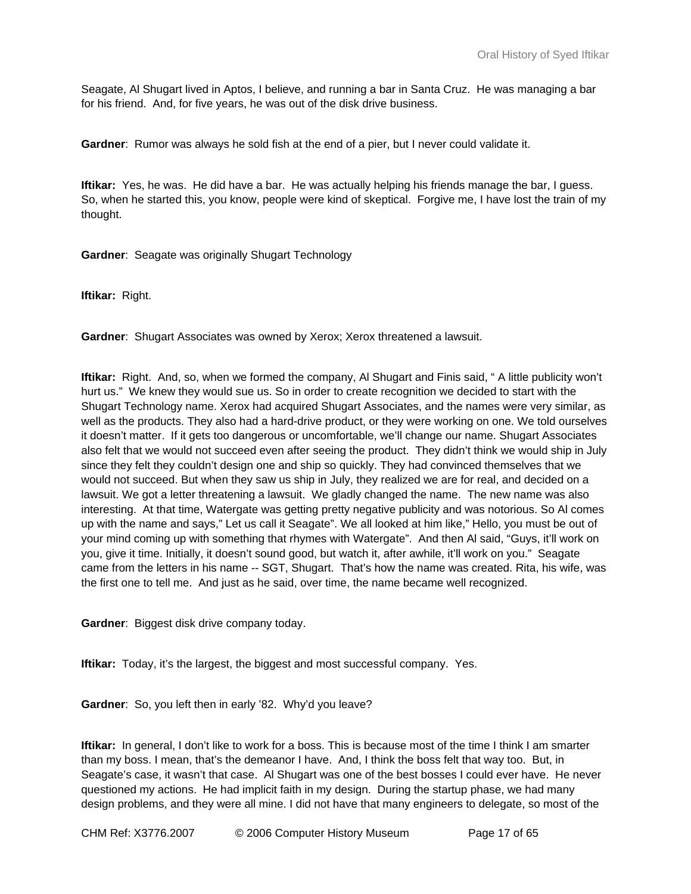Seagate, Al Shugart lived in Aptos, I believe, and running a bar in Santa Cruz. He was managing a bar for his friend. And, for five years, he was out of the disk drive business.

**Gardner**: Rumor was always he sold fish at the end of a pier, but I never could validate it.

**Iftikar:** Yes, he was. He did have a bar. He was actually helping his friends manage the bar, I guess. So, when he started this, you know, people were kind of skeptical. Forgive me, I have lost the train of my thought.

**Gardner**: Seagate was originally Shugart Technology

**Iftikar:** Right.

**Gardner**: Shugart Associates was owned by Xerox; Xerox threatened a lawsuit.

**Iftikar:** Right. And, so, when we formed the company, Al Shugart and Finis said, " A little publicity won't hurt us." We knew they would sue us. So in order to create recognition we decided to start with the Shugart Technology name. Xerox had acquired Shugart Associates, and the names were very similar, as well as the products. They also had a hard-drive product, or they were working on one. We told ourselves it doesn't matter. If it gets too dangerous or uncomfortable, we'll change our name. Shugart Associates also felt that we would not succeed even after seeing the product. They didn't think we would ship in July since they felt they couldn't design one and ship so quickly. They had convinced themselves that we would not succeed. But when they saw us ship in July, they realized we are for real, and decided on a lawsuit. We got a letter threatening a lawsuit. We gladly changed the name. The new name was also interesting. At that time, Watergate was getting pretty negative publicity and was notorious. So Al comes up with the name and says," Let us call it Seagate". We all looked at him like," Hello, you must be out of your mind coming up with something that rhymes with Watergate". And then Al said, "Guys, it'll work on you, give it time. Initially, it doesn't sound good, but watch it, after awhile, it'll work on you." Seagate came from the letters in his name -- SGT, Shugart. That's how the name was created. Rita, his wife, was the first one to tell me. And just as he said, over time, the name became well recognized.

**Gardner**: Biggest disk drive company today.

**Iftikar:** Today, it's the largest, the biggest and most successful company. Yes.

**Gardner**: So, you left then in early '82. Why'd you leave?

**Iftikar:** In general, I don't like to work for a boss. This is because most of the time I think I am smarter than my boss. I mean, that's the demeanor I have. And, I think the boss felt that way too. But, in Seagate's case, it wasn't that case. Al Shugart was one of the best bosses I could ever have. He never questioned my actions. He had implicit faith in my design. During the startup phase, we had many design problems, and they were all mine. I did not have that many engineers to delegate, so most of the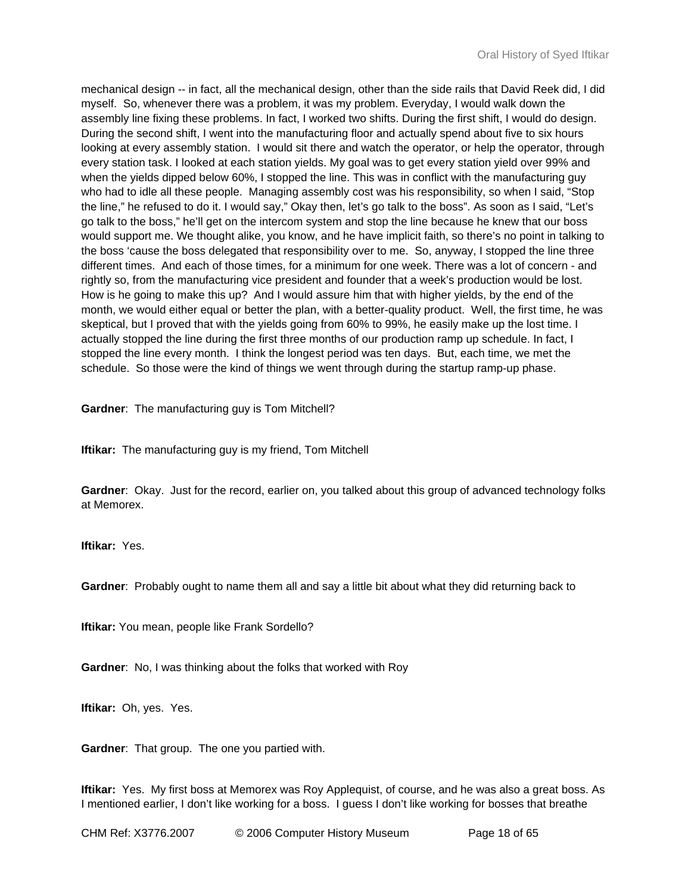mechanical design -- in fact, all the mechanical design, other than the side rails that David Reek did, I did myself. So, whenever there was a problem, it was my problem. Everyday, I would walk down the assembly line fixing these problems. In fact, I worked two shifts. During the first shift, I would do design. During the second shift, I went into the manufacturing floor and actually spend about five to six hours looking at every assembly station. I would sit there and watch the operator, or help the operator, through every station task. I looked at each station yields. My goal was to get every station yield over 99% and when the yields dipped below 60%, I stopped the line. This was in conflict with the manufacturing guy who had to idle all these people. Managing assembly cost was his responsibility, so when I said, "Stop the line," he refused to do it. I would say," Okay then, let's go talk to the boss". As soon as I said, "Let's go talk to the boss," he'll get on the intercom system and stop the line because he knew that our boss would support me. We thought alike, you know, and he have implicit faith, so there's no point in talking to the boss 'cause the boss delegated that responsibility over to me. So, anyway, I stopped the line three different times. And each of those times, for a minimum for one week. There was a lot of concern - and rightly so, from the manufacturing vice president and founder that a week's production would be lost. How is he going to make this up? And I would assure him that with higher yields, by the end of the month, we would either equal or better the plan, with a better-quality product. Well, the first time, he was skeptical, but I proved that with the yields going from 60% to 99%, he easily make up the lost time. I actually stopped the line during the first three months of our production ramp up schedule. In fact, I stopped the line every month. I think the longest period was ten days. But, each time, we met the schedule. So those were the kind of things we went through during the startup ramp-up phase.

**Gardner**: The manufacturing guy is Tom Mitchell?

**Iftikar:** The manufacturing guy is my friend, Tom Mitchell

**Gardner**: Okay. Just for the record, earlier on, you talked about this group of advanced technology folks at Memorex.

**Iftikar:** Yes.

**Gardner**: Probably ought to name them all and say a little bit about what they did returning back to

**Iftikar:** You mean, people like Frank Sordello?

**Gardner**: No, I was thinking about the folks that worked with Roy

**Iftikar:** Oh, yes. Yes.

**Gardner**: That group. The one you partied with.

**Iftikar:** Yes. My first boss at Memorex was Roy Applequist, of course, and he was also a great boss. As I mentioned earlier, I don't like working for a boss. I guess I don't like working for bosses that breathe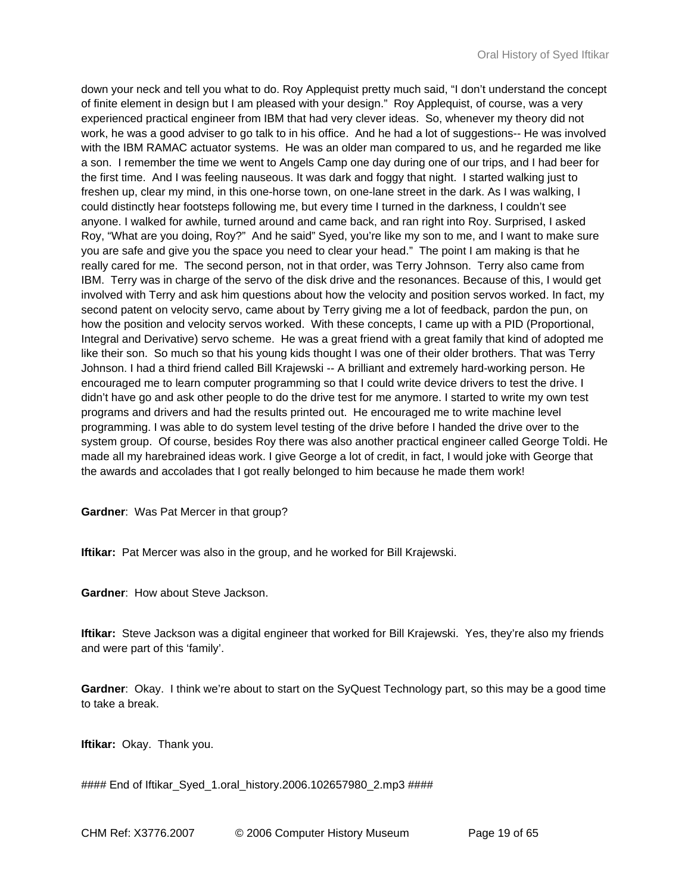down your neck and tell you what to do. Roy Applequist pretty much said, "I don't understand the concept of finite element in design but I am pleased with your design." Roy Applequist, of course, was a very experienced practical engineer from IBM that had very clever ideas. So, whenever my theory did not work, he was a good adviser to go talk to in his office. And he had a lot of suggestions-- He was involved with the IBM RAMAC actuator systems. He was an older man compared to us, and he regarded me like a son. I remember the time we went to Angels Camp one day during one of our trips, and I had beer for the first time. And I was feeling nauseous. It was dark and foggy that night. I started walking just to freshen up, clear my mind, in this one-horse town, on one-lane street in the dark. As I was walking, I could distinctly hear footsteps following me, but every time I turned in the darkness, I couldn't see anyone. I walked for awhile, turned around and came back, and ran right into Roy. Surprised, I asked Roy, "What are you doing, Roy?" And he said" Syed, you're like my son to me, and I want to make sure you are safe and give you the space you need to clear your head." The point I am making is that he really cared for me. The second person, not in that order, was Terry Johnson. Terry also came from IBM. Terry was in charge of the servo of the disk drive and the resonances. Because of this, I would get involved with Terry and ask him questions about how the velocity and position servos worked. In fact, my second patent on velocity servo, came about by Terry giving me a lot of feedback, pardon the pun, on how the position and velocity servos worked. With these concepts, I came up with a PID (Proportional, Integral and Derivative) servo scheme. He was a great friend with a great family that kind of adopted me like their son. So much so that his young kids thought I was one of their older brothers. That was Terry Johnson. I had a third friend called Bill Krajewski -- A brilliant and extremely hard-working person. He encouraged me to learn computer programming so that I could write device drivers to test the drive. I didn't have go and ask other people to do the drive test for me anymore. I started to write my own test programs and drivers and had the results printed out. He encouraged me to write machine level programming. I was able to do system level testing of the drive before I handed the drive over to the system group. Of course, besides Roy there was also another practical engineer called George Toldi. He made all my harebrained ideas work. I give George a lot of credit, in fact, I would joke with George that the awards and accolades that I got really belonged to him because he made them work!

**Gardner**: Was Pat Mercer in that group?

**Iftikar:** Pat Mercer was also in the group, and he worked for Bill Krajewski.

**Gardner**: How about Steve Jackson.

**Iftikar:** Steve Jackson was a digital engineer that worked for Bill Krajewski. Yes, they're also my friends and were part of this 'family'.

**Gardner**: Okay. I think we're about to start on the SyQuest Technology part, so this may be a good time to take a break.

**Iftikar:** Okay. Thank you.

#### End of Iftikar\_Syed\_1.oral\_history.2006.102657980\_2.mp3 ####

CHM Ref: X3776.2007 © 2006 Computer History Museum Page 19 of 65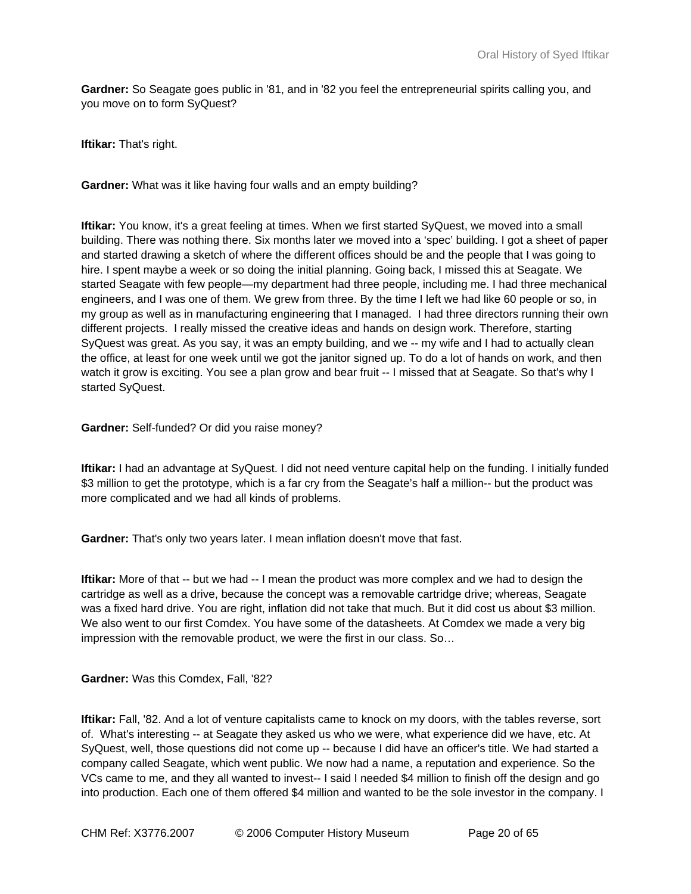**Gardner:** So Seagate goes public in '81, and in '82 you feel the entrepreneurial spirits calling you, and you move on to form SyQuest?

**Iftikar:** That's right.

**Gardner:** What was it like having four walls and an empty building?

**Iftikar:** You know, it's a great feeling at times. When we first started SyQuest, we moved into a small building. There was nothing there. Six months later we moved into a 'spec' building. I got a sheet of paper and started drawing a sketch of where the different offices should be and the people that I was going to hire. I spent maybe a week or so doing the initial planning. Going back, I missed this at Seagate. We started Seagate with few people—my department had three people, including me. I had three mechanical engineers, and I was one of them. We grew from three. By the time I left we had like 60 people or so, in my group as well as in manufacturing engineering that I managed. I had three directors running their own different projects. I really missed the creative ideas and hands on design work. Therefore, starting SyQuest was great. As you say, it was an empty building, and we -- my wife and I had to actually clean the office, at least for one week until we got the janitor signed up. To do a lot of hands on work, and then watch it grow is exciting. You see a plan grow and bear fruit -- I missed that at Seagate. So that's why I started SyQuest.

**Gardner:** Self-funded? Or did you raise money?

**Iftikar:** I had an advantage at SyQuest. I did not need venture capital help on the funding. I initially funded \$3 million to get the prototype, which is a far cry from the Seagate's half a million-- but the product was more complicated and we had all kinds of problems.

**Gardner:** That's only two years later. I mean inflation doesn't move that fast.

**Iftikar:** More of that -- but we had -- I mean the product was more complex and we had to design the cartridge as well as a drive, because the concept was a removable cartridge drive; whereas, Seagate was a fixed hard drive. You are right, inflation did not take that much. But it did cost us about \$3 million. We also went to our first Comdex. You have some of the datasheets. At Comdex we made a very big impression with the removable product, we were the first in our class. So…

**Gardner:** Was this Comdex, Fall, '82?

**Iftikar:** Fall, '82. And a lot of venture capitalists came to knock on my doors, with the tables reverse, sort of. What's interesting -- at Seagate they asked us who we were, what experience did we have, etc. At SyQuest, well, those questions did not come up -- because I did have an officer's title. We had started a company called Seagate, which went public. We now had a name, a reputation and experience. So the VCs came to me, and they all wanted to invest-- I said I needed \$4 million to finish off the design and go into production. Each one of them offered \$4 million and wanted to be the sole investor in the company. I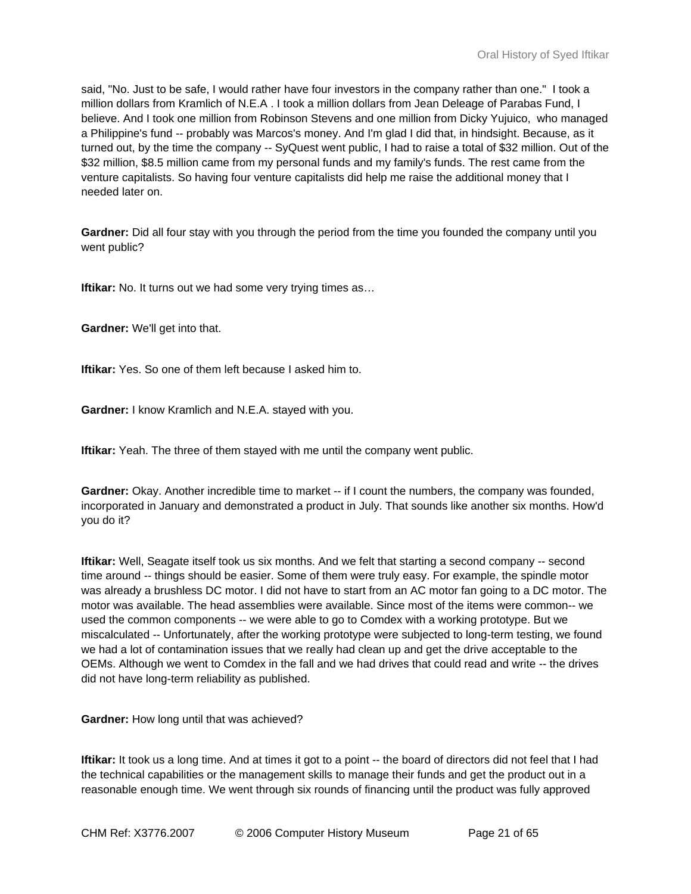said, "No. Just to be safe, I would rather have four investors in the company rather than one." I took a million dollars from Kramlich of N.E.A . I took a million dollars from Jean Deleage of Parabas Fund, I believe. And I took one million from Robinson Stevens and one million from Dicky Yujuico, who managed a Philippine's fund -- probably was Marcos's money. And I'm glad I did that, in hindsight. Because, as it turned out, by the time the company -- SyQuest went public, I had to raise a total of \$32 million. Out of the \$32 million, \$8.5 million came from my personal funds and my family's funds. The rest came from the venture capitalists. So having four venture capitalists did help me raise the additional money that I needed later on.

**Gardner:** Did all four stay with you through the period from the time you founded the company until you went public?

**Iftikar:** No. It turns out we had some very trying times as...

**Gardner:** We'll get into that.

**Iftikar:** Yes. So one of them left because I asked him to.

**Gardner:** I know Kramlich and N.E.A. stayed with you.

**Iftikar:** Yeah. The three of them stayed with me until the company went public.

Gardner: Okay. Another incredible time to market -- if I count the numbers, the company was founded, incorporated in January and demonstrated a product in July. That sounds like another six months. How'd you do it?

**Iftikar:** Well, Seagate itself took us six months. And we felt that starting a second company -- second time around -- things should be easier. Some of them were truly easy. For example, the spindle motor was already a brushless DC motor. I did not have to start from an AC motor fan going to a DC motor. The motor was available. The head assemblies were available. Since most of the items were common-- we used the common components -- we were able to go to Comdex with a working prototype. But we miscalculated -- Unfortunately, after the working prototype were subjected to long-term testing, we found we had a lot of contamination issues that we really had clean up and get the drive acceptable to the OEMs. Although we went to Comdex in the fall and we had drives that could read and write -- the drives did not have long-term reliability as published.

**Gardner:** How long until that was achieved?

**Iftikar:** It took us a long time. And at times it got to a point -- the board of directors did not feel that I had the technical capabilities or the management skills to manage their funds and get the product out in a reasonable enough time. We went through six rounds of financing until the product was fully approved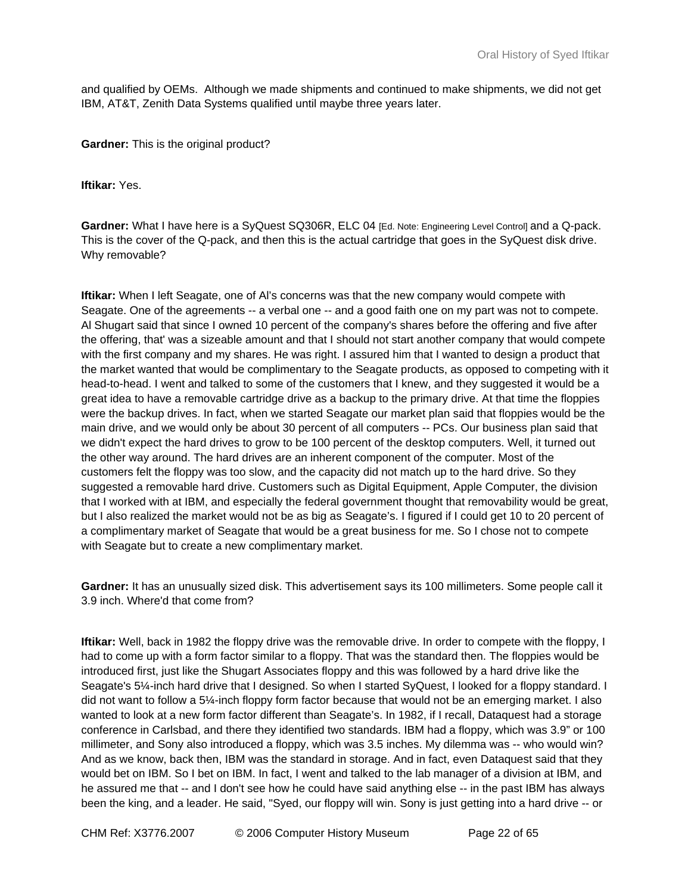and qualified by OEMs. Although we made shipments and continued to make shipments, we did not get IBM, AT&T, Zenith Data Systems qualified until maybe three years later.

**Gardner:** This is the original product?

**Iftikar:** Yes.

Gardner: What I have here is a SyQuest SQ306R, ELC 04 [Ed. Note: Engineering Level Control] and a Q-pack. This is the cover of the Q-pack, and then this is the actual cartridge that goes in the SyQuest disk drive. Why removable?

**Iftikar:** When I left Seagate, one of Al's concerns was that the new company would compete with Seagate. One of the agreements -- a verbal one -- and a good faith one on my part was not to compete. Al Shugart said that since I owned 10 percent of the company's shares before the offering and five after the offering, that' was a sizeable amount and that I should not start another company that would compete with the first company and my shares. He was right. I assured him that I wanted to design a product that the market wanted that would be complimentary to the Seagate products, as opposed to competing with it head-to-head. I went and talked to some of the customers that I knew, and they suggested it would be a great idea to have a removable cartridge drive as a backup to the primary drive. At that time the floppies were the backup drives. In fact, when we started Seagate our market plan said that floppies would be the main drive, and we would only be about 30 percent of all computers -- PCs. Our business plan said that we didn't expect the hard drives to grow to be 100 percent of the desktop computers. Well, it turned out the other way around. The hard drives are an inherent component of the computer. Most of the customers felt the floppy was too slow, and the capacity did not match up to the hard drive. So they suggested a removable hard drive. Customers such as Digital Equipment, Apple Computer, the division that I worked with at IBM, and especially the federal government thought that removability would be great, but I also realized the market would not be as big as Seagate's. I figured if I could get 10 to 20 percent of a complimentary market of Seagate that would be a great business for me. So I chose not to compete with Seagate but to create a new complimentary market.

**Gardner:** It has an unusually sized disk. This advertisement says its 100 millimeters. Some people call it 3.9 inch. Where'd that come from?

**Iftikar:** Well, back in 1982 the floppy drive was the removable drive. In order to compete with the floppy, I had to come up with a form factor similar to a floppy. That was the standard then. The floppies would be introduced first, just like the Shugart Associates floppy and this was followed by a hard drive like the Seagate's 5¼-inch hard drive that I designed. So when I started SyQuest, I looked for a floppy standard. I did not want to follow a 5¼-inch floppy form factor because that would not be an emerging market. I also wanted to look at a new form factor different than Seagate's. In 1982, if I recall, Dataquest had a storage conference in Carlsbad, and there they identified two standards. IBM had a floppy, which was 3.9" or 100 millimeter, and Sony also introduced a floppy, which was 3.5 inches. My dilemma was -- who would win? And as we know, back then, IBM was the standard in storage. And in fact, even Dataquest said that they would bet on IBM. So I bet on IBM. In fact, I went and talked to the lab manager of a division at IBM, and he assured me that -- and I don't see how he could have said anything else -- in the past IBM has always been the king, and a leader. He said, "Syed, our floppy will win. Sony is just getting into a hard drive -- or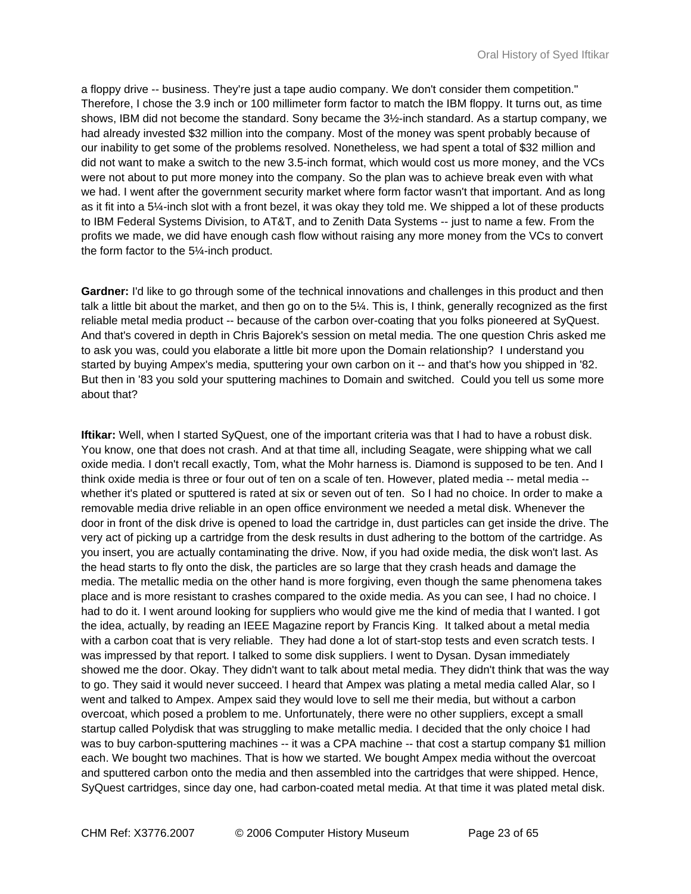a floppy drive -- business. They're just a tape audio company. We don't consider them competition." Therefore, I chose the 3.9 inch or 100 millimeter form factor to match the IBM floppy. It turns out, as time shows, IBM did not become the standard. Sony became the 3½-inch standard. As a startup company, we had already invested \$32 million into the company. Most of the money was spent probably because of our inability to get some of the problems resolved. Nonetheless, we had spent a total of \$32 million and did not want to make a switch to the new 3.5-inch format, which would cost us more money, and the VCs were not about to put more money into the company. So the plan was to achieve break even with what we had. I went after the government security market where form factor wasn't that important. And as long as it fit into a 5¼-inch slot with a front bezel, it was okay they told me. We shipped a lot of these products to IBM Federal Systems Division, to AT&T, and to Zenith Data Systems -- just to name a few. From the profits we made, we did have enough cash flow without raising any more money from the VCs to convert the form factor to the 5¼-inch product.

**Gardner:** I'd like to go through some of the technical innovations and challenges in this product and then talk a little bit about the market, and then go on to the 5¼. This is, I think, generally recognized as the first reliable metal media product -- because of the carbon over-coating that you folks pioneered at SyQuest. And that's covered in depth in Chris Bajorek's session on metal media. The one question Chris asked me to ask you was, could you elaborate a little bit more upon the Domain relationship? I understand you started by buying Ampex's media, sputtering your own carbon on it -- and that's how you shipped in '82. But then in '83 you sold your sputtering machines to Domain and switched. Could you tell us some more about that?

**Iftikar:** Well, when I started SyQuest, one of the important criteria was that I had to have a robust disk. You know, one that does not crash. And at that time all, including Seagate, were shipping what we call oxide media. I don't recall exactly, Tom, what the Mohr harness is. Diamond is supposed to be ten. And I think oxide media is three or four out of ten on a scale of ten. However, plated media -- metal media - whether it's plated or sputtered is rated at six or seven out of ten. So I had no choice. In order to make a removable media drive reliable in an open office environment we needed a metal disk. Whenever the door in front of the disk drive is opened to load the cartridge in, dust particles can get inside the drive. The very act of picking up a cartridge from the desk results in dust adhering to the bottom of the cartridge. As you insert, you are actually contaminating the drive. Now, if you had oxide media, the disk won't last. As the head starts to fly onto the disk, the particles are so large that they crash heads and damage the media. The metallic media on the other hand is more forgiving, even though the same phenomena takes place and is more resistant to crashes compared to the oxide media. As you can see, I had no choice. I had to do it. I went around looking for suppliers who would give me the kind of media that I wanted. I got the idea, actually, by reading an IEEE Magazine report by Francis King. It talked about a metal media with a carbon coat that is very reliable. They had done a lot of start-stop tests and even scratch tests. I was impressed by that report. I talked to some disk suppliers. I went to Dysan. Dysan immediately showed me the door. Okay. They didn't want to talk about metal media. They didn't think that was the way to go. They said it would never succeed. I heard that Ampex was plating a metal media called Alar, so I went and talked to Ampex. Ampex said they would love to sell me their media, but without a carbon overcoat, which posed a problem to me. Unfortunately, there were no other suppliers, except a small startup called Polydisk that was struggling to make metallic media. I decided that the only choice I had was to buy carbon-sputtering machines -- it was a CPA machine -- that cost a startup company \$1 million each. We bought two machines. That is how we started. We bought Ampex media without the overcoat and sputtered carbon onto the media and then assembled into the cartridges that were shipped. Hence, SyQuest cartridges, since day one, had carbon-coated metal media. At that time it was plated metal disk.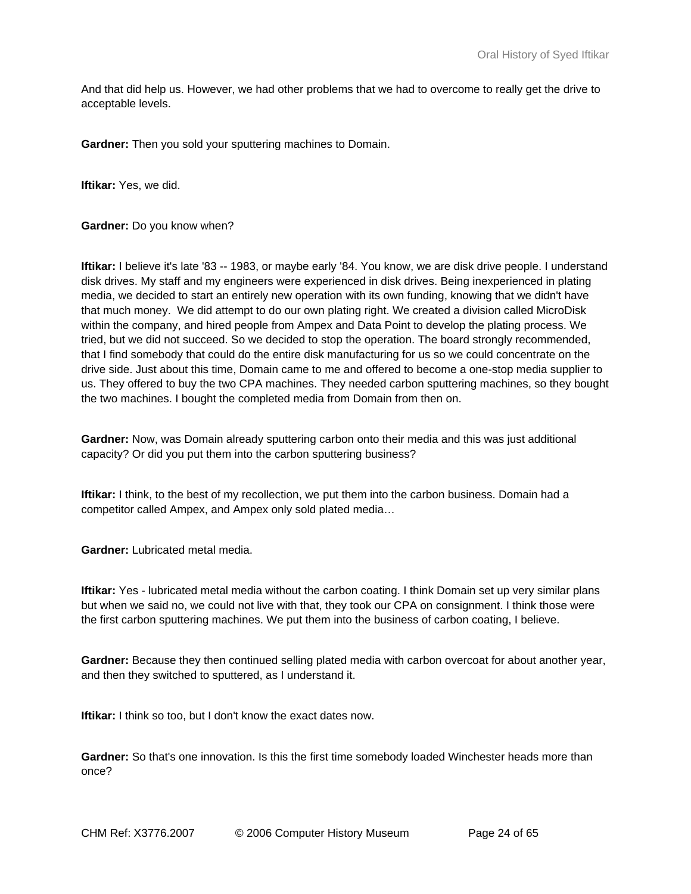And that did help us. However, we had other problems that we had to overcome to really get the drive to acceptable levels.

**Gardner:** Then you sold your sputtering machines to Domain.

**Iftikar:** Yes, we did.

**Gardner:** Do you know when?

**Iftikar:** I believe it's late '83 -- 1983, or maybe early '84. You know, we are disk drive people. I understand disk drives. My staff and my engineers were experienced in disk drives. Being inexperienced in plating media, we decided to start an entirely new operation with its own funding, knowing that we didn't have that much money. We did attempt to do our own plating right. We created a division called MicroDisk within the company, and hired people from Ampex and Data Point to develop the plating process. We tried, but we did not succeed. So we decided to stop the operation. The board strongly recommended, that I find somebody that could do the entire disk manufacturing for us so we could concentrate on the drive side. Just about this time, Domain came to me and offered to become a one-stop media supplier to us. They offered to buy the two CPA machines. They needed carbon sputtering machines, so they bought the two machines. I bought the completed media from Domain from then on.

**Gardner:** Now, was Domain already sputtering carbon onto their media and this was just additional capacity? Or did you put them into the carbon sputtering business?

**Iftikar:** I think, to the best of my recollection, we put them into the carbon business. Domain had a competitor called Ampex, and Ampex only sold plated media…

**Gardner:** Lubricated metal media.

**Iftikar:** Yes - lubricated metal media without the carbon coating. I think Domain set up very similar plans but when we said no, we could not live with that, they took our CPA on consignment. I think those were the first carbon sputtering machines. We put them into the business of carbon coating, I believe.

**Gardner:** Because they then continued selling plated media with carbon overcoat for about another year, and then they switched to sputtered, as I understand it.

**Iftikar:** I think so too, but I don't know the exact dates now.

**Gardner:** So that's one innovation. Is this the first time somebody loaded Winchester heads more than once?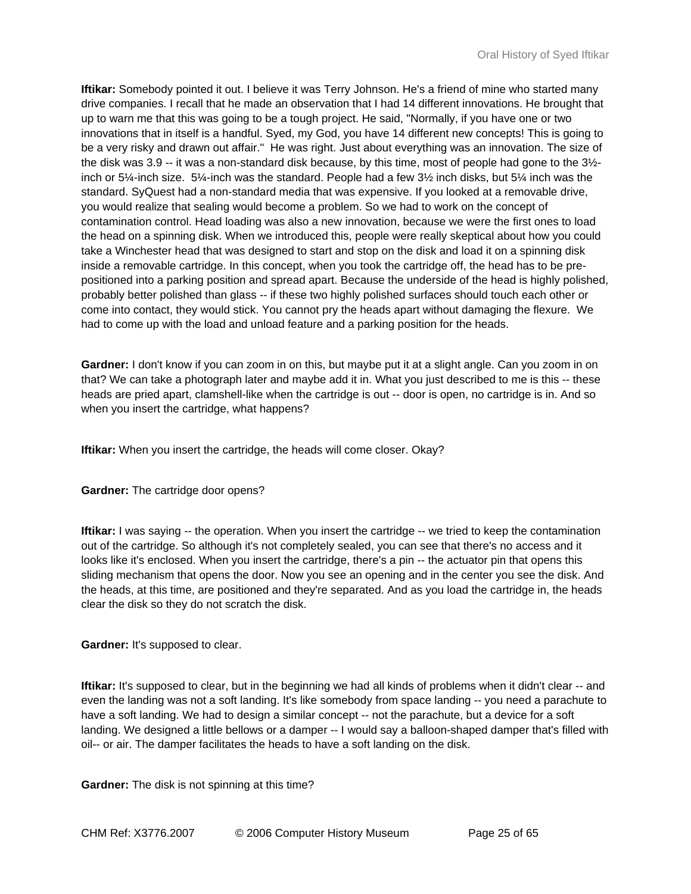**Iftikar:** Somebody pointed it out. I believe it was Terry Johnson. He's a friend of mine who started many drive companies. I recall that he made an observation that I had 14 different innovations. He brought that up to warn me that this was going to be a tough project. He said, "Normally, if you have one or two innovations that in itself is a handful. Syed, my God, you have 14 different new concepts! This is going to be a very risky and drawn out affair." He was right. Just about everything was an innovation. The size of the disk was 3.9 -- it was a non-standard disk because, by this time, most of people had gone to the 3½ inch or 5¼-inch size. 5¼-inch was the standard. People had a few 3½ inch disks, but 5¼ inch was the standard. SyQuest had a non-standard media that was expensive. If you looked at a removable drive, you would realize that sealing would become a problem. So we had to work on the concept of contamination control. Head loading was also a new innovation, because we were the first ones to load the head on a spinning disk. When we introduced this, people were really skeptical about how you could take a Winchester head that was designed to start and stop on the disk and load it on a spinning disk inside a removable cartridge. In this concept, when you took the cartridge off, the head has to be prepositioned into a parking position and spread apart. Because the underside of the head is highly polished, probably better polished than glass -- if these two highly polished surfaces should touch each other or come into contact, they would stick. You cannot pry the heads apart without damaging the flexure. We had to come up with the load and unload feature and a parking position for the heads.

**Gardner:** I don't know if you can zoom in on this, but maybe put it at a slight angle. Can you zoom in on that? We can take a photograph later and maybe add it in. What you just described to me is this -- these heads are pried apart, clamshell-like when the cartridge is out -- door is open, no cartridge is in. And so when you insert the cartridge, what happens?

**Iftikar:** When you insert the cartridge, the heads will come closer. Okay?

**Gardner:** The cartridge door opens?

**Iftikar:** I was saying -- the operation. When you insert the cartridge -- we tried to keep the contamination out of the cartridge. So although it's not completely sealed, you can see that there's no access and it looks like it's enclosed. When you insert the cartridge, there's a pin -- the actuator pin that opens this sliding mechanism that opens the door. Now you see an opening and in the center you see the disk. And the heads, at this time, are positioned and they're separated. And as you load the cartridge in, the heads clear the disk so they do not scratch the disk.

**Gardner:** It's supposed to clear.

**Iftikar:** It's supposed to clear, but in the beginning we had all kinds of problems when it didn't clear -- and even the landing was not a soft landing. It's like somebody from space landing -- you need a parachute to have a soft landing. We had to design a similar concept -- not the parachute, but a device for a soft landing. We designed a little bellows or a damper -- I would say a balloon-shaped damper that's filled with oil-- or air. The damper facilitates the heads to have a soft landing on the disk.

**Gardner:** The disk is not spinning at this time?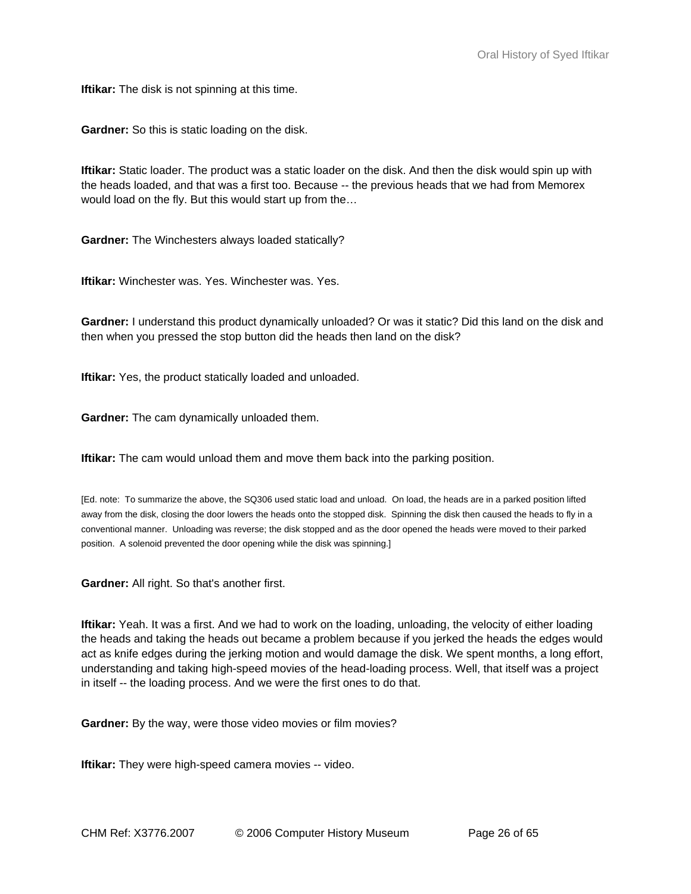**Iftikar:** The disk is not spinning at this time.

**Gardner:** So this is static loading on the disk.

**Iftikar:** Static loader. The product was a static loader on the disk. And then the disk would spin up with the heads loaded, and that was a first too. Because -- the previous heads that we had from Memorex would load on the fly. But this would start up from the…

**Gardner:** The Winchesters always loaded statically?

**Iftikar:** Winchester was. Yes. Winchester was. Yes.

**Gardner:** I understand this product dynamically unloaded? Or was it static? Did this land on the disk and then when you pressed the stop button did the heads then land on the disk?

**Iftikar:** Yes, the product statically loaded and unloaded.

**Gardner:** The cam dynamically unloaded them.

**Iftikar:** The cam would unload them and move them back into the parking position.

[Ed. note: To summarize the above, the SQ306 used static load and unload. On load, the heads are in a parked position lifted away from the disk, closing the door lowers the heads onto the stopped disk. Spinning the disk then caused the heads to fly in a conventional manner. Unloading was reverse; the disk stopped and as the door opened the heads were moved to their parked position. A solenoid prevented the door opening while the disk was spinning.]

**Gardner:** All right. So that's another first.

**Iftikar:** Yeah. It was a first. And we had to work on the loading, unloading, the velocity of either loading the heads and taking the heads out became a problem because if you jerked the heads the edges would act as knife edges during the jerking motion and would damage the disk. We spent months, a long effort, understanding and taking high-speed movies of the head-loading process. Well, that itself was a project in itself -- the loading process. And we were the first ones to do that.

**Gardner:** By the way, were those video movies or film movies?

**Iftikar:** They were high-speed camera movies -- video.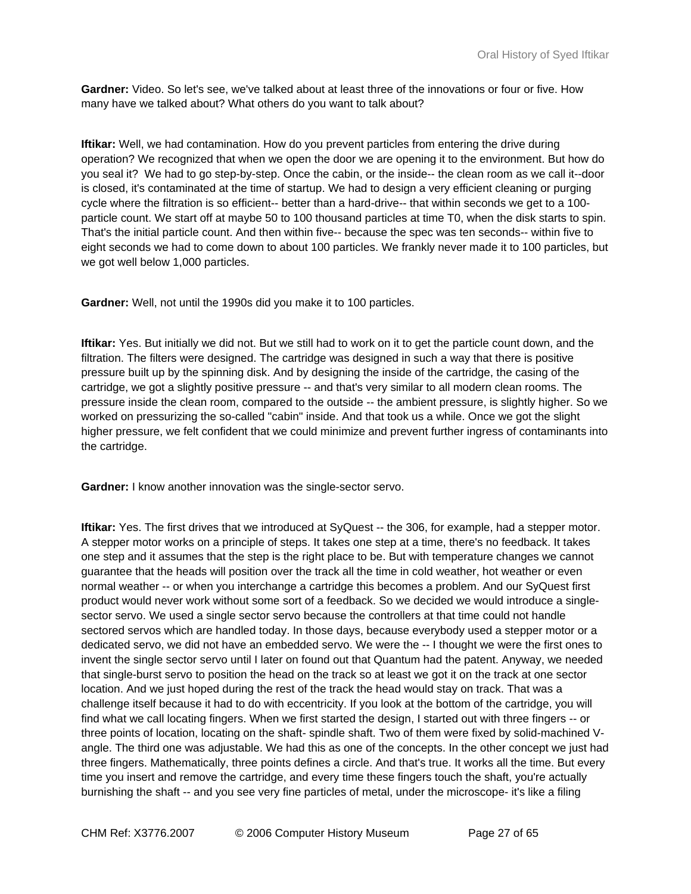**Gardner:** Video. So let's see, we've talked about at least three of the innovations or four or five. How many have we talked about? What others do you want to talk about?

**Iftikar:** Well, we had contamination. How do you prevent particles from entering the drive during operation? We recognized that when we open the door we are opening it to the environment. But how do you seal it? We had to go step-by-step. Once the cabin, or the inside-- the clean room as we call it--door is closed, it's contaminated at the time of startup. We had to design a very efficient cleaning or purging cycle where the filtration is so efficient-- better than a hard-drive-- that within seconds we get to a 100 particle count. We start off at maybe 50 to 100 thousand particles at time T0, when the disk starts to spin. That's the initial particle count. And then within five-- because the spec was ten seconds-- within five to eight seconds we had to come down to about 100 particles. We frankly never made it to 100 particles, but we got well below 1,000 particles.

**Gardner:** Well, not until the 1990s did you make it to 100 particles.

**Iftikar:** Yes. But initially we did not. But we still had to work on it to get the particle count down, and the filtration. The filters were designed. The cartridge was designed in such a way that there is positive pressure built up by the spinning disk. And by designing the inside of the cartridge, the casing of the cartridge, we got a slightly positive pressure -- and that's very similar to all modern clean rooms. The pressure inside the clean room, compared to the outside -- the ambient pressure, is slightly higher. So we worked on pressurizing the so-called "cabin" inside. And that took us a while. Once we got the slight higher pressure, we felt confident that we could minimize and prevent further ingress of contaminants into the cartridge.

**Gardner:** I know another innovation was the single-sector servo.

**Iftikar:** Yes. The first drives that we introduced at SyQuest -- the 306, for example, had a stepper motor. A stepper motor works on a principle of steps. It takes one step at a time, there's no feedback. It takes one step and it assumes that the step is the right place to be. But with temperature changes we cannot guarantee that the heads will position over the track all the time in cold weather, hot weather or even normal weather -- or when you interchange a cartridge this becomes a problem. And our SyQuest first product would never work without some sort of a feedback. So we decided we would introduce a singlesector servo. We used a single sector servo because the controllers at that time could not handle sectored servos which are handled today. In those days, because everybody used a stepper motor or a dedicated servo, we did not have an embedded servo. We were the -- I thought we were the first ones to invent the single sector servo until I later on found out that Quantum had the patent. Anyway, we needed that single-burst servo to position the head on the track so at least we got it on the track at one sector location. And we just hoped during the rest of the track the head would stay on track. That was a challenge itself because it had to do with eccentricity. If you look at the bottom of the cartridge, you will find what we call locating fingers. When we first started the design, I started out with three fingers -- or three points of location, locating on the shaft- spindle shaft. Two of them were fixed by solid-machined Vangle. The third one was adjustable. We had this as one of the concepts. In the other concept we just had three fingers. Mathematically, three points defines a circle. And that's true. It works all the time. But every time you insert and remove the cartridge, and every time these fingers touch the shaft, you're actually burnishing the shaft -- and you see very fine particles of metal, under the microscope- it's like a filing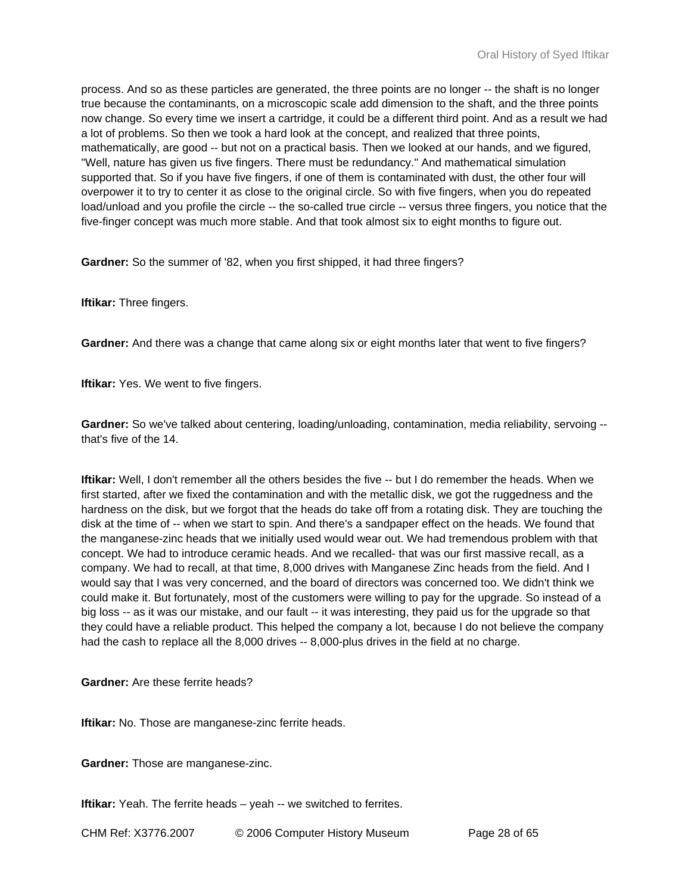process. And so as these particles are generated, the three points are no longer -- the shaft is no longer true because the contaminants, on a microscopic scale add dimension to the shaft, and the three points now change. So every time we insert a cartridge, it could be a different third point. And as a result we had a lot of problems. So then we took a hard look at the concept, and realized that three points, mathematically, are good -- but not on a practical basis. Then we looked at our hands, and we figured, "Well, nature has given us five fingers. There must be redundancy." And mathematical simulation supported that. So if you have five fingers, if one of them is contaminated with dust, the other four will overpower it to try to center it as close to the original circle. So with five fingers, when you do repeated load/unload and you profile the circle -- the so-called true circle -- versus three fingers, you notice that the five-finger concept was much more stable. And that took almost six to eight months to figure out.

**Gardner:** So the summer of '82, when you first shipped, it had three fingers?

**Iftikar:** Three fingers.

**Gardner:** And there was a change that came along six or eight months later that went to five fingers?

**Iftikar:** Yes. We went to five fingers.

Gardner: So we've talked about centering, loading/unloading, contamination, media reliability, servoing -that's five of the 14.

**Iftikar:** Well, I don't remember all the others besides the five -- but I do remember the heads. When we first started, after we fixed the contamination and with the metallic disk, we got the ruggedness and the hardness on the disk, but we forgot that the heads do take off from a rotating disk. They are touching the disk at the time of -- when we start to spin. And there's a sandpaper effect on the heads. We found that the manganese-zinc heads that we initially used would wear out. We had tremendous problem with that concept. We had to introduce ceramic heads. And we recalled- that was our first massive recall, as a company. We had to recall, at that time, 8,000 drives with Manganese Zinc heads from the field. And I would say that I was very concerned, and the board of directors was concerned too. We didn't think we could make it. But fortunately, most of the customers were willing to pay for the upgrade. So instead of a big loss -- as it was our mistake, and our fault -- it was interesting, they paid us for the upgrade so that they could have a reliable product. This helped the company a lot, because I do not believe the company had the cash to replace all the 8,000 drives -- 8,000-plus drives in the field at no charge.

**Gardner:** Are these ferrite heads?

**Iftikar:** No. Those are manganese-zinc ferrite heads.

**Gardner:** Those are manganese-zinc.

**Iftikar:** Yeah. The ferrite heads – yeah -- we switched to ferrites.

CHM Ref: X3776.2007 © 2006 Computer History Museum Page 28 of 65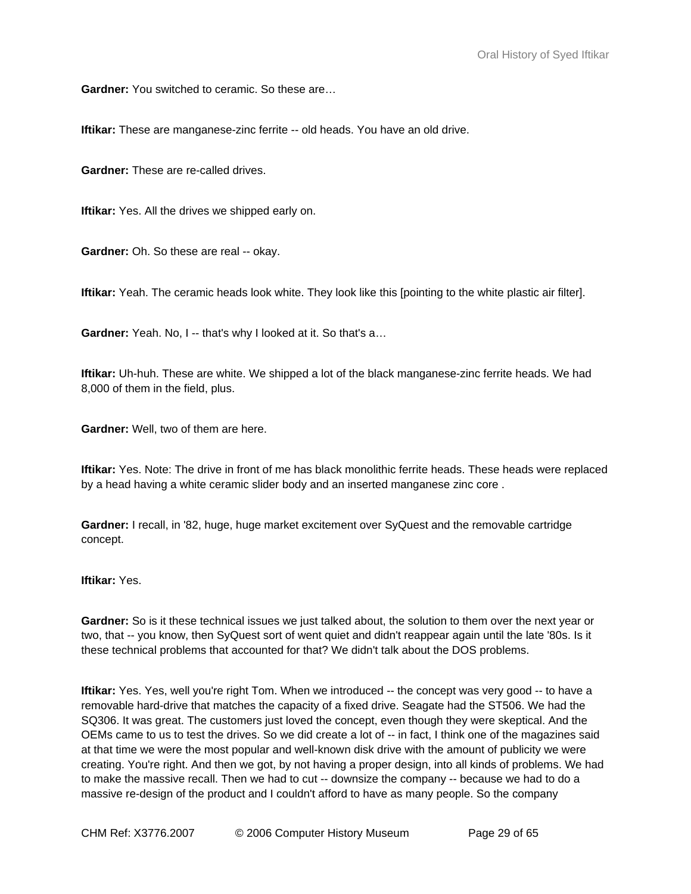**Gardner:** You switched to ceramic. So these are…

**Iftikar:** These are manganese-zinc ferrite -- old heads. You have an old drive.

**Gardner:** These are re-called drives.

**Iftikar:** Yes. All the drives we shipped early on.

**Gardner:** Oh. So these are real -- okay.

**Iftikar:** Yeah. The ceramic heads look white. They look like this [pointing to the white plastic air filter].

**Gardner:** Yeah. No, I -- that's why I looked at it. So that's a...

**Iftikar:** Uh-huh. These are white. We shipped a lot of the black manganese-zinc ferrite heads. We had 8,000 of them in the field, plus.

**Gardner:** Well, two of them are here.

**Iftikar:** Yes. Note: The drive in front of me has black monolithic ferrite heads. These heads were replaced by a head having a white ceramic slider body and an inserted manganese zinc core .

**Gardner:** I recall, in '82, huge, huge market excitement over SyQuest and the removable cartridge concept.

**Iftikar:** Yes.

**Gardner:** So is it these technical issues we just talked about, the solution to them over the next year or two, that -- you know, then SyQuest sort of went quiet and didn't reappear again until the late '80s. Is it these technical problems that accounted for that? We didn't talk about the DOS problems.

**Iftikar:** Yes. Yes, well you're right Tom. When we introduced -- the concept was very good -- to have a removable hard-drive that matches the capacity of a fixed drive. Seagate had the ST506. We had the SQ306. It was great. The customers just loved the concept, even though they were skeptical. And the OEMs came to us to test the drives. So we did create a lot of -- in fact, I think one of the magazines said at that time we were the most popular and well-known disk drive with the amount of publicity we were creating. You're right. And then we got, by not having a proper design, into all kinds of problems. We had to make the massive recall. Then we had to cut -- downsize the company -- because we had to do a massive re-design of the product and I couldn't afford to have as many people. So the company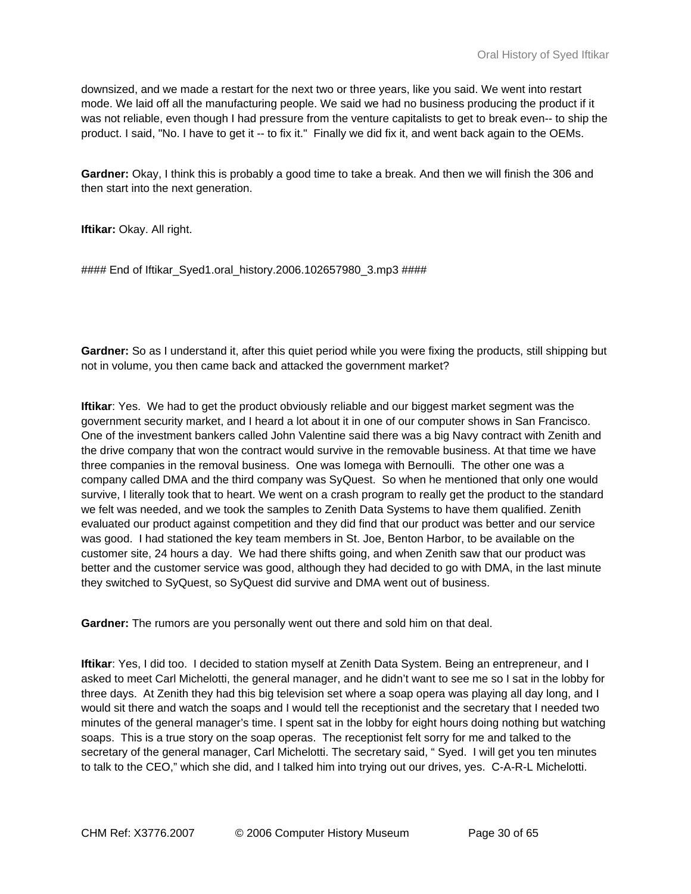downsized, and we made a restart for the next two or three years, like you said. We went into restart mode. We laid off all the manufacturing people. We said we had no business producing the product if it was not reliable, even though I had pressure from the venture capitalists to get to break even-- to ship the product. I said, "No. I have to get it -- to fix it." Finally we did fix it, and went back again to the OEMs.

**Gardner:** Okay, I think this is probably a good time to take a break. And then we will finish the 306 and then start into the next generation.

**Iftikar:** Okay. All right.

#### End of Iftikar\_Syed1.oral\_history.2006.102657980\_3.mp3 ####

**Gardner:** So as I understand it, after this quiet period while you were fixing the products, still shipping but not in volume, you then came back and attacked the government market?

**Iftikar**: Yes. We had to get the product obviously reliable and our biggest market segment was the government security market, and I heard a lot about it in one of our computer shows in San Francisco. One of the investment bankers called John Valentine said there was a big Navy contract with Zenith and the drive company that won the contract would survive in the removable business. At that time we have three companies in the removal business. One was Iomega with Bernoulli. The other one was a company called DMA and the third company was SyQuest. So when he mentioned that only one would survive, I literally took that to heart. We went on a crash program to really get the product to the standard we felt was needed, and we took the samples to Zenith Data Systems to have them qualified. Zenith evaluated our product against competition and they did find that our product was better and our service was good. I had stationed the key team members in St. Joe, Benton Harbor, to be available on the customer site, 24 hours a day. We had there shifts going, and when Zenith saw that our product was better and the customer service was good, although they had decided to go with DMA, in the last minute they switched to SyQuest, so SyQuest did survive and DMA went out of business.

**Gardner:** The rumors are you personally went out there and sold him on that deal.

**Iftikar**: Yes, I did too. I decided to station myself at Zenith Data System. Being an entrepreneur, and I asked to meet Carl Michelotti, the general manager, and he didn't want to see me so I sat in the lobby for three days. At Zenith they had this big television set where a soap opera was playing all day long, and I would sit there and watch the soaps and I would tell the receptionist and the secretary that I needed two minutes of the general manager's time. I spent sat in the lobby for eight hours doing nothing but watching soaps. This is a true story on the soap operas. The receptionist felt sorry for me and talked to the secretary of the general manager, Carl Michelotti. The secretary said, " Syed. I will get you ten minutes to talk to the CEO," which she did, and I talked him into trying out our drives, yes. C-A-R-L Michelotti.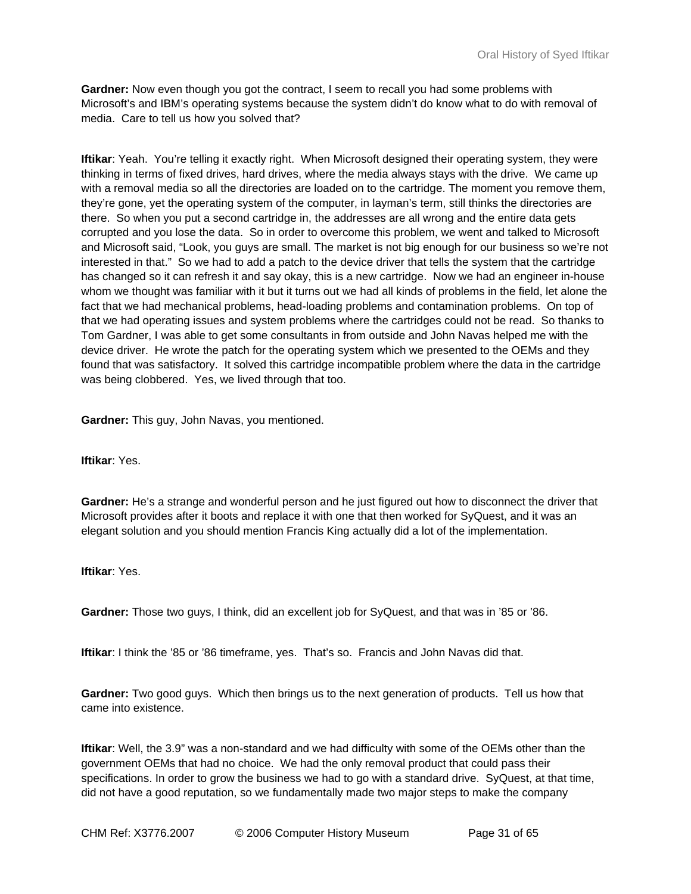**Gardner:** Now even though you got the contract, I seem to recall you had some problems with Microsoft's and IBM's operating systems because the system didn't do know what to do with removal of media. Care to tell us how you solved that?

**Iftikar:** Yeah. You're telling it exactly right. When Microsoft designed their operating system, they were thinking in terms of fixed drives, hard drives, where the media always stays with the drive. We came up with a removal media so all the directories are loaded on to the cartridge. The moment you remove them, they're gone, yet the operating system of the computer, in layman's term, still thinks the directories are there. So when you put a second cartridge in, the addresses are all wrong and the entire data gets corrupted and you lose the data. So in order to overcome this problem, we went and talked to Microsoft and Microsoft said, "Look, you guys are small. The market is not big enough for our business so we're not interested in that." So we had to add a patch to the device driver that tells the system that the cartridge has changed so it can refresh it and say okay, this is a new cartridge. Now we had an engineer in-house whom we thought was familiar with it but it turns out we had all kinds of problems in the field, let alone the fact that we had mechanical problems, head-loading problems and contamination problems. On top of that we had operating issues and system problems where the cartridges could not be read. So thanks to Tom Gardner, I was able to get some consultants in from outside and John Navas helped me with the device driver. He wrote the patch for the operating system which we presented to the OEMs and they found that was satisfactory. It solved this cartridge incompatible problem where the data in the cartridge was being clobbered. Yes, we lived through that too.

**Gardner:** This guy, John Navas, you mentioned.

**Iftikar**: Yes.

**Gardner:** He's a strange and wonderful person and he just figured out how to disconnect the driver that Microsoft provides after it boots and replace it with one that then worked for SyQuest, and it was an elegant solution and you should mention Francis King actually did a lot of the implementation.

**Iftikar**: Yes.

**Gardner:** Those two guys, I think, did an excellent job for SyQuest, and that was in '85 or '86.

**Iftikar**: I think the '85 or '86 timeframe, yes. That's so. Francis and John Navas did that.

**Gardner:** Two good guys. Which then brings us to the next generation of products. Tell us how that came into existence.

**Iftikar**: Well, the 3.9" was a non-standard and we had difficulty with some of the OEMs other than the government OEMs that had no choice. We had the only removal product that could pass their specifications. In order to grow the business we had to go with a standard drive. SyQuest, at that time, did not have a good reputation, so we fundamentally made two major steps to make the company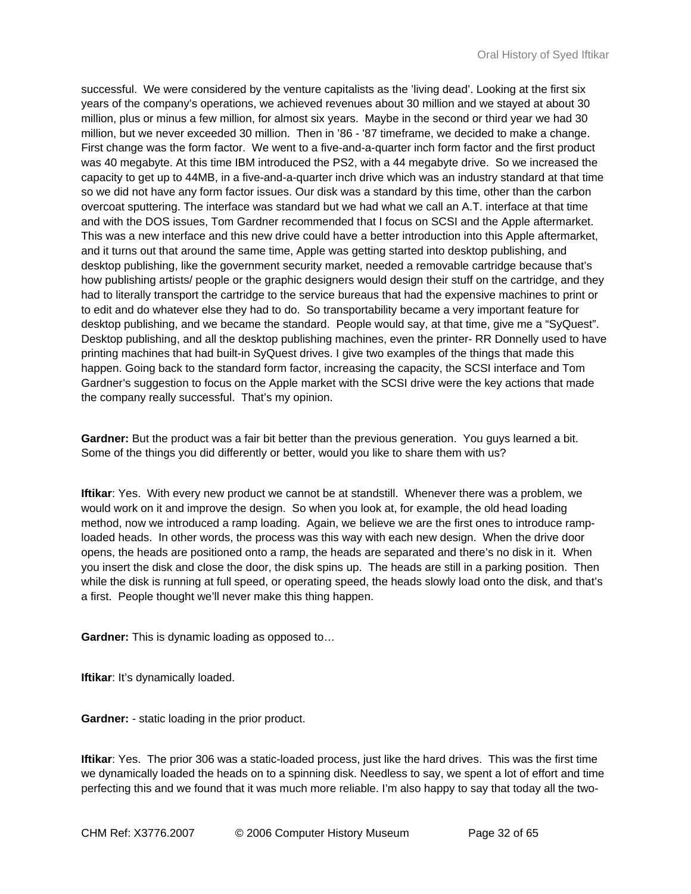successful. We were considered by the venture capitalists as the 'living dead'. Looking at the first six years of the company's operations, we achieved revenues about 30 million and we stayed at about 30 million, plus or minus a few million, for almost six years. Maybe in the second or third year we had 30 million, but we never exceeded 30 million. Then in '86 - '87 timeframe, we decided to make a change. First change was the form factor. We went to a five-and-a-quarter inch form factor and the first product was 40 megabyte. At this time IBM introduced the PS2, with a 44 megabyte drive. So we increased the capacity to get up to 44MB, in a five-and-a-quarter inch drive which was an industry standard at that time so we did not have any form factor issues. Our disk was a standard by this time, other than the carbon overcoat sputtering. The interface was standard but we had what we call an A.T. interface at that time and with the DOS issues, Tom Gardner recommended that I focus on SCSI and the Apple aftermarket. This was a new interface and this new drive could have a better introduction into this Apple aftermarket, and it turns out that around the same time, Apple was getting started into desktop publishing, and desktop publishing, like the government security market, needed a removable cartridge because that's how publishing artists/ people or the graphic designers would design their stuff on the cartridge, and they had to literally transport the cartridge to the service bureaus that had the expensive machines to print or to edit and do whatever else they had to do. So transportability became a very important feature for desktop publishing, and we became the standard. People would say, at that time, give me a "SyQuest". Desktop publishing, and all the desktop publishing machines, even the printer- RR Donnelly used to have printing machines that had built-in SyQuest drives. I give two examples of the things that made this happen. Going back to the standard form factor, increasing the capacity, the SCSI interface and Tom Gardner's suggestion to focus on the Apple market with the SCSI drive were the key actions that made the company really successful. That's my opinion.

**Gardner:** But the product was a fair bit better than the previous generation. You guys learned a bit. Some of the things you did differently or better, would you like to share them with us?

**Iftikar**: Yes. With every new product we cannot be at standstill. Whenever there was a problem, we would work on it and improve the design. So when you look at, for example, the old head loading method, now we introduced a ramp loading. Again, we believe we are the first ones to introduce ramploaded heads. In other words, the process was this way with each new design. When the drive door opens, the heads are positioned onto a ramp, the heads are separated and there's no disk in it. When you insert the disk and close the door, the disk spins up. The heads are still in a parking position. Then while the disk is running at full speed, or operating speed, the heads slowly load onto the disk, and that's a first. People thought we'll never make this thing happen.

**Gardner:** This is dynamic loading as opposed to…

**Iftikar:** It's dynamically loaded.

**Gardner:** - static loading in the prior product.

**Iftikar**: Yes. The prior 306 was a static-loaded process, just like the hard drives. This was the first time we dynamically loaded the heads on to a spinning disk. Needless to say, we spent a lot of effort and time perfecting this and we found that it was much more reliable. I'm also happy to say that today all the two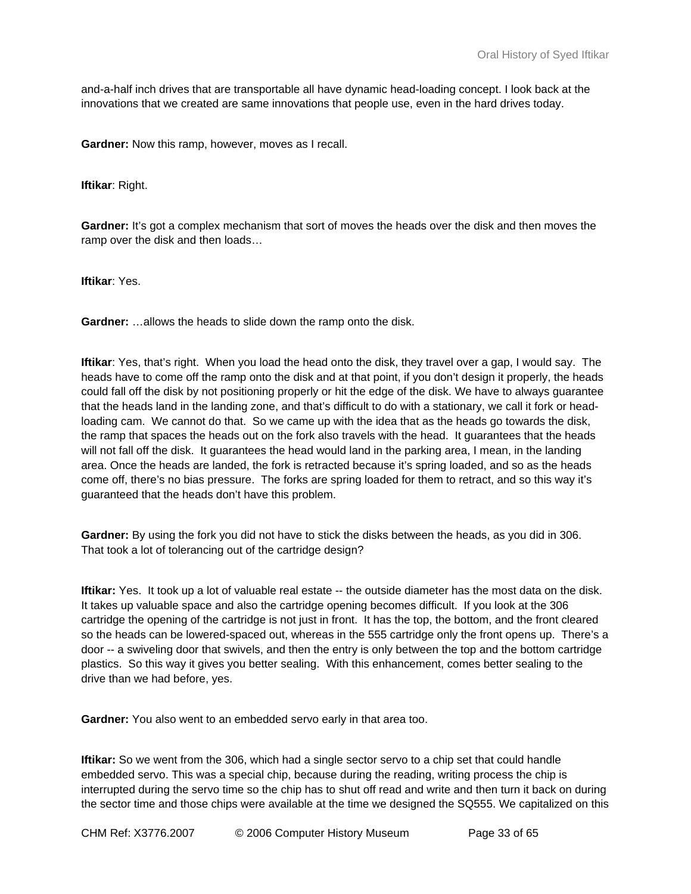and-a-half inch drives that are transportable all have dynamic head-loading concept. I look back at the innovations that we created are same innovations that people use, even in the hard drives today.

**Gardner:** Now this ramp, however, moves as I recall.

**Iftikar**: Right.

**Gardner:** It's got a complex mechanism that sort of moves the heads over the disk and then moves the ramp over the disk and then loads…

**Iftikar**: Yes.

**Gardner:** …allows the heads to slide down the ramp onto the disk.

**Iftikar**: Yes, that's right. When you load the head onto the disk, they travel over a gap, I would say. The heads have to come off the ramp onto the disk and at that point, if you don't design it properly, the heads could fall off the disk by not positioning properly or hit the edge of the disk. We have to always guarantee that the heads land in the landing zone, and that's difficult to do with a stationary, we call it fork or headloading cam. We cannot do that. So we came up with the idea that as the heads go towards the disk, the ramp that spaces the heads out on the fork also travels with the head. It guarantees that the heads will not fall off the disk. It guarantees the head would land in the parking area, I mean, in the landing area. Once the heads are landed, the fork is retracted because it's spring loaded, and so as the heads come off, there's no bias pressure. The forks are spring loaded for them to retract, and so this way it's guaranteed that the heads don't have this problem.

**Gardner:** By using the fork you did not have to stick the disks between the heads, as you did in 306. That took a lot of tolerancing out of the cartridge design?

**Iftikar:** Yes. It took up a lot of valuable real estate -- the outside diameter has the most data on the disk. It takes up valuable space and also the cartridge opening becomes difficult. If you look at the 306 cartridge the opening of the cartridge is not just in front. It has the top, the bottom, and the front cleared so the heads can be lowered-spaced out, whereas in the 555 cartridge only the front opens up. There's a door -- a swiveling door that swivels, and then the entry is only between the top and the bottom cartridge plastics. So this way it gives you better sealing. With this enhancement, comes better sealing to the drive than we had before, yes.

**Gardner:** You also went to an embedded servo early in that area too.

**Iftikar:** So we went from the 306, which had a single sector servo to a chip set that could handle embedded servo. This was a special chip, because during the reading, writing process the chip is interrupted during the servo time so the chip has to shut off read and write and then turn it back on during the sector time and those chips were available at the time we designed the SQ555. We capitalized on this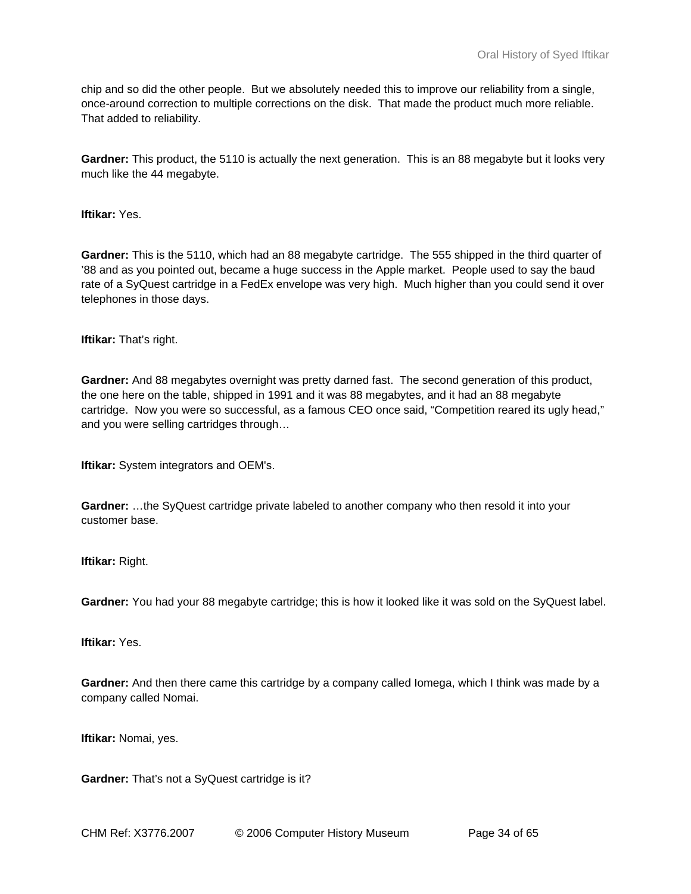chip and so did the other people. But we absolutely needed this to improve our reliability from a single, once-around correction to multiple corrections on the disk. That made the product much more reliable. That added to reliability.

**Gardner:** This product, the 5110 is actually the next generation. This is an 88 megabyte but it looks very much like the 44 megabyte.

**Iftikar:** Yes.

**Gardner:** This is the 5110, which had an 88 megabyte cartridge. The 555 shipped in the third quarter of '88 and as you pointed out, became a huge success in the Apple market. People used to say the baud rate of a SyQuest cartridge in a FedEx envelope was very high. Much higher than you could send it over telephones in those days.

**Iftikar:** That's right.

**Gardner:** And 88 megabytes overnight was pretty darned fast. The second generation of this product, the one here on the table, shipped in 1991 and it was 88 megabytes, and it had an 88 megabyte cartridge. Now you were so successful, as a famous CEO once said, "Competition reared its ugly head," and you were selling cartridges through…

**Iftikar:** System integrators and OEM's.

**Gardner:** …the SyQuest cartridge private labeled to another company who then resold it into your customer base.

**Iftikar:** Right.

**Gardner:** You had your 88 megabyte cartridge; this is how it looked like it was sold on the SyQuest label.

**Iftikar:** Yes.

**Gardner:** And then there came this cartridge by a company called Iomega, which I think was made by a company called Nomai.

**Iftikar:** Nomai, yes.

**Gardner:** That's not a SyQuest cartridge is it?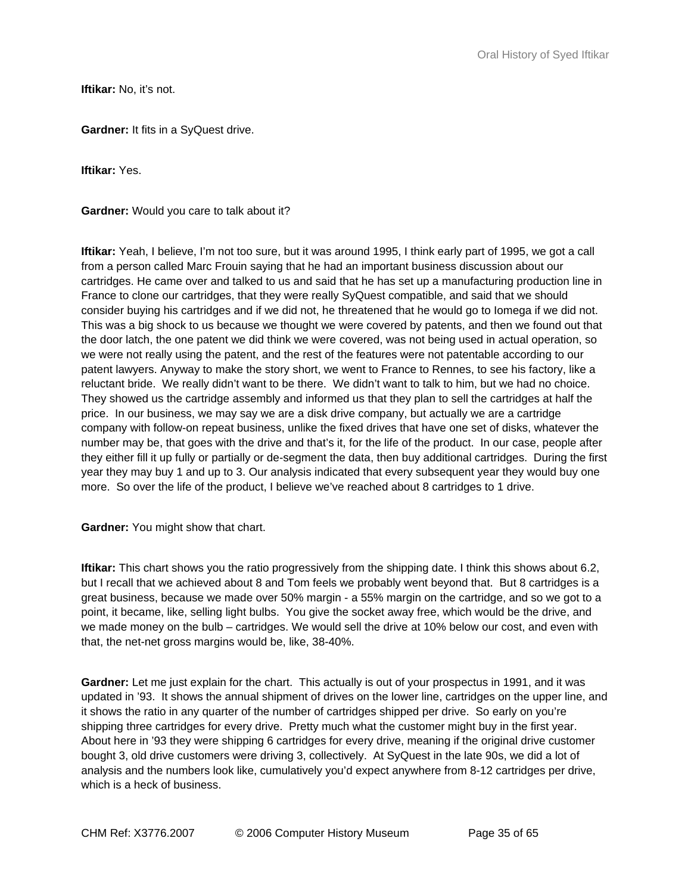**Iftikar:** No. it's not.

**Gardner:** It fits in a SyQuest drive.

**Iftikar:** Yes.

**Gardner:** Would you care to talk about it?

**Iftikar:** Yeah, I believe, I'm not too sure, but it was around 1995, I think early part of 1995, we got a call from a person called Marc Frouin saying that he had an important business discussion about our cartridges. He came over and talked to us and said that he has set up a manufacturing production line in France to clone our cartridges, that they were really SyQuest compatible, and said that we should consider buying his cartridges and if we did not, he threatened that he would go to Iomega if we did not. This was a big shock to us because we thought we were covered by patents, and then we found out that the door latch, the one patent we did think we were covered, was not being used in actual operation, so we were not really using the patent, and the rest of the features were not patentable according to our patent lawyers. Anyway to make the story short, we went to France to Rennes, to see his factory, like a reluctant bride. We really didn't want to be there. We didn't want to talk to him, but we had no choice. They showed us the cartridge assembly and informed us that they plan to sell the cartridges at half the price. In our business, we may say we are a disk drive company, but actually we are a cartridge company with follow-on repeat business, unlike the fixed drives that have one set of disks, whatever the number may be, that goes with the drive and that's it, for the life of the product. In our case, people after they either fill it up fully or partially or de-segment the data, then buy additional cartridges. During the first year they may buy 1 and up to 3. Our analysis indicated that every subsequent year they would buy one more. So over the life of the product, I believe we've reached about 8 cartridges to 1 drive.

**Gardner:** You might show that chart.

**Iftikar:** This chart shows you the ratio progressively from the shipping date. I think this shows about 6.2, but I recall that we achieved about 8 and Tom feels we probably went beyond that. But 8 cartridges is a great business, because we made over 50% margin - a 55% margin on the cartridge, and so we got to a point, it became, like, selling light bulbs. You give the socket away free, which would be the drive, and we made money on the bulb – cartridges. We would sell the drive at 10% below our cost, and even with that, the net-net gross margins would be, like, 38-40%.

**Gardner:** Let me just explain for the chart. This actually is out of your prospectus in 1991, and it was updated in '93. It shows the annual shipment of drives on the lower line, cartridges on the upper line, and it shows the ratio in any quarter of the number of cartridges shipped per drive. So early on you're shipping three cartridges for every drive. Pretty much what the customer might buy in the first year. About here in '93 they were shipping 6 cartridges for every drive, meaning if the original drive customer bought 3, old drive customers were driving 3, collectively. At SyQuest in the late 90s, we did a lot of analysis and the numbers look like, cumulatively you'd expect anywhere from 8-12 cartridges per drive, which is a heck of business.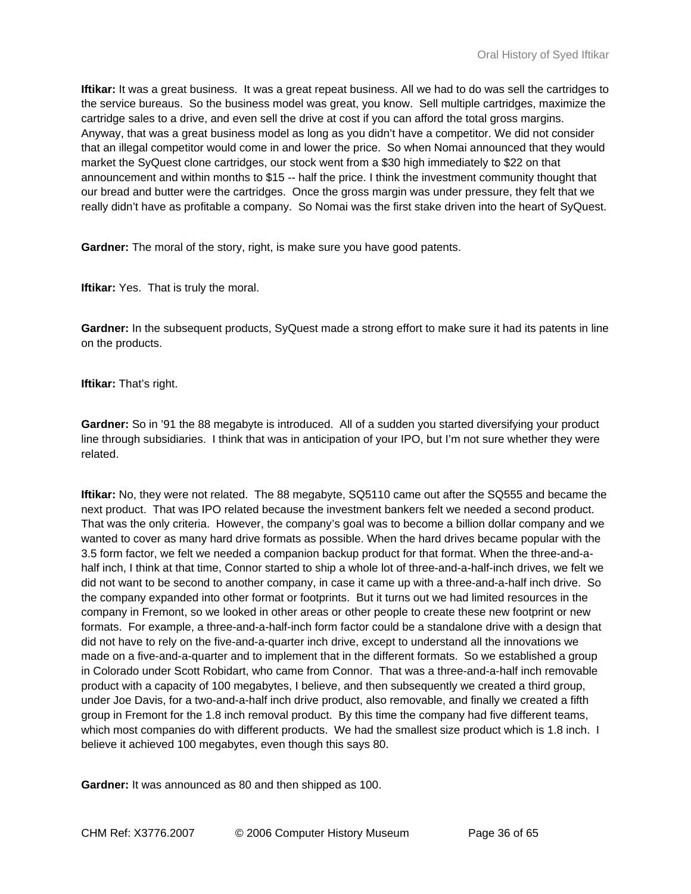**Iftikar:** It was a great business. It was a great repeat business. All we had to do was sell the cartridges to the service bureaus. So the business model was great, you know. Sell multiple cartridges, maximize the cartridge sales to a drive, and even sell the drive at cost if you can afford the total gross margins. Anyway, that was a great business model as long as you didn't have a competitor. We did not consider that an illegal competitor would come in and lower the price. So when Nomai announced that they would market the SyQuest clone cartridges, our stock went from a \$30 high immediately to \$22 on that announcement and within months to \$15 -- half the price. I think the investment community thought that our bread and butter were the cartridges. Once the gross margin was under pressure, they felt that we really didn't have as profitable a company. So Nomai was the first stake driven into the heart of SyQuest.

**Gardner:** The moral of the story, right, is make sure you have good patents.

**Iftikar:** Yes. That is truly the moral.

**Gardner:** In the subsequent products, SyQuest made a strong effort to make sure it had its patents in line on the products.

**Iftikar:** That's right.

**Gardner:** So in '91 the 88 megabyte is introduced. All of a sudden you started diversifying your product line through subsidiaries. I think that was in anticipation of your IPO, but I'm not sure whether they were related.

**Iftikar:** No, they were not related. The 88 megabyte, SQ5110 came out after the SQ555 and became the next product. That was IPO related because the investment bankers felt we needed a second product. That was the only criteria. However, the company's goal was to become a billion dollar company and we wanted to cover as many hard drive formats as possible. When the hard drives became popular with the 3.5 form factor, we felt we needed a companion backup product for that format. When the three-and-ahalf inch, I think at that time, Connor started to ship a whole lot of three-and-a-half-inch drives, we felt we did not want to be second to another company, in case it came up with a three-and-a-half inch drive. So the company expanded into other format or footprints. But it turns out we had limited resources in the company in Fremont, so we looked in other areas or other people to create these new footprint or new formats. For example, a three-and-a-half-inch form factor could be a standalone drive with a design that did not have to rely on the five-and-a-quarter inch drive, except to understand all the innovations we made on a five-and-a-quarter and to implement that in the different formats. So we established a group in Colorado under Scott Robidart, who came from Connor. That was a three-and-a-half inch removable product with a capacity of 100 megabytes, I believe, and then subsequently we created a third group, under Joe Davis, for a two-and-a-half inch drive product, also removable, and finally we created a fifth group in Fremont for the 1.8 inch removal product. By this time the company had five different teams, which most companies do with different products. We had the smallest size product which is 1.8 inch. I believe it achieved 100 megabytes, even though this says 80.

**Gardner:** It was announced as 80 and then shipped as 100.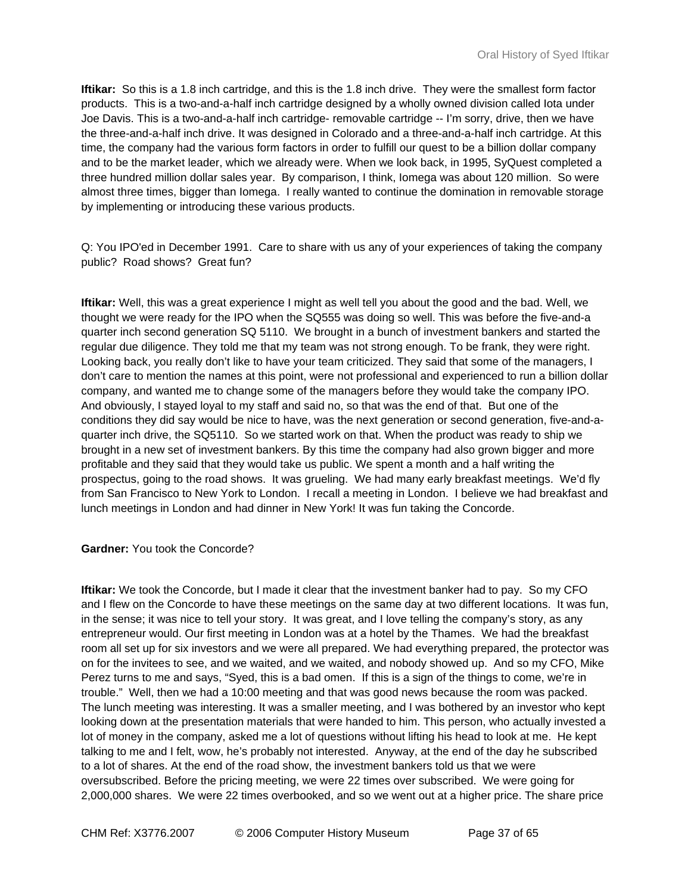**Iftikar:** So this is a 1.8 inch cartridge, and this is the 1.8 inch drive. They were the smallest form factor products. This is a two-and-a-half inch cartridge designed by a wholly owned division called Iota under Joe Davis. This is a two-and-a-half inch cartridge- removable cartridge -- I'm sorry, drive, then we have the three-and-a-half inch drive. It was designed in Colorado and a three-and-a-half inch cartridge. At this time, the company had the various form factors in order to fulfill our quest to be a billion dollar company and to be the market leader, which we already were. When we look back, in 1995, SyQuest completed a three hundred million dollar sales year. By comparison, I think, Iomega was about 120 million. So were almost three times, bigger than Iomega. I really wanted to continue the domination in removable storage by implementing or introducing these various products.

Q: You IPO'ed in December 1991. Care to share with us any of your experiences of taking the company public? Road shows? Great fun?

**Iftikar:** Well, this was a great experience I might as well tell you about the good and the bad. Well, we thought we were ready for the IPO when the SQ555 was doing so well. This was before the five-and-a quarter inch second generation SQ 5110. We brought in a bunch of investment bankers and started the regular due diligence. They told me that my team was not strong enough. To be frank, they were right. Looking back, you really don't like to have your team criticized. They said that some of the managers, I don't care to mention the names at this point, were not professional and experienced to run a billion dollar company, and wanted me to change some of the managers before they would take the company IPO. And obviously, I stayed loyal to my staff and said no, so that was the end of that. But one of the conditions they did say would be nice to have, was the next generation or second generation, five-and-aquarter inch drive, the SQ5110. So we started work on that. When the product was ready to ship we brought in a new set of investment bankers. By this time the company had also grown bigger and more profitable and they said that they would take us public. We spent a month and a half writing the prospectus, going to the road shows. It was grueling. We had many early breakfast meetings. We'd fly from San Francisco to New York to London. I recall a meeting in London. I believe we had breakfast and lunch meetings in London and had dinner in New York! It was fun taking the Concorde.

#### **Gardner:** You took the Concorde?

**Iftikar:** We took the Concorde, but I made it clear that the investment banker had to pay. So my CFO and I flew on the Concorde to have these meetings on the same day at two different locations. It was fun, in the sense; it was nice to tell your story. It was great, and I love telling the company's story, as any entrepreneur would. Our first meeting in London was at a hotel by the Thames. We had the breakfast room all set up for six investors and we were all prepared. We had everything prepared, the protector was on for the invitees to see, and we waited, and we waited, and nobody showed up. And so my CFO, Mike Perez turns to me and says, "Syed, this is a bad omen. If this is a sign of the things to come, we're in trouble." Well, then we had a 10:00 meeting and that was good news because the room was packed. The lunch meeting was interesting. It was a smaller meeting, and I was bothered by an investor who kept looking down at the presentation materials that were handed to him. This person, who actually invested a lot of money in the company, asked me a lot of questions without lifting his head to look at me. He kept talking to me and I felt, wow, he's probably not interested. Anyway, at the end of the day he subscribed to a lot of shares. At the end of the road show, the investment bankers told us that we were oversubscribed. Before the pricing meeting, we were 22 times over subscribed. We were going for 2,000,000 shares. We were 22 times overbooked, and so we went out at a higher price. The share price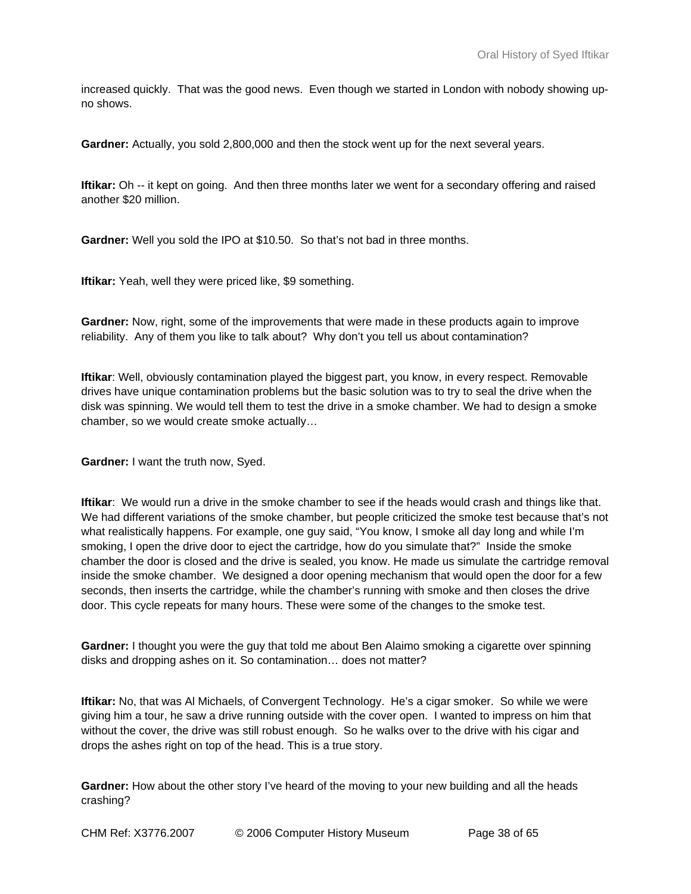increased quickly. That was the good news. Even though we started in London with nobody showing upno shows.

**Gardner:** Actually, you sold 2,800,000 and then the stock went up for the next several years.

**Iftikar:** Oh -- it kept on going. And then three months later we went for a secondary offering and raised another \$20 million.

**Gardner:** Well you sold the IPO at \$10.50. So that's not bad in three months.

**Iftikar:** Yeah, well they were priced like, \$9 something.

**Gardner:** Now, right, some of the improvements that were made in these products again to improve reliability. Any of them you like to talk about? Why don't you tell us about contamination?

**Iftikar**: Well, obviously contamination played the biggest part, you know, in every respect. Removable drives have unique contamination problems but the basic solution was to try to seal the drive when the disk was spinning. We would tell them to test the drive in a smoke chamber. We had to design a smoke chamber, so we would create smoke actually…

**Gardner:** I want the truth now, Syed.

**Iftikar**: We would run a drive in the smoke chamber to see if the heads would crash and things like that. We had different variations of the smoke chamber, but people criticized the smoke test because that's not what realistically happens. For example, one guy said, "You know, I smoke all day long and while I'm smoking, I open the drive door to eject the cartridge, how do you simulate that?" Inside the smoke chamber the door is closed and the drive is sealed, you know. He made us simulate the cartridge removal inside the smoke chamber. We designed a door opening mechanism that would open the door for a few seconds, then inserts the cartridge, while the chamber's running with smoke and then closes the drive door. This cycle repeats for many hours. These were some of the changes to the smoke test.

**Gardner:** I thought you were the guy that told me about Ben Alaimo smoking a cigarette over spinning disks and dropping ashes on it. So contamination… does not matter?

**Iftikar:** No, that was Al Michaels, of Convergent Technology. He's a cigar smoker. So while we were giving him a tour, he saw a drive running outside with the cover open. I wanted to impress on him that without the cover, the drive was still robust enough. So he walks over to the drive with his cigar and drops the ashes right on top of the head. This is a true story.

**Gardner:** How about the other story I've heard of the moving to your new building and all the heads crashing?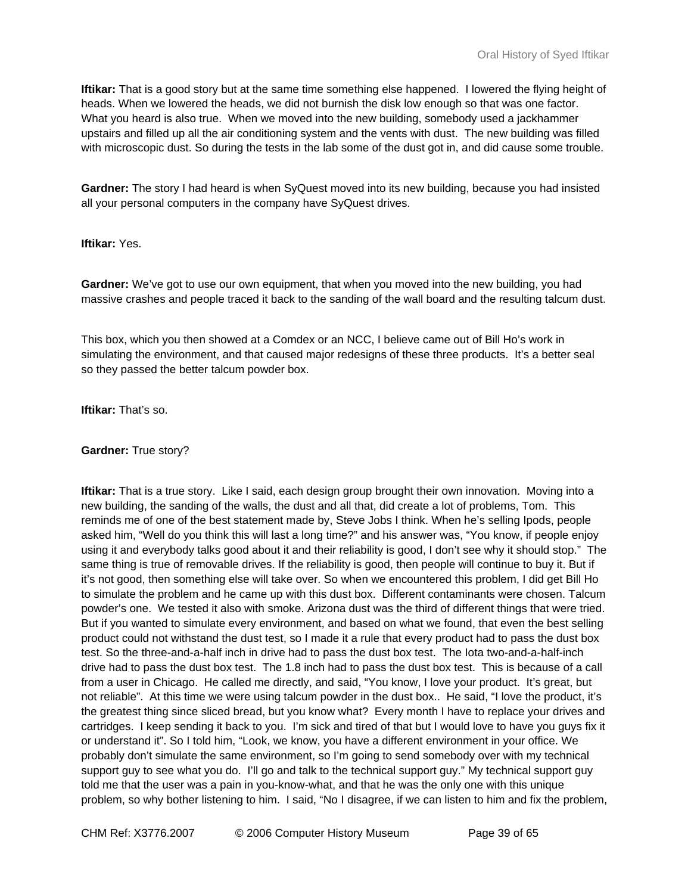**Iftikar:** That is a good story but at the same time something else happened. I lowered the flying height of heads. When we lowered the heads, we did not burnish the disk low enough so that was one factor. What you heard is also true. When we moved into the new building, somebody used a jackhammer upstairs and filled up all the air conditioning system and the vents with dust. The new building was filled with microscopic dust. So during the tests in the lab some of the dust got in, and did cause some trouble.

**Gardner:** The story I had heard is when SyQuest moved into its new building, because you had insisted all your personal computers in the company have SyQuest drives.

**Iftikar:** Yes.

**Gardner:** We've got to use our own equipment, that when you moved into the new building, you had massive crashes and people traced it back to the sanding of the wall board and the resulting talcum dust.

This box, which you then showed at a Comdex or an NCC, I believe came out of Bill Ho's work in simulating the environment, and that caused major redesigns of these three products. It's a better seal so they passed the better talcum powder box.

**Iftikar:** That's so.

**Gardner:** True story?

**Iftikar:** That is a true story. Like I said, each design group brought their own innovation. Moving into a new building, the sanding of the walls, the dust and all that, did create a lot of problems, Tom. This reminds me of one of the best statement made by, Steve Jobs I think. When he's selling Ipods, people asked him, "Well do you think this will last a long time?" and his answer was, "You know, if people enjoy using it and everybody talks good about it and their reliability is good, I don't see why it should stop." The same thing is true of removable drives. If the reliability is good, then people will continue to buy it. But if it's not good, then something else will take over. So when we encountered this problem, I did get Bill Ho to simulate the problem and he came up with this dust box. Different contaminants were chosen. Talcum powder's one. We tested it also with smoke. Arizona dust was the third of different things that were tried. But if you wanted to simulate every environment, and based on what we found, that even the best selling product could not withstand the dust test, so I made it a rule that every product had to pass the dust box test. So the three-and-a-half inch in drive had to pass the dust box test. The Iota two-and-a-half-inch drive had to pass the dust box test. The 1.8 inch had to pass the dust box test. This is because of a call from a user in Chicago. He called me directly, and said, "You know, I love your product. It's great, but not reliable". At this time we were using talcum powder in the dust box.. He said, "I love the product, it's the greatest thing since sliced bread, but you know what? Every month I have to replace your drives and cartridges. I keep sending it back to you. I'm sick and tired of that but I would love to have you guys fix it or understand it". So I told him, "Look, we know, you have a different environment in your office. We probably don't simulate the same environment, so I'm going to send somebody over with my technical support guy to see what you do. I'll go and talk to the technical support guy." My technical support guy told me that the user was a pain in you-know-what, and that he was the only one with this unique problem, so why bother listening to him. I said, "No I disagree, if we can listen to him and fix the problem,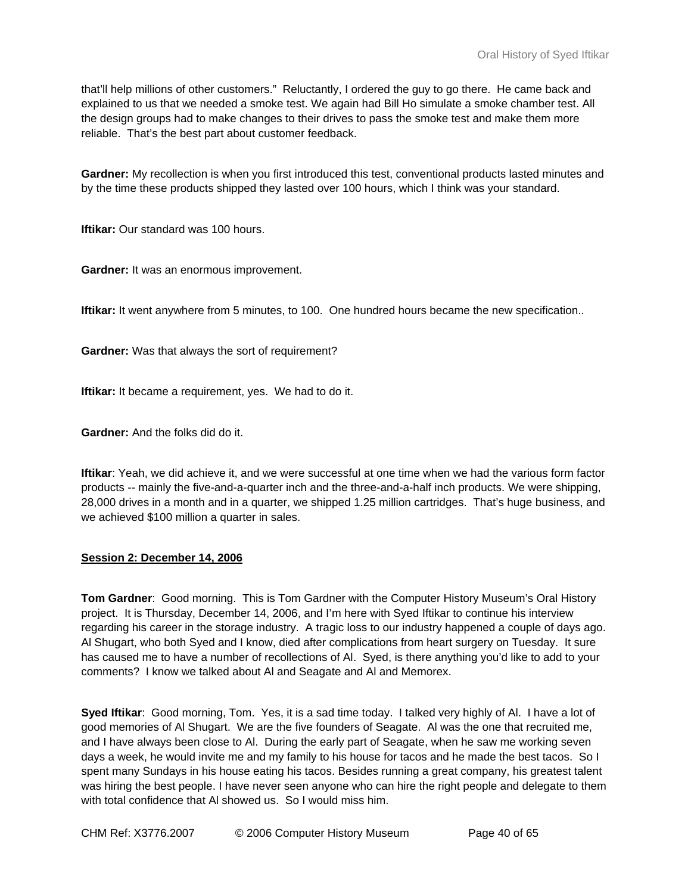that'll help millions of other customers." Reluctantly, I ordered the guy to go there. He came back and explained to us that we needed a smoke test. We again had Bill Ho simulate a smoke chamber test. All the design groups had to make changes to their drives to pass the smoke test and make them more reliable. That's the best part about customer feedback.

**Gardner:** My recollection is when you first introduced this test, conventional products lasted minutes and by the time these products shipped they lasted over 100 hours, which I think was your standard.

**Iftikar:** Our standard was 100 hours.

**Gardner:** It was an enormous improvement.

**Iftikar:** It went anywhere from 5 minutes, to 100. One hundred hours became the new specification..

**Gardner:** Was that always the sort of requirement?

**Iftikar:** It became a requirement, yes. We had to do it.

**Gardner:** And the folks did do it.

**Iftikar**: Yeah, we did achieve it, and we were successful at one time when we had the various form factor products -- mainly the five-and-a-quarter inch and the three-and-a-half inch products. We were shipping, 28,000 drives in a month and in a quarter, we shipped 1.25 million cartridges. That's huge business, and we achieved \$100 million a quarter in sales.

# **Session 2: December 14, 2006**

**Tom Gardner**: Good morning. This is Tom Gardner with the Computer History Museum's Oral History project. It is Thursday, December 14, 2006, and I'm here with Syed Iftikar to continue his interview regarding his career in the storage industry. A tragic loss to our industry happened a couple of days ago. Al Shugart, who both Syed and I know, died after complications from heart surgery on Tuesday. It sure has caused me to have a number of recollections of Al. Syed, is there anything you'd like to add to your comments? I know we talked about Al and Seagate and Al and Memorex.

**Syed Iftikar**: Good morning, Tom. Yes, it is a sad time today. I talked very highly of Al. I have a lot of good memories of Al Shugart. We are the five founders of Seagate. Al was the one that recruited me, and I have always been close to Al. During the early part of Seagate, when he saw me working seven days a week, he would invite me and my family to his house for tacos and he made the best tacos. So I spent many Sundays in his house eating his tacos. Besides running a great company, his greatest talent was hiring the best people. I have never seen anyone who can hire the right people and delegate to them with total confidence that Al showed us. So I would miss him.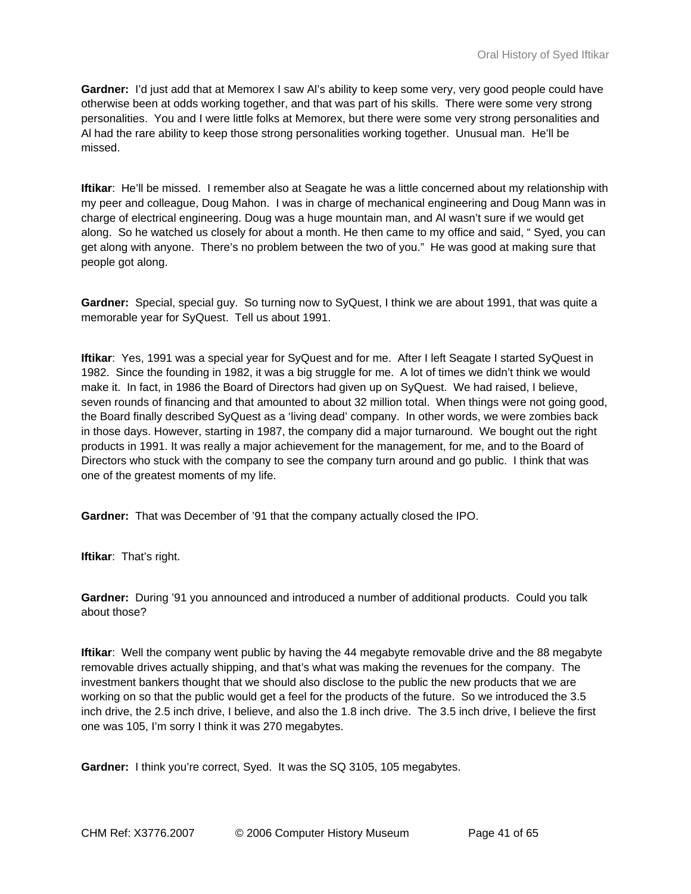**Gardner:** I'd just add that at Memorex I saw Al's ability to keep some very, very good people could have otherwise been at odds working together, and that was part of his skills. There were some very strong personalities. You and I were little folks at Memorex, but there were some very strong personalities and Al had the rare ability to keep those strong personalities working together. Unusual man. He'll be missed.

**Iftikar**: He'll be missed. I remember also at Seagate he was a little concerned about my relationship with my peer and colleague, Doug Mahon. I was in charge of mechanical engineering and Doug Mann was in charge of electrical engineering. Doug was a huge mountain man, and Al wasn't sure if we would get along. So he watched us closely for about a month. He then came to my office and said, " Syed, you can get along with anyone. There's no problem between the two of you." He was good at making sure that people got along.

**Gardner:** Special, special guy. So turning now to SyQuest, I think we are about 1991, that was quite a memorable year for SyQuest. Tell us about 1991.

**Iftikar**: Yes, 1991 was a special year for SyQuest and for me. After I left Seagate I started SyQuest in 1982. Since the founding in 1982, it was a big struggle for me. A lot of times we didn't think we would make it. In fact, in 1986 the Board of Directors had given up on SyQuest. We had raised, I believe, seven rounds of financing and that amounted to about 32 million total. When things were not going good, the Board finally described SyQuest as a 'living dead' company. In other words, we were zombies back in those days. However, starting in 1987, the company did a major turnaround. We bought out the right products in 1991. It was really a major achievement for the management, for me, and to the Board of Directors who stuck with the company to see the company turn around and go public. I think that was one of the greatest moments of my life.

**Gardner:** That was December of '91 that the company actually closed the IPO.

**Iftikar**: That's right.

**Gardner:** During '91 you announced and introduced a number of additional products. Could you talk about those?

**Iftikar**: Well the company went public by having the 44 megabyte removable drive and the 88 megabyte removable drives actually shipping, and that's what was making the revenues for the company. The investment bankers thought that we should also disclose to the public the new products that we are working on so that the public would get a feel for the products of the future. So we introduced the 3.5 inch drive, the 2.5 inch drive, I believe, and also the 1.8 inch drive. The 3.5 inch drive, I believe the first one was 105, I'm sorry I think it was 270 megabytes.

**Gardner:** I think you're correct, Syed. It was the SQ 3105, 105 megabytes.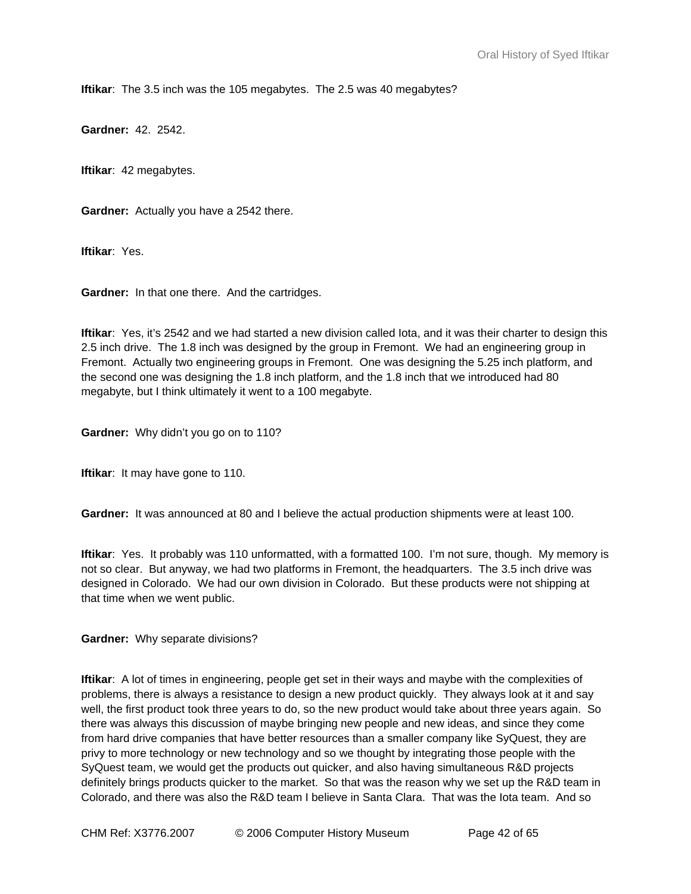**Iftikar**: The 3.5 inch was the 105 megabytes. The 2.5 was 40 megabytes?

**Gardner:** 42. 2542.

**Iftikar**: 42 megabytes.

**Gardner:** Actually you have a 2542 there.

**Iftikar**: Yes.

**Gardner:** In that one there. And the cartridges.

**Iftikar**: Yes, it's 2542 and we had started a new division called Iota, and it was their charter to design this 2.5 inch drive. The 1.8 inch was designed by the group in Fremont. We had an engineering group in Fremont. Actually two engineering groups in Fremont. One was designing the 5.25 inch platform, and the second one was designing the 1.8 inch platform, and the 1.8 inch that we introduced had 80 megabyte, but I think ultimately it went to a 100 megabyte.

**Gardner:** Why didn't you go on to 110?

**Iftikar:** It may have gone to 110.

**Gardner:** It was announced at 80 and I believe the actual production shipments were at least 100.

**Iftikar**: Yes. It probably was 110 unformatted, with a formatted 100. I'm not sure, though. My memory is not so clear. But anyway, we had two platforms in Fremont, the headquarters. The 3.5 inch drive was designed in Colorado. We had our own division in Colorado. But these products were not shipping at that time when we went public.

**Gardner:** Why separate divisions?

**Iftikar**: A lot of times in engineering, people get set in their ways and maybe with the complexities of problems, there is always a resistance to design a new product quickly. They always look at it and say well, the first product took three years to do, so the new product would take about three years again. So there was always this discussion of maybe bringing new people and new ideas, and since they come from hard drive companies that have better resources than a smaller company like SyQuest, they are privy to more technology or new technology and so we thought by integrating those people with the SyQuest team, we would get the products out quicker, and also having simultaneous R&D projects definitely brings products quicker to the market. So that was the reason why we set up the R&D team in Colorado, and there was also the R&D team I believe in Santa Clara. That was the Iota team. And so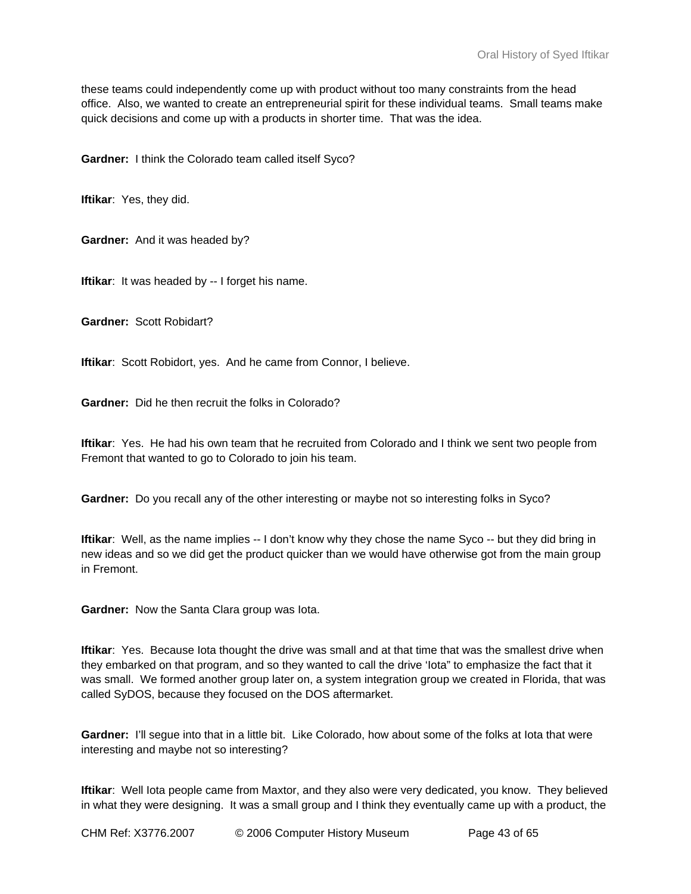these teams could independently come up with product without too many constraints from the head office. Also, we wanted to create an entrepreneurial spirit for these individual teams. Small teams make quick decisions and come up with a products in shorter time. That was the idea.

**Gardner:** I think the Colorado team called itself Syco?

**Iftikar**: Yes, they did.

**Gardner:** And it was headed by?

**Iftikar**: It was headed by -- I forget his name.

**Gardner:** Scott Robidart?

**Iftikar**: Scott Robidort, yes. And he came from Connor, I believe.

**Gardner:** Did he then recruit the folks in Colorado?

**Iftikar**: Yes. He had his own team that he recruited from Colorado and I think we sent two people from Fremont that wanted to go to Colorado to join his team.

**Gardner:** Do you recall any of the other interesting or maybe not so interesting folks in Syco?

**Iftikar**: Well, as the name implies -- I don't know why they chose the name Syco -- but they did bring in new ideas and so we did get the product quicker than we would have otherwise got from the main group in Fremont.

**Gardner:** Now the Santa Clara group was Iota.

**Iftikar**: Yes. Because lota thought the drive was small and at that time that was the smallest drive when they embarked on that program, and so they wanted to call the drive 'Iota" to emphasize the fact that it was small. We formed another group later on, a system integration group we created in Florida, that was called SyDOS, because they focused on the DOS aftermarket.

Gardner: I'll segue into that in a little bit. Like Colorado, how about some of the folks at lota that were interesting and maybe not so interesting?

**Iftikar**: Well Iota people came from Maxtor, and they also were very dedicated, you know. They believed in what they were designing. It was a small group and I think they eventually came up with a product, the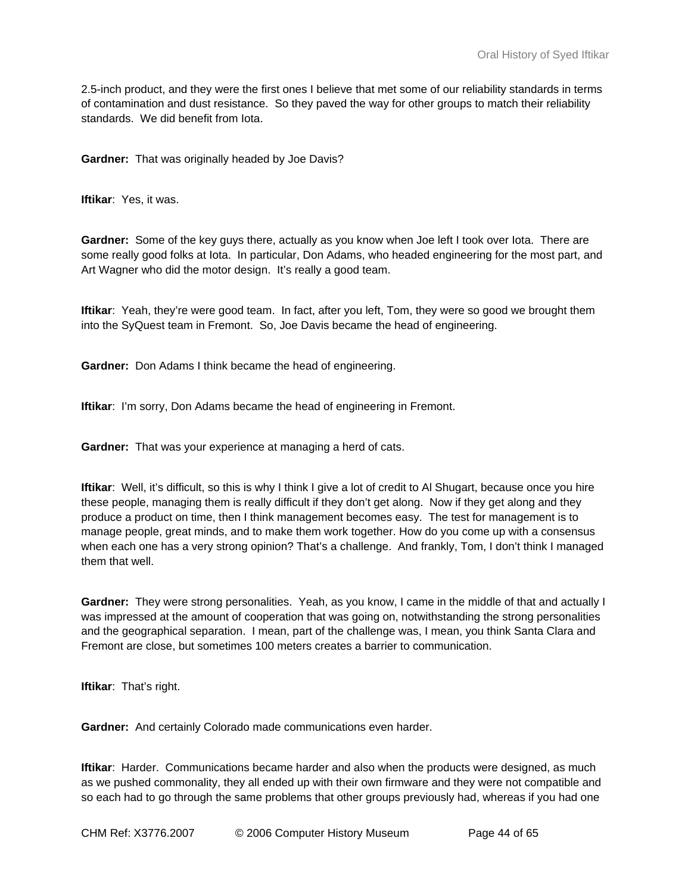2.5-inch product, and they were the first ones I believe that met some of our reliability standards in terms of contamination and dust resistance. So they paved the way for other groups to match their reliability standards. We did benefit from Iota.

**Gardner:** That was originally headed by Joe Davis?

**Iftikar**: Yes, it was.

**Gardner:** Some of the key guys there, actually as you know when Joe left I took over Iota. There are some really good folks at Iota. In particular, Don Adams, who headed engineering for the most part, and Art Wagner who did the motor design. It's really a good team.

**Iftikar**: Yeah, they're were good team. In fact, after you left, Tom, they were so good we brought them into the SyQuest team in Fremont. So, Joe Davis became the head of engineering.

**Gardner:** Don Adams I think became the head of engineering.

**Iftikar: I'm sorry, Don Adams became the head of engineering in Fremont.** 

**Gardner:** That was your experience at managing a herd of cats.

**Iftikar**: Well, it's difficult, so this is why I think I give a lot of credit to Al Shugart, because once you hire these people, managing them is really difficult if they don't get along. Now if they get along and they produce a product on time, then I think management becomes easy. The test for management is to manage people, great minds, and to make them work together. How do you come up with a consensus when each one has a very strong opinion? That's a challenge. And frankly, Tom, I don't think I managed them that well.

**Gardner:** They were strong personalities. Yeah, as you know, I came in the middle of that and actually I was impressed at the amount of cooperation that was going on, notwithstanding the strong personalities and the geographical separation. I mean, part of the challenge was, I mean, you think Santa Clara and Fremont are close, but sometimes 100 meters creates a barrier to communication.

**Iftikar**: That's right.

**Gardner:** And certainly Colorado made communications even harder.

**Iftikar**: Harder. Communications became harder and also when the products were designed, as much as we pushed commonality, they all ended up with their own firmware and they were not compatible and so each had to go through the same problems that other groups previously had, whereas if you had one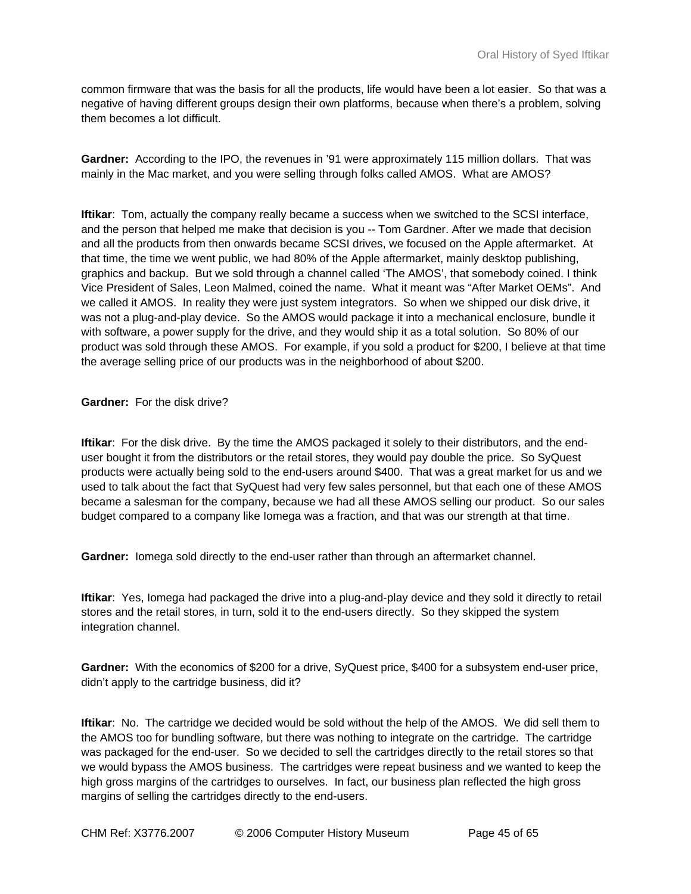common firmware that was the basis for all the products, life would have been a lot easier. So that was a negative of having different groups design their own platforms, because when there's a problem, solving them becomes a lot difficult.

**Gardner:** According to the IPO, the revenues in '91 were approximately 115 million dollars. That was mainly in the Mac market, and you were selling through folks called AMOS. What are AMOS?

**Iftikar**: Tom, actually the company really became a success when we switched to the SCSI interface, and the person that helped me make that decision is you -- Tom Gardner. After we made that decision and all the products from then onwards became SCSI drives, we focused on the Apple aftermarket. At that time, the time we went public, we had 80% of the Apple aftermarket, mainly desktop publishing, graphics and backup. But we sold through a channel called 'The AMOS', that somebody coined. I think Vice President of Sales, Leon Malmed, coined the name. What it meant was "After Market OEMs". And we called it AMOS. In reality they were just system integrators. So when we shipped our disk drive, it was not a plug-and-play device. So the AMOS would package it into a mechanical enclosure, bundle it with software, a power supply for the drive, and they would ship it as a total solution. So 80% of our product was sold through these AMOS. For example, if you sold a product for \$200, I believe at that time the average selling price of our products was in the neighborhood of about \$200.

**Gardner:** For the disk drive?

**Iftikar**: For the disk drive. By the time the AMOS packaged it solely to their distributors, and the enduser bought it from the distributors or the retail stores, they would pay double the price. So SyQuest products were actually being sold to the end-users around \$400. That was a great market for us and we used to talk about the fact that SyQuest had very few sales personnel, but that each one of these AMOS became a salesman for the company, because we had all these AMOS selling our product. So our sales budget compared to a company like Iomega was a fraction, and that was our strength at that time.

**Gardner:** Iomega sold directly to the end-user rather than through an aftermarket channel.

**Iftikar**: Yes, Iomega had packaged the drive into a plug-and-play device and they sold it directly to retail stores and the retail stores, in turn, sold it to the end-users directly. So they skipped the system integration channel.

**Gardner:** With the economics of \$200 for a drive, SyQuest price, \$400 for a subsystem end-user price, didn't apply to the cartridge business, did it?

**Iftikar**: No. The cartridge we decided would be sold without the help of the AMOS. We did sell them to the AMOS too for bundling software, but there was nothing to integrate on the cartridge. The cartridge was packaged for the end-user. So we decided to sell the cartridges directly to the retail stores so that we would bypass the AMOS business. The cartridges were repeat business and we wanted to keep the high gross margins of the cartridges to ourselves. In fact, our business plan reflected the high gross margins of selling the cartridges directly to the end-users.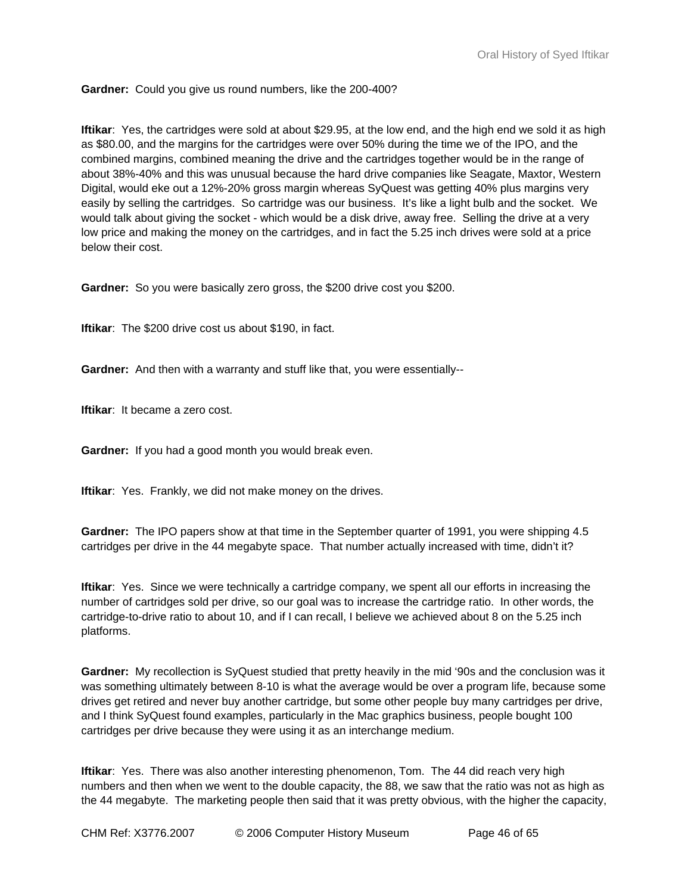**Gardner:** Could you give us round numbers, like the 200-400?

**Iftikar**: Yes, the cartridges were sold at about \$29.95, at the low end, and the high end we sold it as high as \$80.00, and the margins for the cartridges were over 50% during the time we of the IPO, and the combined margins, combined meaning the drive and the cartridges together would be in the range of about 38%-40% and this was unusual because the hard drive companies like Seagate, Maxtor, Western Digital, would eke out a 12%-20% gross margin whereas SyQuest was getting 40% plus margins very easily by selling the cartridges. So cartridge was our business. It's like a light bulb and the socket. We would talk about giving the socket - which would be a disk drive, away free. Selling the drive at a very low price and making the money on the cartridges, and in fact the 5.25 inch drives were sold at a price below their cost.

**Gardner:** So you were basically zero gross, the \$200 drive cost you \$200.

**Iftikar**: The \$200 drive cost us about \$190, in fact.

**Gardner:** And then with a warranty and stuff like that, you were essentially--

**Iftikar**: It became a zero cost.

**Gardner:** If you had a good month you would break even.

**Iftikar**: Yes. Frankly, we did not make money on the drives.

**Gardner:** The IPO papers show at that time in the September quarter of 1991, you were shipping 4.5 cartridges per drive in the 44 megabyte space. That number actually increased with time, didn't it?

**Iftikar**: Yes. Since we were technically a cartridge company, we spent all our efforts in increasing the number of cartridges sold per drive, so our goal was to increase the cartridge ratio. In other words, the cartridge-to-drive ratio to about 10, and if I can recall, I believe we achieved about 8 on the 5.25 inch platforms.

**Gardner:** My recollection is SyQuest studied that pretty heavily in the mid '90s and the conclusion was it was something ultimately between 8-10 is what the average would be over a program life, because some drives get retired and never buy another cartridge, but some other people buy many cartridges per drive, and I think SyQuest found examples, particularly in the Mac graphics business, people bought 100 cartridges per drive because they were using it as an interchange medium.

**Iftikar**: Yes. There was also another interesting phenomenon, Tom. The 44 did reach very high numbers and then when we went to the double capacity, the 88, we saw that the ratio was not as high as the 44 megabyte. The marketing people then said that it was pretty obvious, with the higher the capacity,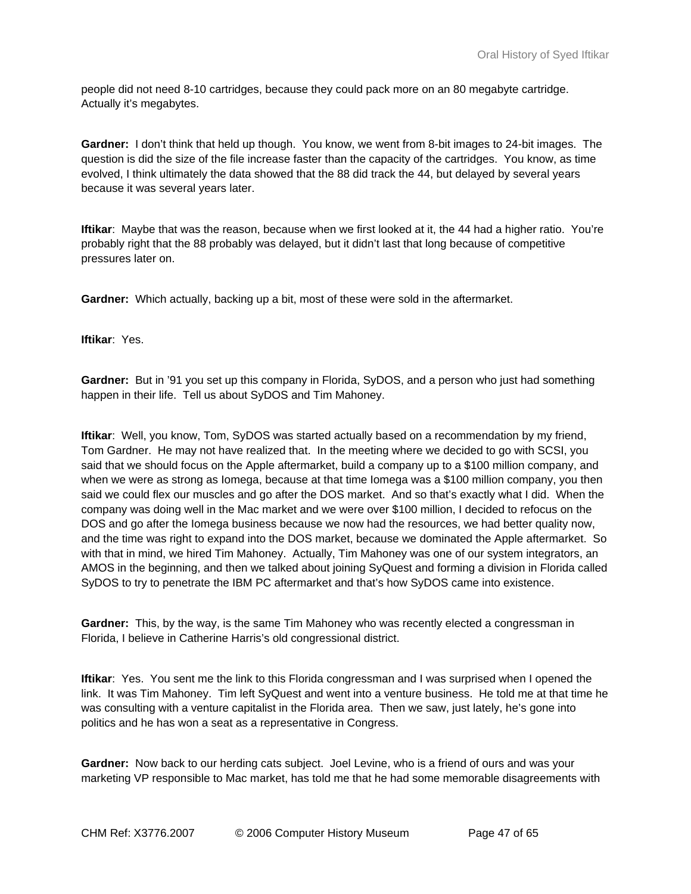people did not need 8-10 cartridges, because they could pack more on an 80 megabyte cartridge. Actually it's megabytes.

**Gardner:** I don't think that held up though. You know, we went from 8-bit images to 24-bit images. The question is did the size of the file increase faster than the capacity of the cartridges. You know, as time evolved, I think ultimately the data showed that the 88 did track the 44, but delayed by several years because it was several years later.

**Iftikar**: Maybe that was the reason, because when we first looked at it, the 44 had a higher ratio. You're probably right that the 88 probably was delayed, but it didn't last that long because of competitive pressures later on.

**Gardner:** Which actually, backing up a bit, most of these were sold in the aftermarket.

**Iftikar**: Yes.

**Gardner:** But in '91 you set up this company in Florida, SyDOS, and a person who just had something happen in their life. Tell us about SyDOS and Tim Mahoney.

**Iftikar**: Well, you know, Tom, SyDOS was started actually based on a recommendation by my friend, Tom Gardner. He may not have realized that. In the meeting where we decided to go with SCSI, you said that we should focus on the Apple aftermarket, build a company up to a \$100 million company, and when we were as strong as Iomega, because at that time Iomega was a \$100 million company, you then said we could flex our muscles and go after the DOS market. And so that's exactly what I did. When the company was doing well in the Mac market and we were over \$100 million, I decided to refocus on the DOS and go after the Iomega business because we now had the resources, we had better quality now, and the time was right to expand into the DOS market, because we dominated the Apple aftermarket. So with that in mind, we hired Tim Mahoney. Actually, Tim Mahoney was one of our system integrators, an AMOS in the beginning, and then we talked about joining SyQuest and forming a division in Florida called SyDOS to try to penetrate the IBM PC aftermarket and that's how SyDOS came into existence.

**Gardner:** This, by the way, is the same Tim Mahoney who was recently elected a congressman in Florida, I believe in Catherine Harris's old congressional district.

**Iftikar**: Yes. You sent me the link to this Florida congressman and I was surprised when I opened the link. It was Tim Mahoney. Tim left SyQuest and went into a venture business. He told me at that time he was consulting with a venture capitalist in the Florida area. Then we saw, just lately, he's gone into politics and he has won a seat as a representative in Congress.

**Gardner:** Now back to our herding cats subject. Joel Levine, who is a friend of ours and was your marketing VP responsible to Mac market, has told me that he had some memorable disagreements with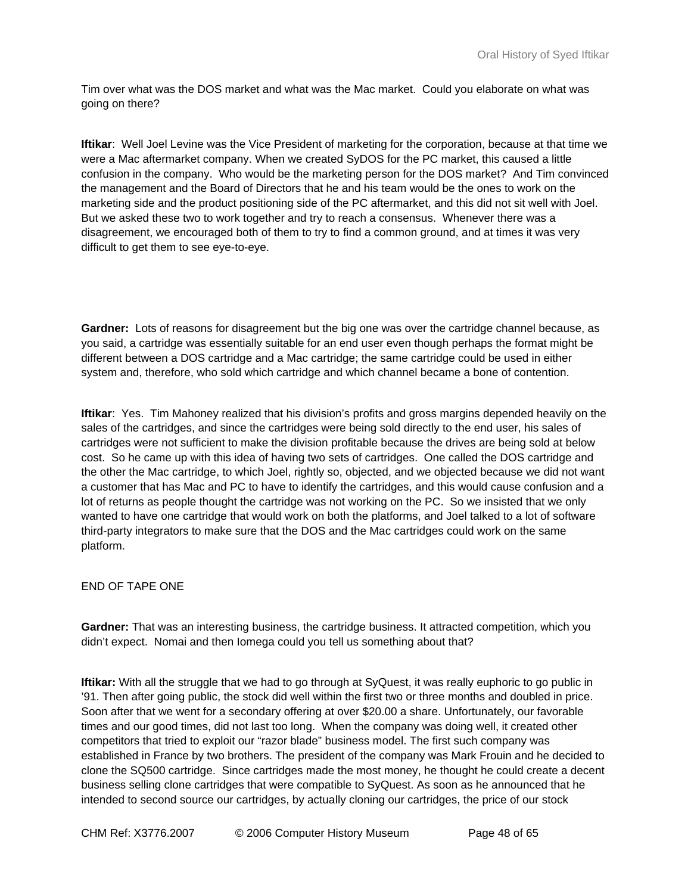Tim over what was the DOS market and what was the Mac market. Could you elaborate on what was going on there?

**Iftikar**: Well Joel Levine was the Vice President of marketing for the corporation, because at that time we were a Mac aftermarket company. When we created SyDOS for the PC market, this caused a little confusion in the company. Who would be the marketing person for the DOS market? And Tim convinced the management and the Board of Directors that he and his team would be the ones to work on the marketing side and the product positioning side of the PC aftermarket, and this did not sit well with Joel. But we asked these two to work together and try to reach a consensus. Whenever there was a disagreement, we encouraged both of them to try to find a common ground, and at times it was very difficult to get them to see eye-to-eye.

**Gardner:** Lots of reasons for disagreement but the big one was over the cartridge channel because, as you said, a cartridge was essentially suitable for an end user even though perhaps the format might be different between a DOS cartridge and a Mac cartridge; the same cartridge could be used in either system and, therefore, who sold which cartridge and which channel became a bone of contention.

**Iftikar**: Yes. Tim Mahoney realized that his division's profits and gross margins depended heavily on the sales of the cartridges, and since the cartridges were being sold directly to the end user, his sales of cartridges were not sufficient to make the division profitable because the drives are being sold at below cost. So he came up with this idea of having two sets of cartridges. One called the DOS cartridge and the other the Mac cartridge, to which Joel, rightly so, objected, and we objected because we did not want a customer that has Mac and PC to have to identify the cartridges, and this would cause confusion and a lot of returns as people thought the cartridge was not working on the PC. So we insisted that we only wanted to have one cartridge that would work on both the platforms, and Joel talked to a lot of software third-party integrators to make sure that the DOS and the Mac cartridges could work on the same platform.

# END OF TAPE ONE

**Gardner:** That was an interesting business, the cartridge business. It attracted competition, which you didn't expect. Nomai and then Iomega could you tell us something about that?

**Iftikar:** With all the struggle that we had to go through at SyQuest, it was really euphoric to go public in '91. Then after going public, the stock did well within the first two or three months and doubled in price. Soon after that we went for a secondary offering at over \$20.00 a share. Unfortunately, our favorable times and our good times, did not last too long. When the company was doing well, it created other competitors that tried to exploit our "razor blade" business model. The first such company was established in France by two brothers. The president of the company was Mark Frouin and he decided to clone the SQ500 cartridge. Since cartridges made the most money, he thought he could create a decent business selling clone cartridges that were compatible to SyQuest. As soon as he announced that he intended to second source our cartridges, by actually cloning our cartridges, the price of our stock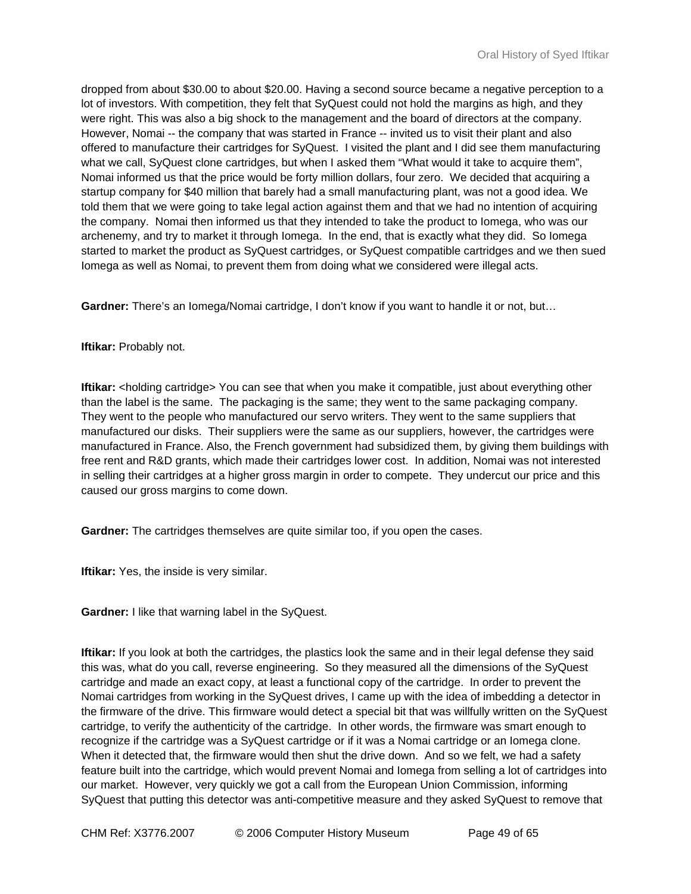dropped from about \$30.00 to about \$20.00. Having a second source became a negative perception to a lot of investors. With competition, they felt that SyQuest could not hold the margins as high, and they were right. This was also a big shock to the management and the board of directors at the company. However, Nomai -- the company that was started in France -- invited us to visit their plant and also offered to manufacture their cartridges for SyQuest. I visited the plant and I did see them manufacturing what we call, SyQuest clone cartridges, but when I asked them "What would it take to acquire them", Nomai informed us that the price would be forty million dollars, four zero. We decided that acquiring a startup company for \$40 million that barely had a small manufacturing plant, was not a good idea. We told them that we were going to take legal action against them and that we had no intention of acquiring the company. Nomai then informed us that they intended to take the product to Iomega, who was our archenemy, and try to market it through Iomega. In the end, that is exactly what they did. So Iomega started to market the product as SyQuest cartridges, or SyQuest compatible cartridges and we then sued Iomega as well as Nomai, to prevent them from doing what we considered were illegal acts.

**Gardner:** There's an Iomega/Nomai cartridge, I don't know if you want to handle it or not, but…

#### **Iftikar:** Probably not.

**Iftikar:** <holding cartridge> You can see that when you make it compatible, just about everything other than the label is the same. The packaging is the same; they went to the same packaging company. They went to the people who manufactured our servo writers. They went to the same suppliers that manufactured our disks. Their suppliers were the same as our suppliers, however, the cartridges were manufactured in France. Also, the French government had subsidized them, by giving them buildings with free rent and R&D grants, which made their cartridges lower cost. In addition, Nomai was not interested in selling their cartridges at a higher gross margin in order to compete. They undercut our price and this caused our gross margins to come down.

**Gardner:** The cartridges themselves are quite similar too, if you open the cases.

**Iftikar:** Yes, the inside is very similar.

**Gardner:** I like that warning label in the SyQuest.

**Iftikar:** If you look at both the cartridges, the plastics look the same and in their legal defense they said this was, what do you call, reverse engineering. So they measured all the dimensions of the SyQuest cartridge and made an exact copy, at least a functional copy of the cartridge. In order to prevent the Nomai cartridges from working in the SyQuest drives, I came up with the idea of imbedding a detector in the firmware of the drive. This firmware would detect a special bit that was willfully written on the SyQuest cartridge, to verify the authenticity of the cartridge. In other words, the firmware was smart enough to recognize if the cartridge was a SyQuest cartridge or if it was a Nomai cartridge or an Iomega clone. When it detected that, the firmware would then shut the drive down. And so we felt, we had a safety feature built into the cartridge, which would prevent Nomai and Iomega from selling a lot of cartridges into our market. However, very quickly we got a call from the European Union Commission, informing SyQuest that putting this detector was anti-competitive measure and they asked SyQuest to remove that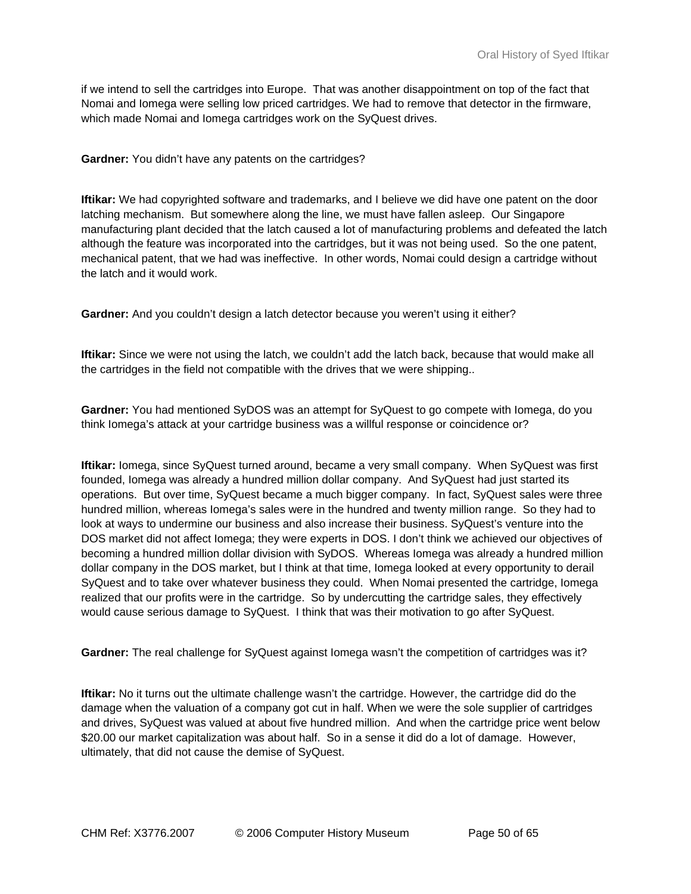if we intend to sell the cartridges into Europe. That was another disappointment on top of the fact that Nomai and Iomega were selling low priced cartridges. We had to remove that detector in the firmware, which made Nomai and Iomega cartridges work on the SyQuest drives.

**Gardner:** You didn't have any patents on the cartridges?

**Iftikar:** We had copyrighted software and trademarks, and I believe we did have one patent on the door latching mechanism. But somewhere along the line, we must have fallen asleep. Our Singapore manufacturing plant decided that the latch caused a lot of manufacturing problems and defeated the latch although the feature was incorporated into the cartridges, but it was not being used. So the one patent, mechanical patent, that we had was ineffective. In other words, Nomai could design a cartridge without the latch and it would work.

**Gardner:** And you couldn't design a latch detector because you weren't using it either?

**Iftikar:** Since we were not using the latch, we couldn't add the latch back, because that would make all the cartridges in the field not compatible with the drives that we were shipping..

**Gardner:** You had mentioned SyDOS was an attempt for SyQuest to go compete with Iomega, do you think Iomega's attack at your cartridge business was a willful response or coincidence or?

**Iftikar:** Iomega, since SyQuest turned around, became a very small company. When SyQuest was first founded, Iomega was already a hundred million dollar company. And SyQuest had just started its operations. But over time, SyQuest became a much bigger company. In fact, SyQuest sales were three hundred million, whereas Iomega's sales were in the hundred and twenty million range. So they had to look at ways to undermine our business and also increase their business. SyQuest's venture into the DOS market did not affect Iomega; they were experts in DOS. I don't think we achieved our objectives of becoming a hundred million dollar division with SyDOS. Whereas Iomega was already a hundred million dollar company in the DOS market, but I think at that time, Iomega looked at every opportunity to derail SyQuest and to take over whatever business they could. When Nomai presented the cartridge, Iomega realized that our profits were in the cartridge. So by undercutting the cartridge sales, they effectively would cause serious damage to SyQuest. I think that was their motivation to go after SyQuest.

**Gardner:** The real challenge for SyQuest against Iomega wasn't the competition of cartridges was it?

**Iftikar:** No it turns out the ultimate challenge wasn't the cartridge. However, the cartridge did do the damage when the valuation of a company got cut in half. When we were the sole supplier of cartridges and drives, SyQuest was valued at about five hundred million. And when the cartridge price went below \$20.00 our market capitalization was about half. So in a sense it did do a lot of damage. However, ultimately, that did not cause the demise of SyQuest.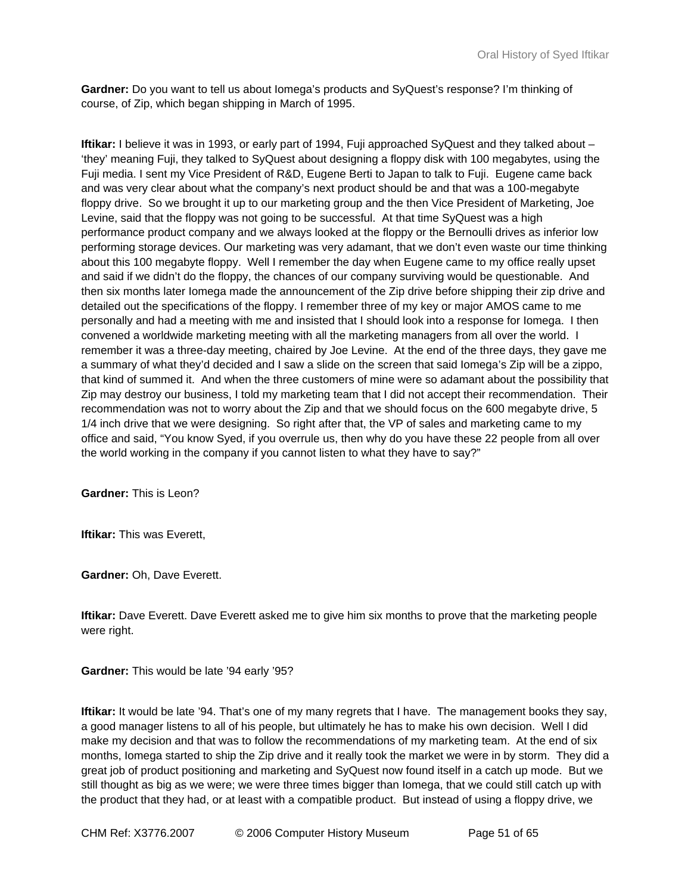**Gardner:** Do you want to tell us about Iomega's products and SyQuest's response? I'm thinking of course, of Zip, which began shipping in March of 1995.

**Iftikar:** I believe it was in 1993, or early part of 1994, Fuji approached SyQuest and they talked about – 'they' meaning Fuji, they talked to SyQuest about designing a floppy disk with 100 megabytes, using the Fuji media. I sent my Vice President of R&D, Eugene Berti to Japan to talk to Fuji. Eugene came back and was very clear about what the company's next product should be and that was a 100-megabyte floppy drive. So we brought it up to our marketing group and the then Vice President of Marketing, Joe Levine, said that the floppy was not going to be successful. At that time SyQuest was a high performance product company and we always looked at the floppy or the Bernoulli drives as inferior low performing storage devices. Our marketing was very adamant, that we don't even waste our time thinking about this 100 megabyte floppy. Well I remember the day when Eugene came to my office really upset and said if we didn't do the floppy, the chances of our company surviving would be questionable. And then six months later Iomega made the announcement of the Zip drive before shipping their zip drive and detailed out the specifications of the floppy. I remember three of my key or major AMOS came to me personally and had a meeting with me and insisted that I should look into a response for Iomega. I then convened a worldwide marketing meeting with all the marketing managers from all over the world. I remember it was a three-day meeting, chaired by Joe Levine. At the end of the three days, they gave me a summary of what they'd decided and I saw a slide on the screen that said Iomega's Zip will be a zippo, that kind of summed it. And when the three customers of mine were so adamant about the possibility that Zip may destroy our business, I told my marketing team that I did not accept their recommendation. Their recommendation was not to worry about the Zip and that we should focus on the 600 megabyte drive, 5 1/4 inch drive that we were designing. So right after that, the VP of sales and marketing came to my office and said, "You know Syed, if you overrule us, then why do you have these 22 people from all over the world working in the company if you cannot listen to what they have to say?"

**Gardner:** This is Leon?

**Iftikar:** This was Everett,

**Gardner:** Oh, Dave Everett.

**Iftikar:** Dave Everett. Dave Everett asked me to give him six months to prove that the marketing people were right.

**Gardner:** This would be late '94 early '95?

**Iftikar:** It would be late '94. That's one of my many regrets that I have. The management books they say, a good manager listens to all of his people, but ultimately he has to make his own decision. Well I did make my decision and that was to follow the recommendations of my marketing team. At the end of six months, Iomega started to ship the Zip drive and it really took the market we were in by storm. They did a great job of product positioning and marketing and SyQuest now found itself in a catch up mode. But we still thought as big as we were; we were three times bigger than Iomega, that we could still catch up with the product that they had, or at least with a compatible product. But instead of using a floppy drive, we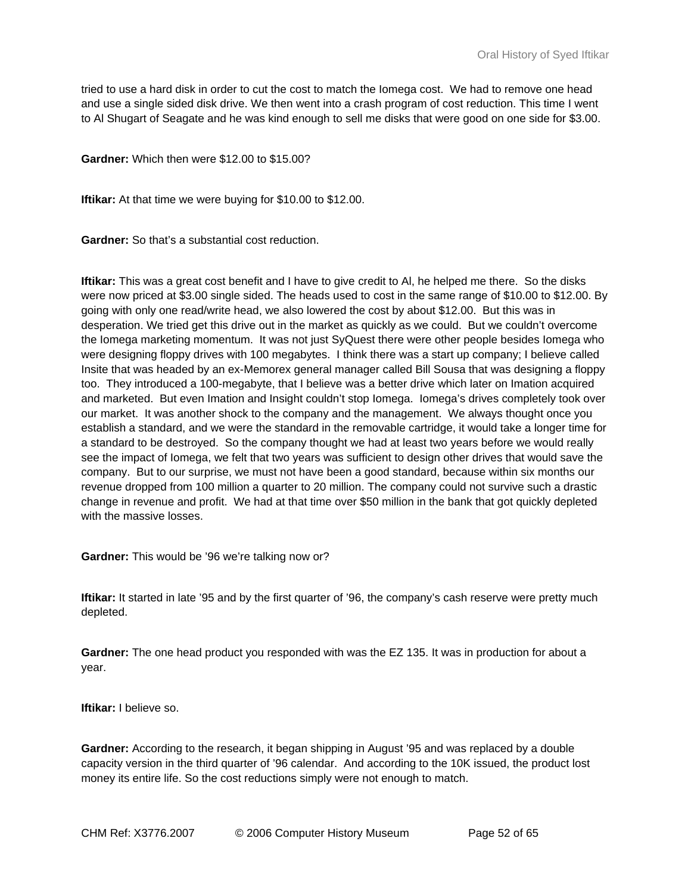tried to use a hard disk in order to cut the cost to match the Iomega cost. We had to remove one head and use a single sided disk drive. We then went into a crash program of cost reduction. This time I went to Al Shugart of Seagate and he was kind enough to sell me disks that were good on one side for \$3.00.

**Gardner:** Which then were \$12.00 to \$15.00?

**Iftikar:** At that time we were buying for \$10.00 to \$12.00.

**Gardner:** So that's a substantial cost reduction.

**Iftikar:** This was a great cost benefit and I have to give credit to Al, he helped me there. So the disks were now priced at \$3.00 single sided. The heads used to cost in the same range of \$10.00 to \$12.00. By going with only one read/write head, we also lowered the cost by about \$12.00. But this was in desperation. We tried get this drive out in the market as quickly as we could. But we couldn't overcome the Iomega marketing momentum. It was not just SyQuest there were other people besides Iomega who were designing floppy drives with 100 megabytes. I think there was a start up company; I believe called Insite that was headed by an ex-Memorex general manager called Bill Sousa that was designing a floppy too. They introduced a 100-megabyte, that I believe was a better drive which later on Imation acquired and marketed. But even Imation and Insight couldn't stop Iomega. Iomega's drives completely took over our market. It was another shock to the company and the management. We always thought once you establish a standard, and we were the standard in the removable cartridge, it would take a longer time for a standard to be destroyed. So the company thought we had at least two years before we would really see the impact of Iomega, we felt that two years was sufficient to design other drives that would save the company. But to our surprise, we must not have been a good standard, because within six months our revenue dropped from 100 million a quarter to 20 million. The company could not survive such a drastic change in revenue and profit. We had at that time over \$50 million in the bank that got quickly depleted with the massive losses.

**Gardner:** This would be '96 we're talking now or?

**Iftikar:** It started in late '95 and by the first quarter of '96, the company's cash reserve were pretty much depleted.

**Gardner:** The one head product you responded with was the EZ 135. It was in production for about a year.

**Iftikar:** I believe so.

**Gardner:** According to the research, it began shipping in August '95 and was replaced by a double capacity version in the third quarter of '96 calendar. And according to the 10K issued, the product lost money its entire life. So the cost reductions simply were not enough to match.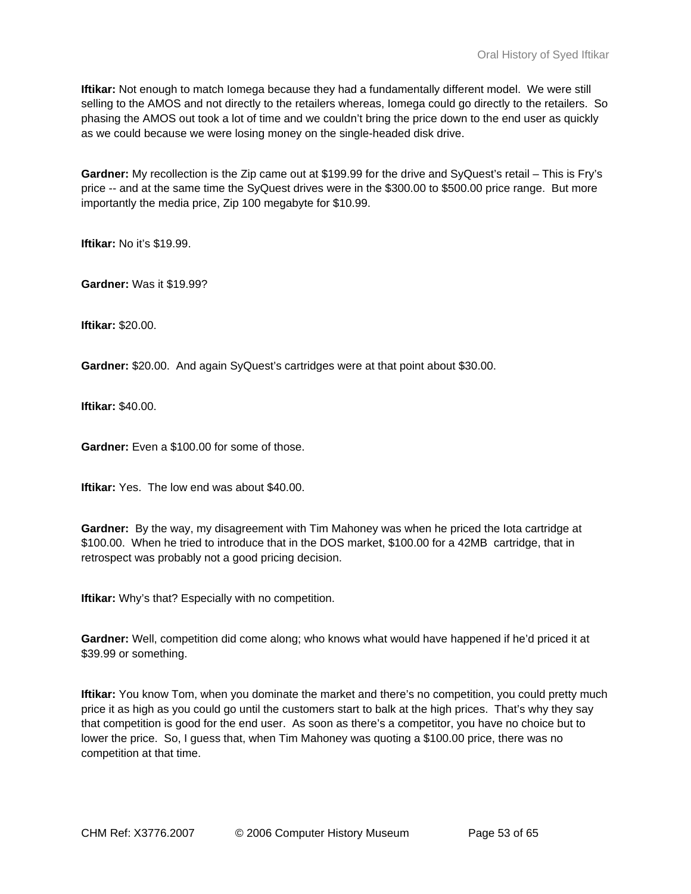**Iftikar:** Not enough to match Iomega because they had a fundamentally different model. We were still selling to the AMOS and not directly to the retailers whereas, Iomega could go directly to the retailers. So phasing the AMOS out took a lot of time and we couldn't bring the price down to the end user as quickly as we could because we were losing money on the single-headed disk drive.

**Gardner:** My recollection is the Zip came out at \$199.99 for the drive and SyQuest's retail – This is Fry's price -- and at the same time the SyQuest drives were in the \$300.00 to \$500.00 price range. But more importantly the media price, Zip 100 megabyte for \$10.99.

**Iftikar:** No it's \$19.99.

**Gardner:** Was it \$19.99?

**Iftikar:** \$20.00.

**Gardner:** \$20.00. And again SyQuest's cartridges were at that point about \$30.00.

**Iftikar:** \$40.00.

**Gardner:** Even a \$100.00 for some of those.

**Iftikar:** Yes. The low end was about \$40.00.

**Gardner:** By the way, my disagreement with Tim Mahoney was when he priced the Iota cartridge at \$100.00. When he tried to introduce that in the DOS market, \$100.00 for a 42MB cartridge, that in retrospect was probably not a good pricing decision.

**Iftikar:** Why's that? Especially with no competition.

**Gardner:** Well, competition did come along; who knows what would have happened if he'd priced it at \$39.99 or something.

**Iftikar:** You know Tom, when you dominate the market and there's no competition, you could pretty much price it as high as you could go until the customers start to balk at the high prices. That's why they say that competition is good for the end user. As soon as there's a competitor, you have no choice but to lower the price. So, I guess that, when Tim Mahoney was quoting a \$100.00 price, there was no competition at that time.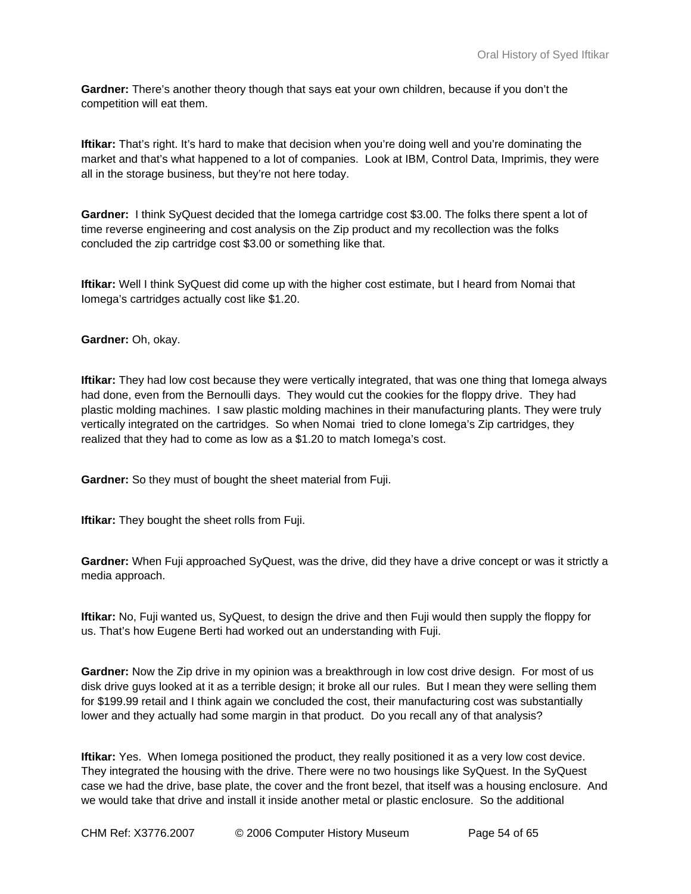**Gardner:** There's another theory though that says eat your own children, because if you don't the competition will eat them.

**Iftikar:** That's right. It's hard to make that decision when you're doing well and you're dominating the market and that's what happened to a lot of companies. Look at IBM, Control Data, Imprimis, they were all in the storage business, but they're not here today.

**Gardner:** I think SyQuest decided that the Iomega cartridge cost \$3.00. The folks there spent a lot of time reverse engineering and cost analysis on the Zip product and my recollection was the folks concluded the zip cartridge cost \$3.00 or something like that.

**Iftikar:** Well I think SyQuest did come up with the higher cost estimate, but I heard from Nomai that Iomega's cartridges actually cost like \$1.20.

**Gardner:** Oh, okay.

**Iftikar:** They had low cost because they were vertically integrated, that was one thing that Iomega always had done, even from the Bernoulli days. They would cut the cookies for the floppy drive. They had plastic molding machines. I saw plastic molding machines in their manufacturing plants. They were truly vertically integrated on the cartridges. So when Nomai tried to clone Iomega's Zip cartridges, they realized that they had to come as low as a \$1.20 to match Iomega's cost.

**Gardner:** So they must of bought the sheet material from Fuji.

**Iftikar:** They bought the sheet rolls from Fuji.

**Gardner:** When Fuji approached SyQuest, was the drive, did they have a drive concept or was it strictly a media approach.

**Iftikar:** No, Fuji wanted us, SyQuest, to design the drive and then Fuji would then supply the floppy for us. That's how Eugene Berti had worked out an understanding with Fuji.

**Gardner:** Now the Zip drive in my opinion was a breakthrough in low cost drive design. For most of us disk drive guys looked at it as a terrible design; it broke all our rules. But I mean they were selling them for \$199.99 retail and I think again we concluded the cost, their manufacturing cost was substantially lower and they actually had some margin in that product. Do you recall any of that analysis?

**Iftikar:** Yes. When Iomega positioned the product, they really positioned it as a very low cost device. They integrated the housing with the drive. There were no two housings like SyQuest. In the SyQuest case we had the drive, base plate, the cover and the front bezel, that itself was a housing enclosure. And we would take that drive and install it inside another metal or plastic enclosure. So the additional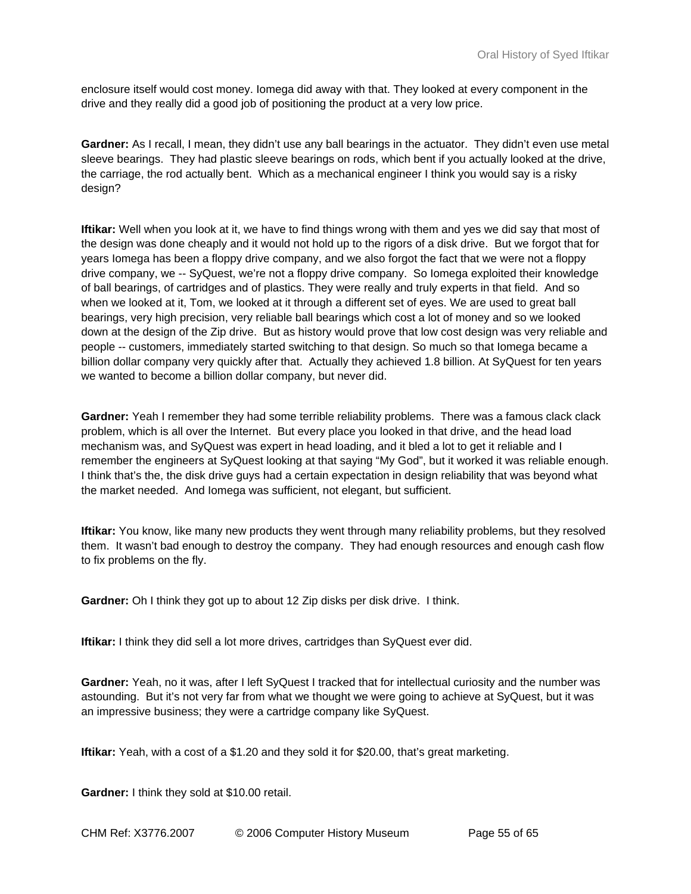enclosure itself would cost money. Iomega did away with that. They looked at every component in the drive and they really did a good job of positioning the product at a very low price.

**Gardner:** As I recall, I mean, they didn't use any ball bearings in the actuator. They didn't even use metal sleeve bearings. They had plastic sleeve bearings on rods, which bent if you actually looked at the drive, the carriage, the rod actually bent. Which as a mechanical engineer I think you would say is a risky design?

**Iftikar:** Well when you look at it, we have to find things wrong with them and yes we did say that most of the design was done cheaply and it would not hold up to the rigors of a disk drive. But we forgot that for years Iomega has been a floppy drive company, and we also forgot the fact that we were not a floppy drive company, we -- SyQuest, we're not a floppy drive company. So Iomega exploited their knowledge of ball bearings, of cartridges and of plastics. They were really and truly experts in that field. And so when we looked at it, Tom, we looked at it through a different set of eyes. We are used to great ball bearings, very high precision, very reliable ball bearings which cost a lot of money and so we looked down at the design of the Zip drive. But as history would prove that low cost design was very reliable and people -- customers, immediately started switching to that design. So much so that Iomega became a billion dollar company very quickly after that. Actually they achieved 1.8 billion. At SyQuest for ten years we wanted to become a billion dollar company, but never did.

**Gardner:** Yeah I remember they had some terrible reliability problems. There was a famous clack clack problem, which is all over the Internet. But every place you looked in that drive, and the head load mechanism was, and SyQuest was expert in head loading, and it bled a lot to get it reliable and I remember the engineers at SyQuest looking at that saying "My God", but it worked it was reliable enough. I think that's the, the disk drive guys had a certain expectation in design reliability that was beyond what the market needed. And Iomega was sufficient, not elegant, but sufficient.

**Iftikar:** You know, like many new products they went through many reliability problems, but they resolved them. It wasn't bad enough to destroy the company. They had enough resources and enough cash flow to fix problems on the fly.

**Gardner:** Oh I think they got up to about 12 Zip disks per disk drive. I think.

**Iftikar:** I think they did sell a lot more drives, cartridges than SyQuest ever did.

**Gardner:** Yeah, no it was, after I left SyQuest I tracked that for intellectual curiosity and the number was astounding. But it's not very far from what we thought we were going to achieve at SyQuest, but it was an impressive business; they were a cartridge company like SyQuest.

**Iftikar:** Yeah, with a cost of a \$1.20 and they sold it for \$20.00, that's great marketing.

**Gardner:** I think they sold at \$10.00 retail.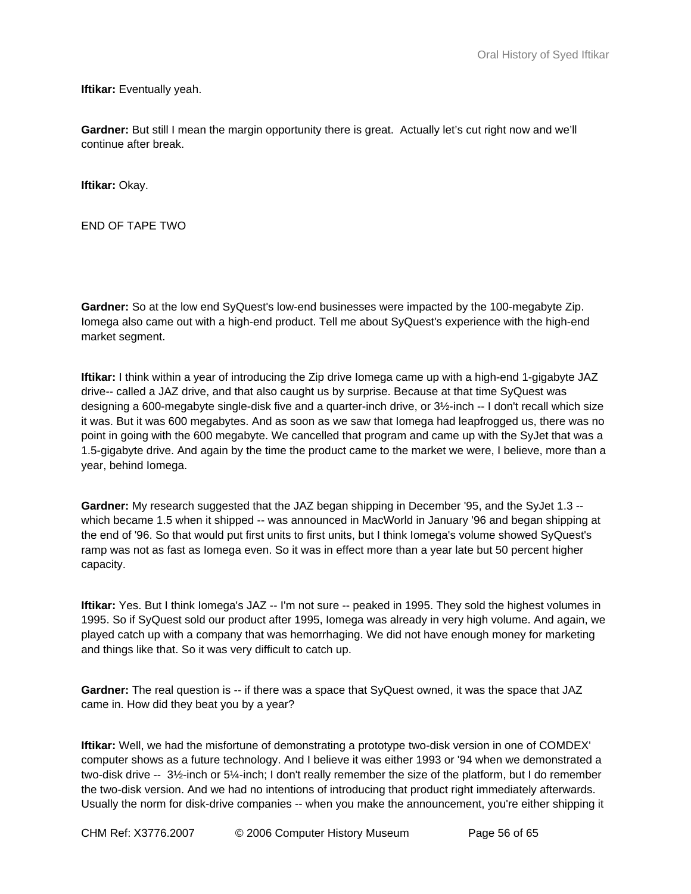**Iftikar:** Eventually yeah.

**Gardner:** But still I mean the margin opportunity there is great. Actually let's cut right now and we'll continue after break.

**Iftikar:** Okay.

END OF TAPE TWO

**Gardner:** So at the low end SyQuest's low-end businesses were impacted by the 100-megabyte Zip. Iomega also came out with a high-end product. Tell me about SyQuest's experience with the high-end market segment.

**Iftikar:** I think within a year of introducing the Zip drive Iomega came up with a high-end 1-gigabyte JAZ drive-- called a JAZ drive, and that also caught us by surprise. Because at that time SyQuest was designing a 600-megabyte single-disk five and a quarter-inch drive, or 3½-inch -- I don't recall which size it was. But it was 600 megabytes. And as soon as we saw that Iomega had leapfrogged us, there was no point in going with the 600 megabyte. We cancelled that program and came up with the SyJet that was a 1.5-gigabyte drive. And again by the time the product came to the market we were, I believe, more than a year, behind Iomega.

**Gardner:** My research suggested that the JAZ began shipping in December '95, and the SyJet 1.3 - which became 1.5 when it shipped -- was announced in MacWorld in January '96 and began shipping at the end of '96. So that would put first units to first units, but I think Iomega's volume showed SyQuest's ramp was not as fast as Iomega even. So it was in effect more than a year late but 50 percent higher capacity.

**Iftikar:** Yes. But I think Iomega's JAZ -- I'm not sure -- peaked in 1995. They sold the highest volumes in 1995. So if SyQuest sold our product after 1995, Iomega was already in very high volume. And again, we played catch up with a company that was hemorrhaging. We did not have enough money for marketing and things like that. So it was very difficult to catch up.

**Gardner:** The real question is -- if there was a space that SyQuest owned, it was the space that JAZ came in. How did they beat you by a year?

**Iftikar:** Well, we had the misfortune of demonstrating a prototype two-disk version in one of COMDEX' computer shows as a future technology. And I believe it was either 1993 or '94 when we demonstrated a two-disk drive -- 3½-inch or 5¼-inch; I don't really remember the size of the platform, but I do remember the two-disk version. And we had no intentions of introducing that product right immediately afterwards. Usually the norm for disk-drive companies -- when you make the announcement, you're either shipping it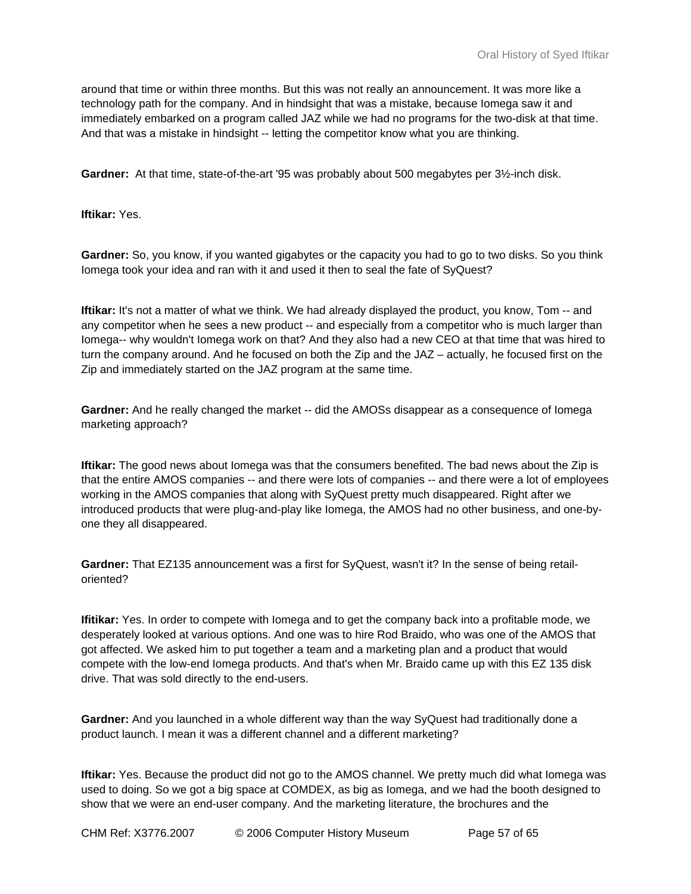around that time or within three months. But this was not really an announcement. It was more like a technology path for the company. And in hindsight that was a mistake, because Iomega saw it and immediately embarked on a program called JAZ while we had no programs for the two-disk at that time. And that was a mistake in hindsight -- letting the competitor know what you are thinking.

**Gardner:** At that time, state-of-the-art '95 was probably about 500 megabytes per 3½-inch disk.

**Iftikar:** Yes.

**Gardner:** So, you know, if you wanted gigabytes or the capacity you had to go to two disks. So you think Iomega took your idea and ran with it and used it then to seal the fate of SyQuest?

**Iftikar:** It's not a matter of what we think. We had already displayed the product, you know, Tom -- and any competitor when he sees a new product -- and especially from a competitor who is much larger than Iomega-- why wouldn't Iomega work on that? And they also had a new CEO at that time that was hired to turn the company around. And he focused on both the Zip and the JAZ – actually, he focused first on the Zip and immediately started on the JAZ program at the same time.

**Gardner:** And he really changed the market -- did the AMOSs disappear as a consequence of Iomega marketing approach?

**Iftikar:** The good news about Iomega was that the consumers benefited. The bad news about the Zip is that the entire AMOS companies -- and there were lots of companies -- and there were a lot of employees working in the AMOS companies that along with SyQuest pretty much disappeared. Right after we introduced products that were plug-and-play like Iomega, the AMOS had no other business, and one-byone they all disappeared.

**Gardner:** That EZ135 announcement was a first for SyQuest, wasn't it? In the sense of being retailoriented?

**Ifitikar:** Yes. In order to compete with Iomega and to get the company back into a profitable mode, we desperately looked at various options. And one was to hire Rod Braido, who was one of the AMOS that got affected. We asked him to put together a team and a marketing plan and a product that would compete with the low-end Iomega products. And that's when Mr. Braido came up with this EZ 135 disk drive. That was sold directly to the end-users.

**Gardner:** And you launched in a whole different way than the way SyQuest had traditionally done a product launch. I mean it was a different channel and a different marketing?

**Iftikar:** Yes. Because the product did not go to the AMOS channel. We pretty much did what Iomega was used to doing. So we got a big space at COMDEX, as big as Iomega, and we had the booth designed to show that we were an end-user company. And the marketing literature, the brochures and the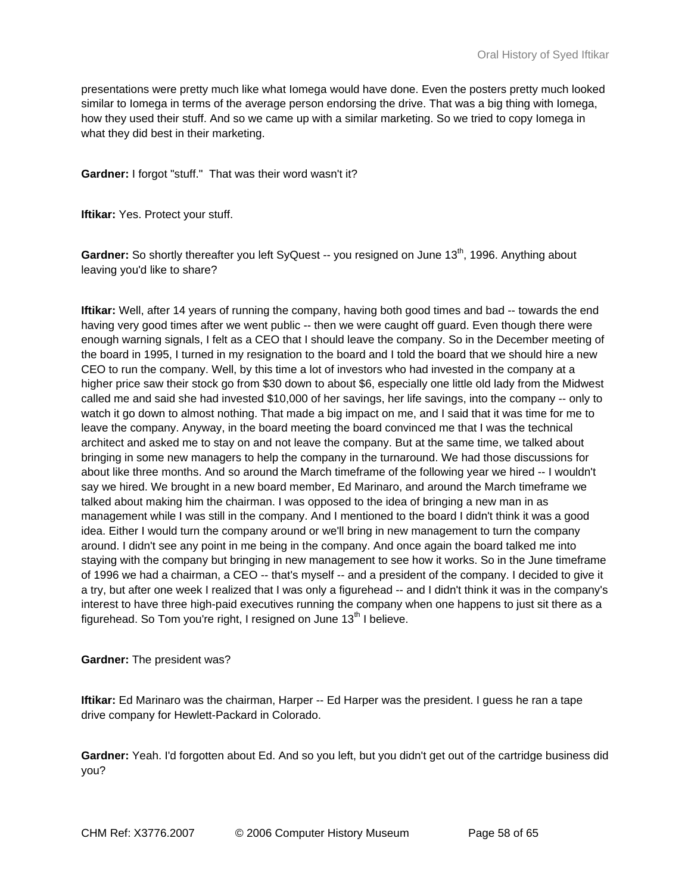presentations were pretty much like what Iomega would have done. Even the posters pretty much looked similar to Iomega in terms of the average person endorsing the drive. That was a big thing with Iomega, how they used their stuff. And so we came up with a similar marketing. So we tried to copy Iomega in what they did best in their marketing.

**Gardner:** I forgot "stuff." That was their word wasn't it?

**Iftikar:** Yes. Protect your stuff.

Gardner: So shortly thereafter you left SyQuest -- you resigned on June 13<sup>th</sup>, 1996. Anything about leaving you'd like to share?

**Iftikar:** Well, after 14 years of running the company, having both good times and bad -- towards the end having very good times after we went public -- then we were caught off guard. Even though there were enough warning signals, I felt as a CEO that I should leave the company. So in the December meeting of the board in 1995, I turned in my resignation to the board and I told the board that we should hire a new CEO to run the company. Well, by this time a lot of investors who had invested in the company at a higher price saw their stock go from \$30 down to about \$6, especially one little old lady from the Midwest called me and said she had invested \$10,000 of her savings, her life savings, into the company -- only to watch it go down to almost nothing. That made a big impact on me, and I said that it was time for me to leave the company. Anyway, in the board meeting the board convinced me that I was the technical architect and asked me to stay on and not leave the company. But at the same time, we talked about bringing in some new managers to help the company in the turnaround. We had those discussions for about like three months. And so around the March timeframe of the following year we hired -- I wouldn't say we hired. We brought in a new board member, Ed Marinaro, and around the March timeframe we talked about making him the chairman. I was opposed to the idea of bringing a new man in as management while I was still in the company. And I mentioned to the board I didn't think it was a good idea. Either I would turn the company around or we'll bring in new management to turn the company around. I didn't see any point in me being in the company. And once again the board talked me into staying with the company but bringing in new management to see how it works. So in the June timeframe of 1996 we had a chairman, a CEO -- that's myself -- and a president of the company. I decided to give it a try, but after one week I realized that I was only a figurehead -- and I didn't think it was in the company's interest to have three high-paid executives running the company when one happens to just sit there as a figurehead. So Tom you're right, I resigned on June  $13<sup>th</sup>$  I believe.

**Gardner:** The president was?

**Iftikar:** Ed Marinaro was the chairman, Harper -- Ed Harper was the president. I guess he ran a tape drive company for Hewlett-Packard in Colorado.

**Gardner:** Yeah. I'd forgotten about Ed. And so you left, but you didn't get out of the cartridge business did you?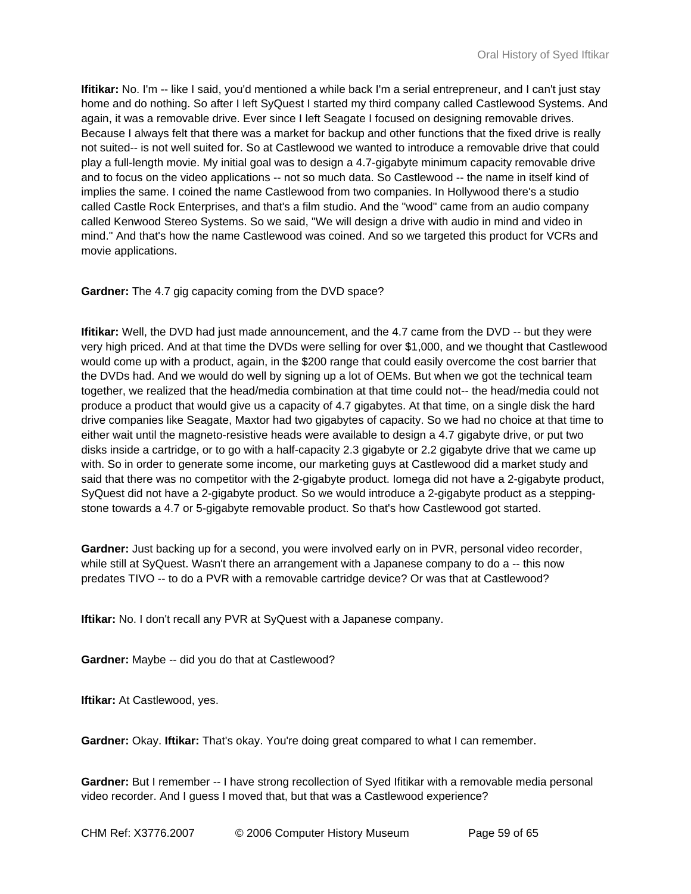**Ifitikar:** No. I'm -- like I said, you'd mentioned a while back I'm a serial entrepreneur, and I can't just stay home and do nothing. So after I left SyQuest I started my third company called Castlewood Systems. And again, it was a removable drive. Ever since I left Seagate I focused on designing removable drives. Because I always felt that there was a market for backup and other functions that the fixed drive is really not suited-- is not well suited for. So at Castlewood we wanted to introduce a removable drive that could play a full-length movie. My initial goal was to design a 4.7-gigabyte minimum capacity removable drive and to focus on the video applications -- not so much data. So Castlewood -- the name in itself kind of implies the same. I coined the name Castlewood from two companies. In Hollywood there's a studio called Castle Rock Enterprises, and that's a film studio. And the "wood" came from an audio company called Kenwood Stereo Systems. So we said, "We will design a drive with audio in mind and video in mind." And that's how the name Castlewood was coined. And so we targeted this product for VCRs and movie applications.

#### **Gardner:** The 4.7 gig capacity coming from the DVD space?

**Ifitikar:** Well, the DVD had just made announcement, and the 4.7 came from the DVD -- but they were very high priced. And at that time the DVDs were selling for over \$1,000, and we thought that Castlewood would come up with a product, again, in the \$200 range that could easily overcome the cost barrier that the DVDs had. And we would do well by signing up a lot of OEMs. But when we got the technical team together, we realized that the head/media combination at that time could not-- the head/media could not produce a product that would give us a capacity of 4.7 gigabytes. At that time, on a single disk the hard drive companies like Seagate, Maxtor had two gigabytes of capacity. So we had no choice at that time to either wait until the magneto-resistive heads were available to design a 4.7 gigabyte drive, or put two disks inside a cartridge, or to go with a half-capacity 2.3 gigabyte or 2.2 gigabyte drive that we came up with. So in order to generate some income, our marketing guys at Castlewood did a market study and said that there was no competitor with the 2-gigabyte product. Iomega did not have a 2-gigabyte product, SyQuest did not have a 2-gigabyte product. So we would introduce a 2-gigabyte product as a steppingstone towards a 4.7 or 5-gigabyte removable product. So that's how Castlewood got started.

**Gardner:** Just backing up for a second, you were involved early on in PVR, personal video recorder, while still at SyQuest. Wasn't there an arrangement with a Japanese company to do a -- this now predates TIVO -- to do a PVR with a removable cartridge device? Or was that at Castlewood?

**Iftikar:** No. I don't recall any PVR at SyQuest with a Japanese company.

**Gardner:** Maybe -- did you do that at Castlewood?

**Iftikar:** At Castlewood, yes.

**Gardner:** Okay. **Iftikar:** That's okay. You're doing great compared to what I can remember.

Gardner: But I remember -- I have strong recollection of Syed Ifitikar with a removable media personal video recorder. And I guess I moved that, but that was a Castlewood experience?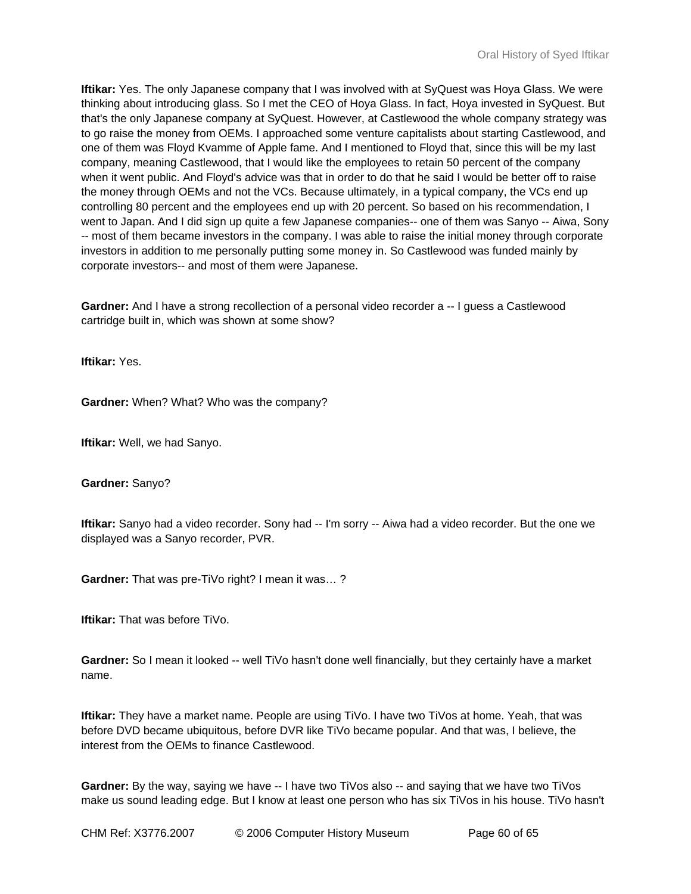**Iftikar:** Yes. The only Japanese company that I was involved with at SyQuest was Hoya Glass. We were thinking about introducing glass. So I met the CEO of Hoya Glass. In fact, Hoya invested in SyQuest. But that's the only Japanese company at SyQuest. However, at Castlewood the whole company strategy was to go raise the money from OEMs. I approached some venture capitalists about starting Castlewood, and one of them was Floyd Kvamme of Apple fame. And I mentioned to Floyd that, since this will be my last company, meaning Castlewood, that I would like the employees to retain 50 percent of the company when it went public. And Floyd's advice was that in order to do that he said I would be better off to raise the money through OEMs and not the VCs. Because ultimately, in a typical company, the VCs end up controlling 80 percent and the employees end up with 20 percent. So based on his recommendation, I went to Japan. And I did sign up quite a few Japanese companies-- one of them was Sanyo -- Aiwa, Sony -- most of them became investors in the company. I was able to raise the initial money through corporate investors in addition to me personally putting some money in. So Castlewood was funded mainly by corporate investors-- and most of them were Japanese.

**Gardner:** And I have a strong recollection of a personal video recorder a -- I guess a Castlewood cartridge built in, which was shown at some show?

**Iftikar:** Yes.

**Gardner:** When? What? Who was the company?

**Iftikar:** Well, we had Sanyo.

**Gardner:** Sanyo?

**Iftikar:** Sanyo had a video recorder. Sony had -- I'm sorry -- Aiwa had a video recorder. But the one we displayed was a Sanyo recorder, PVR.

**Gardner:** That was pre-TiVo right? I mean it was… ?

**Iftikar:** That was before TiVo.

**Gardner:** So I mean it looked -- well TiVo hasn't done well financially, but they certainly have a market name.

**Iftikar:** They have a market name. People are using TiVo. I have two TiVos at home. Yeah, that was before DVD became ubiquitous, before DVR like TiVo became popular. And that was, I believe, the interest from the OEMs to finance Castlewood.

**Gardner:** By the way, saying we have -- I have two TiVos also -- and saying that we have two TiVos make us sound leading edge. But I know at least one person who has six TiVos in his house. TiVo hasn't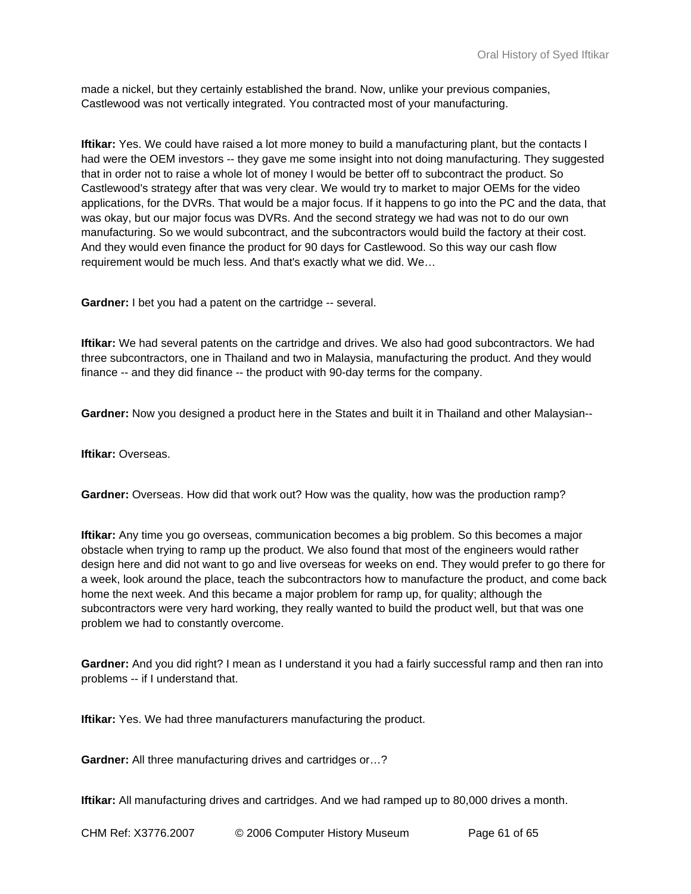made a nickel, but they certainly established the brand. Now, unlike your previous companies, Castlewood was not vertically integrated. You contracted most of your manufacturing.

**Iftikar:** Yes. We could have raised a lot more money to build a manufacturing plant, but the contacts I had were the OEM investors -- they gave me some insight into not doing manufacturing. They suggested that in order not to raise a whole lot of money I would be better off to subcontract the product. So Castlewood's strategy after that was very clear. We would try to market to major OEMs for the video applications, for the DVRs. That would be a major focus. If it happens to go into the PC and the data, that was okay, but our major focus was DVRs. And the second strategy we had was not to do our own manufacturing. So we would subcontract, and the subcontractors would build the factory at their cost. And they would even finance the product for 90 days for Castlewood. So this way our cash flow requirement would be much less. And that's exactly what we did. We…

**Gardner:** I bet you had a patent on the cartridge -- several.

**Iftikar:** We had several patents on the cartridge and drives. We also had good subcontractors. We had three subcontractors, one in Thailand and two in Malaysia, manufacturing the product. And they would finance -- and they did finance -- the product with 90-day terms for the company.

**Gardner:** Now you designed a product here in the States and built it in Thailand and other Malaysian--

**Iftikar:** Overseas.

**Gardner:** Overseas. How did that work out? How was the quality, how was the production ramp?

**Iftikar:** Any time you go overseas, communication becomes a big problem. So this becomes a major obstacle when trying to ramp up the product. We also found that most of the engineers would rather design here and did not want to go and live overseas for weeks on end. They would prefer to go there for a week, look around the place, teach the subcontractors how to manufacture the product, and come back home the next week. And this became a major problem for ramp up, for quality; although the subcontractors were very hard working, they really wanted to build the product well, but that was one problem we had to constantly overcome.

**Gardner:** And you did right? I mean as I understand it you had a fairly successful ramp and then ran into problems -- if I understand that.

**Iftikar:** Yes. We had three manufacturers manufacturing the product.

**Gardner:** All three manufacturing drives and cartridges or…?

**Iftikar:** All manufacturing drives and cartridges. And we had ramped up to 80,000 drives a month.

CHM Ref: X3776.2007 © 2006 Computer History Museum Page 61 of 65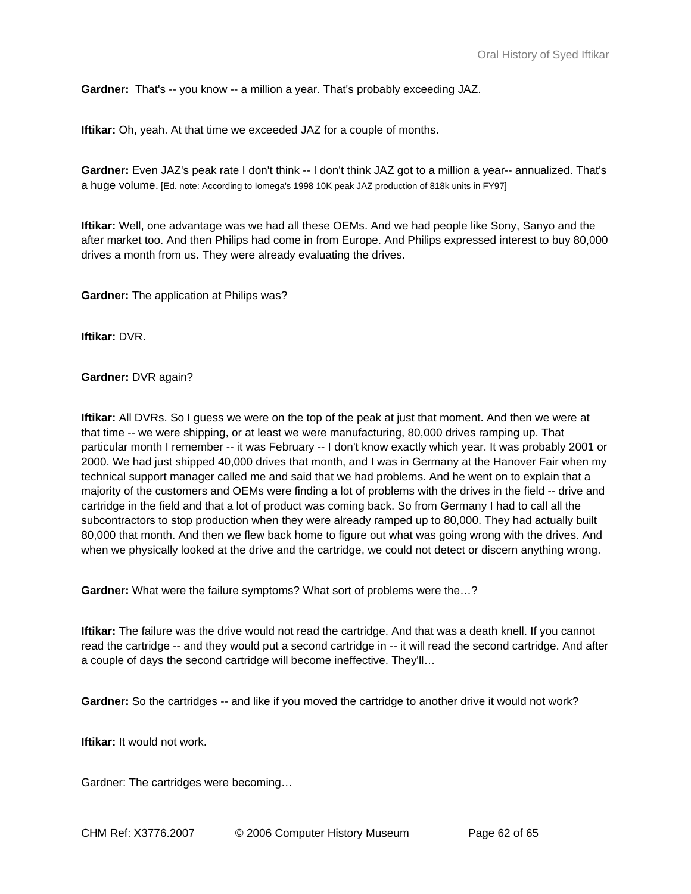**Gardner:** That's -- you know -- a million a year. That's probably exceeding JAZ.

**Iftikar:** Oh, yeah. At that time we exceeded JAZ for a couple of months.

**Gardner:** Even JAZ's peak rate I don't think -- I don't think JAZ got to a million a year-- annualized. That's a huge volume. [Ed. note: According to Iomega's 1998 10K peak JAZ production of 818k units in FY97]

**Iftikar:** Well, one advantage was we had all these OEMs. And we had people like Sony, Sanyo and the after market too. And then Philips had come in from Europe. And Philips expressed interest to buy 80,000 drives a month from us. They were already evaluating the drives.

**Gardner:** The application at Philips was?

**Iftikar:** DVR.

**Gardner:** DVR again?

**Iftikar:** All DVRs. So I guess we were on the top of the peak at just that moment. And then we were at that time -- we were shipping, or at least we were manufacturing, 80,000 drives ramping up. That particular month I remember -- it was February -- I don't know exactly which year. It was probably 2001 or 2000. We had just shipped 40,000 drives that month, and I was in Germany at the Hanover Fair when my technical support manager called me and said that we had problems. And he went on to explain that a majority of the customers and OEMs were finding a lot of problems with the drives in the field -- drive and cartridge in the field and that a lot of product was coming back. So from Germany I had to call all the subcontractors to stop production when they were already ramped up to 80,000. They had actually built 80,000 that month. And then we flew back home to figure out what was going wrong with the drives. And when we physically looked at the drive and the cartridge, we could not detect or discern anything wrong.

**Gardner:** What were the failure symptoms? What sort of problems were the…?

**Iftikar:** The failure was the drive would not read the cartridge. And that was a death knell. If you cannot read the cartridge -- and they would put a second cartridge in -- it will read the second cartridge. And after a couple of days the second cartridge will become ineffective. They'll…

**Gardner:** So the cartridges -- and like if you moved the cartridge to another drive it would not work?

**Iftikar:** It would not work.

Gardner: The cartridges were becoming…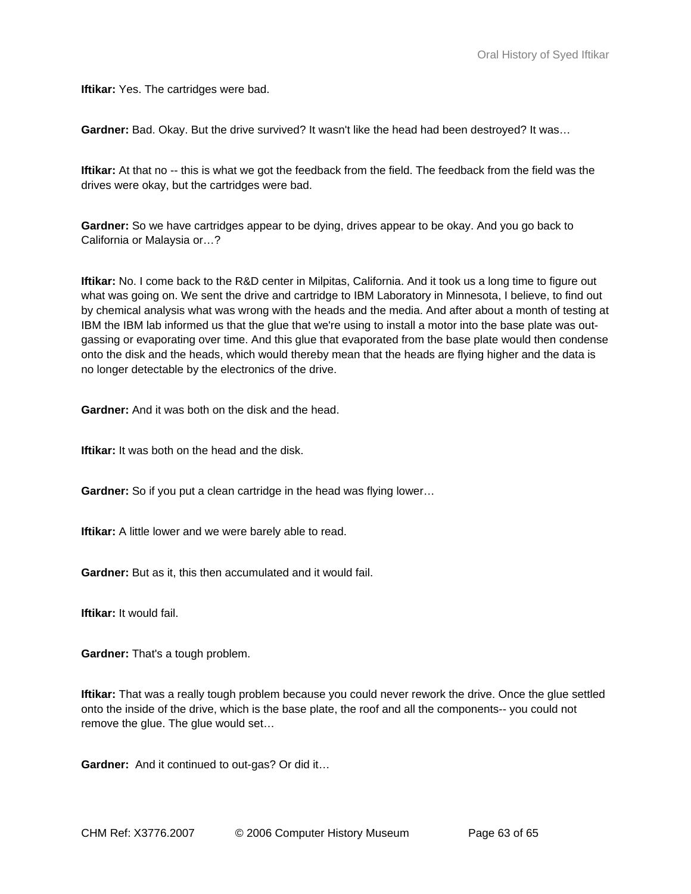**Iftikar:** Yes. The cartridges were bad.

**Gardner:** Bad. Okay. But the drive survived? It wasn't like the head had been destroyed? It was…

**Iftikar:** At that no -- this is what we got the feedback from the field. The feedback from the field was the drives were okay, but the cartridges were bad.

**Gardner:** So we have cartridges appear to be dying, drives appear to be okay. And you go back to California or Malaysia or…?

**Iftikar:** No. I come back to the R&D center in Milpitas, California. And it took us a long time to figure out what was going on. We sent the drive and cartridge to IBM Laboratory in Minnesota, I believe, to find out by chemical analysis what was wrong with the heads and the media. And after about a month of testing at IBM the IBM lab informed us that the glue that we're using to install a motor into the base plate was outgassing or evaporating over time. And this glue that evaporated from the base plate would then condense onto the disk and the heads, which would thereby mean that the heads are flying higher and the data is no longer detectable by the electronics of the drive.

**Gardner:** And it was both on the disk and the head.

**Iftikar:** It was both on the head and the disk.

**Gardner:** So if you put a clean cartridge in the head was flying lower…

**Iftikar:** A little lower and we were barely able to read.

**Gardner:** But as it, this then accumulated and it would fail.

**Iftikar:** It would fail.

**Gardner:** That's a tough problem.

**Iftikar:** That was a really tough problem because you could never rework the drive. Once the glue settled onto the inside of the drive, which is the base plate, the roof and all the components-- you could not remove the glue. The glue would set…

**Gardner:** And it continued to out-gas? Or did it…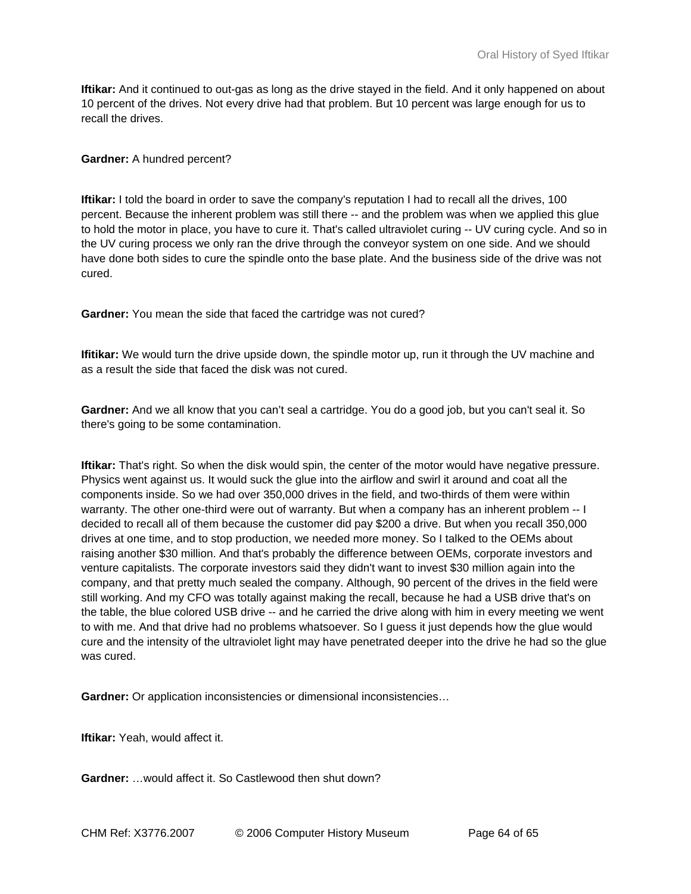**Iftikar:** And it continued to out-gas as long as the drive stayed in the field. And it only happened on about 10 percent of the drives. Not every drive had that problem. But 10 percent was large enough for us to recall the drives.

# **Gardner:** A hundred percent?

**Iftikar:** I told the board in order to save the company's reputation I had to recall all the drives, 100 percent. Because the inherent problem was still there -- and the problem was when we applied this glue to hold the motor in place, you have to cure it. That's called ultraviolet curing -- UV curing cycle. And so in the UV curing process we only ran the drive through the conveyor system on one side. And we should have done both sides to cure the spindle onto the base plate. And the business side of the drive was not cured.

**Gardner:** You mean the side that faced the cartridge was not cured?

**Ifitikar:** We would turn the drive upside down, the spindle motor up, run it through the UV machine and as a result the side that faced the disk was not cured.

**Gardner:** And we all know that you can't seal a cartridge. You do a good job, but you can't seal it. So there's going to be some contamination.

**Iftikar:** That's right. So when the disk would spin, the center of the motor would have negative pressure. Physics went against us. It would suck the glue into the airflow and swirl it around and coat all the components inside. So we had over 350,000 drives in the field, and two-thirds of them were within warranty. The other one-third were out of warranty. But when a company has an inherent problem -- I decided to recall all of them because the customer did pay \$200 a drive. But when you recall 350,000 drives at one time, and to stop production, we needed more money. So I talked to the OEMs about raising another \$30 million. And that's probably the difference between OEMs, corporate investors and venture capitalists. The corporate investors said they didn't want to invest \$30 million again into the company, and that pretty much sealed the company. Although, 90 percent of the drives in the field were still working. And my CFO was totally against making the recall, because he had a USB drive that's on the table, the blue colored USB drive -- and he carried the drive along with him in every meeting we went to with me. And that drive had no problems whatsoever. So I guess it just depends how the glue would cure and the intensity of the ultraviolet light may have penetrated deeper into the drive he had so the glue was cured.

**Gardner:** Or application inconsistencies or dimensional inconsistencies…

**Iftikar:** Yeah, would affect it.

**Gardner:** …would affect it. So Castlewood then shut down?